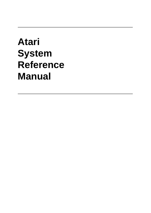# **Atari System Reference Manual**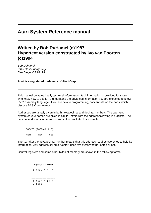## **Atari System Reference manual**

# **Written by Bob DuHamel (c)1987 Hypertext version constructed by Ivo van Poorten (c)1994**

Bob Duhamel 6915 Casselberry Way San Diego, CA 92119

**Atari is a registered trademark of Atari Corp.** 

This manual contains highly technical information. Such information is provided for those who know how to use it. To understand the advanced information you are expected to know 6502 assembly language. If you are new to programming, concentrate on the parts which discuss BASIC commands.

Addresses are usually given in both hexadecimal and decimal numbers. The operating system equate names are given in capital letters with the address following in brackets. The decimal address is in parenthsis within the brackets. For example:

 DOSVEC [\$000A,2 (10)] name hex dec

The ",2" after the hexadecimal number means that this address requires two bytes to hold its' information. Any address called a "vector" uses two bytes whether noted or not.

Control registers and some other bytes of memory are shown in the following format

 Register format 7 6 5 4 3 2 1 0 −−−−−−−−−−−−−−−−− | | −−−−−−−−−−−−−−−−− 1 6 3 1 8 4 2 1 2 4 2 6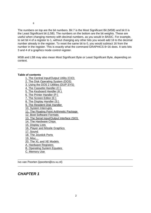The numbers on top are the bit numbers. Bit 7 is the Most Significant Bit (MSB) and bit 0 is the Least Significant bit (LSB). The numbers on the bottom are the bit weights. These are useful when changing memory with decimal numbers, as you would in BASIC. For example, to set bit 4 of a register to 1, without changing any other bits you would add 16 to the decimal number already in the register. To reset the same bit to 0, you would subtract 16 from the number in the register. This is exactly what the command GRAPHICS 8+16 does. It sets bits 3 and 4 of a graphics mode control register.

MSB and LSB may also mean Most Significant Byte or Least Significant Byte, depending on context.

#### **Table of contents**

- 1. The Central Input/Output Utility (CIO) 2. The Disk Operating System (DOS) 3. Using the DOS 2 Utilities (DUP.SYS) 4. The Cassette Handler (C:) 5. The Keyboard Handler (K:) 6. The Printer Handler (P:) 7. The Screen Editor (E:) 8. The Display Handler (S:) 9. The Resident Disk Handler 10. System Interrupts 11. The Floating Point Arithmetic Package 12. Boot Software Formats 13. The Serial Input/Output Interface (SIO) 14. The Hardware Chips 15. Display Lists 16. Player and Missile Graphics 17. Sound 18. The Joystick Ports 19. Misc... 20. The XL and XE Models A. Hardware Registers B. Operating System Equates
- C. Memory Use

Ivo van Poorten (ipoorten@cs.vu.nl)

## **CHAPTER 1**

8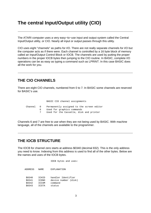# **The central Input/Output utility (CIO)**

The ATARI computer uses a very easy−to−use input and output system called the Central Input/Output utility, or CIO. Nearly all input or output passes through this utility.

CIO uses eight "channels" as paths for I/O. There are not really separate channels for I/O but the computer acts as if there were. Each channel is controlled by a 16 byte block of memory called an Input/Output Control Block or IOCB. The channels are used by putting the proper numbers in the proper IOCB bytes then jumping to the CIO routine. In BASIC, complete I/O operations can be as easy as typing a command such as LPRINT. In this case BASIC does all the work for you.

## **THE CIO CHANNELS**

There are eight CIO channels, numbered from 0 to 7. In BASIC some channels are reserved for BASIC's use.

|        | BASIC CIO channel assignments                                                                                                |
|--------|------------------------------------------------------------------------------------------------------------------------------|
| 6<br>7 | Channel 0 Permanently assigned to the screen editor<br>Used for graphics commands<br>Used for the Cassette, disk and printer |

Channels 6 and 7 are free to use when they are not being used by BASIC. With machine language, all of the channels are available to the programmer.

## **THE IOCB STRUCTURE**

The IOCB for channel zero starts at address \$0340 (decimal 832). This is the only address you need to know. Indexing from this address is used to find all of the other bytes. Below are the names and uses of the IOCB bytes.

 IOCB bytes and uses: ADDRESS NAME EXPLANATION \$0340 ICHID handler Identifier \$0341 ICDNO device number (disk) \$0342 ICCOM command \$0343 ICSTA status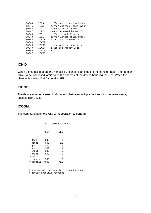| \$0344 | ICBAL        | buffer address (low byte)  |
|--------|--------------|----------------------------|
| \$0345 | ICBAH        | buffer address (high byte) |
| \$0346 | ICPTL        | address of put byte        |
| \$0347 | ICPTH        | routine (used by BASIC)    |
| \$0348 | <b>ICBLL</b> | buffer length (low byte)   |
| \$0349 | ICBLH        | buffer length (high byte)  |
| \$034A | ICAX1        | auxiliary information      |
| \$034B | ICAX2        |                            |
| \$034C | ICAX3        | the remaining auxiliary    |
| \$034D | ICAX4        | bytes are rarely used      |
| \$034E | ICAX5        |                            |
| \$034F | ICAX6        |                            |
|        |              |                            |

#### **ICHID**

When a channel is open, the handler I.D. contains an index to the handler table. The handler table (to be discussed later) holds the address of the device handling routines. When the channel is closed ICHID contains \$FF.

#### **ICDNO**

The device number is used to distinguish between multiple devices with the same name, such as disk drives.

#### **ICCOM**

The command byte tells CIO what operation to perform.

|           |            | CIO command codes |            |
|-----------|------------|-------------------|------------|
|           | <b>HEX</b> |                   | <b>DEC</b> |
| +0pen     | \$03       |                   | 3          |
| +close    | \$0C       |                   | 12         |
| qet       | \$07       |                   | 7          |
| put       | \$09       |                   | 11         |
| input     | \$05       |                   | 5          |
| print     | \$09       |                   | 9          |
| +status   |            |                   |            |
| request   | \$0D       |                   | 13         |
| +*special | $>$ \$0D   |                   | >13        |
|           |            |                   |            |

 + command may be made to a closed channel \* device specific commands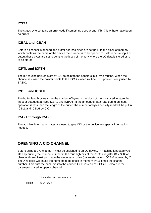## **ICSTA**

The status byte contains an error code if something goes wrong. If bit 7 is 0 there have been no errors.

#### **ICBAL and ICBAH**

Before a channel is opened, the buffer address bytes are set point to the block of memory which contains the name of the device the channel is to be opened to. Before actual input or output these bytes are set to point to the block of memory where the I/O data is stored or is to be stored.

#### **ICPTL and ICPTH**

The put routine pointer is set by CIO to point to the handlers' put−byte routine. When the channel is closed the pointer points to the IOCB−closed routine. This pointer is only used by BASIC.

#### **ICBLL and ICBLH**

The buffer length bytes show the number of bytes in the block of memory used to store the input or output data. (See ICBAL and ICBAH.) If the amount of data read during an input operation is less than the length of the buffer, the number of bytes actually read will be put in ICBLL and ICBLH by CIO.

#### **ICAX1 through ICAX6**

The auxiliary information bytes are used to give CIO or the device any special information needed.

## **OPENNING A CIO CHANNEL**

Before using a CIO channel it must be assigned to an I/O device. In machine language you start by putting the channel number in the four high bits of the 6502 X register ( $X = $30$  for channel three). Next you place the necessary codes (parameters) into IOCB 0 indexed by X. The X register will cause the numbers to be offset in memory by 16 times the channel number. This puts the numbers into the correct IOCB instead of IOCB 0. Below are the parameters used to open a channel.

Channel−open parameters:

ICCOM open code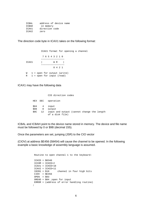ICBAL address of device name ICBAH in memory ICAX1 direction code ICAX2 zero

The direction code byte in ICAX1 takes on the following format:

 ICAX1 format for opening a channel 7 6 5 4 3 2 1 0 −−−−−−−−−−−−−−−−− ICAX1 | W R | −−−−−−−−−−−−−−−−− 8 4 2 1 W 1 = open for output (write)  $R$  1 = open for input (read)

ICAX1 may have the following data

|         |    | CIO direction codes                        |  |
|---------|----|--------------------------------------------|--|
| HEX DEC |    | operation                                  |  |
| $$04$ 4 |    | input                                      |  |
| \$08    | 8  | output                                     |  |
| \$0C    | 12 | input and output (cannot change the length |  |
|         |    | of a disk file)                            |  |

ICBAL and ICBAH point to the device name stored in memory. The device and file name must be followed by 0 or \$9B (decimal 155).

Once the parameters are set, jumping (JSR) to the CIO vector

(CIOV) at address \$E456 (58454) will cause the channel to be opened. In the following example a basic knowledge of assembly language is assumed.

 Routine to open channel 1 to the keyboard:  $ICHID = $0340$  ICCOM = ICHID+2 ICAX1 = ICHID+10 ICAX2 = ICHID+11 IOCB1 = \$10 channel in four high bits  $CIOV = $E456$  $OPEN = $03$  OREAD = \$04 ;open for input ERROR = (address of error handling routine)  $\mathcal{L}$  ; and  $\mathcal{L}$  is the set of  $\mathcal{L}$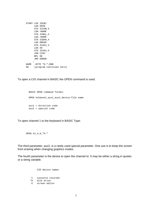```
 START LDX IOCB1
      LDA OPEN
       STA ICCOM,X
       LDA <NAME
       STA ICBAL,X
       LDA >NAME
       STA ICBAH,X
       LDA OREAD
       STA ICAX1,X
       LDA #0
       STA ICAX2,X
       JSR CIOV
      BPL OK
      JMP ERROR
     ;
 NAME .BYTE "K:",$9B
 OK (program continues here)
```
To open a CIO channel in BASIC the OPEN command is used.

```
 BASIC OPEN command format:
 OPEN #channel,aux1,aux2,device:file name
 aux1 = direction code
 aux2 = special code
```
To open channel 1 to the keyboard in BASIC Type:

```
 OPEN #1,4,0,"K:"
```
The third parameter, aux2, is a rarely used special parameter. One use is to keep the screen from erasing when changing graphics modes.

The fourth parameter is the device to open the channel to. It may be either a string in quotes or a string variable.

> CIO device names C cassette recorder \*D disk drive E screen editor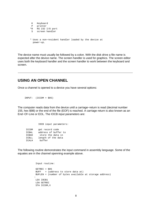```
 K Keyboard
 P printer
 *R RS 232 I/O port
 S screen handler
 * Uses a non−resident handler loaded by the device at
  power−up.
```
The device name must usually be followed by a colon. With the disk drive a file name is expected after the device name. The screen handler is used for graphics. The screen editor uses both the keyboard handler and the screen handler to work between the keyboard and screen.

#### **USING AN OPEN CHANNEL**

Once a channel is opened to a device you have several options:

```
 INPUT: (ICCOM = $05)
```
The computer reads data from the device until a carriage−return is read (decimal number 155, hex \$9B) or the end of the file (EOF) is reached. A carriage return is also known as an End−Of−Line or EOL. The IOCB input parameters are:

 IOCB input parameters: ICCOM get record code ICBAL address of buffer to ICBAH store the data in ICBLL length of the data ICALH buffer

The following routine demonstrates the input command in assembly language. Some of the equates are in the channel openning example above.

 Input routine: GETREC =  $$05$  BUFF = (address to store data at) BUFLEN = (number of bytes available at storage address) : LDX IOCB1 LDA GETREC STA ICCOM,X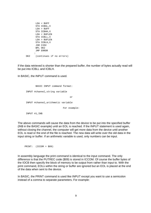LDA < BUFF STA ICBAL,X LDA > BUFF STA ICBAH,X LDA < BUFLEN STA ICBLL,X LDA > BUFLEN STA ICBLH,X JSR CIOV BPL OK<sub>2</sub> JMP ERROR : OK2 (continues if no errors)

If the data retrieved is shorter than the prepared buffer, the number of bytes actually read will be put into ICBLL and ICBLH.

In BASIC, the INPUT command is used.

 BASIC INPUT command format: INPUT #channel,string variable or INPUT #channel,arithmetic variable For example: INPUT #1,IN\$

The above commands will cause the data from the device to be put into the specified buffer (IN\$ in the BASIC example) until an EOL is reached. If the INPUT statement is used again, without closing the channel, the computer will get more data from the device until another EOL is read or the end of the file is reached. The new data will write over the old data in the input string or buffer. If an arithmetic variable is used, only numbers can be input.

PRINT: (ICCOM = \$09)

In assembly language the print command is identical to the input command. The only difference is that the PUTREC code (\$09) is stored in ICCOM. Of course the buffer bytes of the IOCB then specify the block of memory to be output from rather than input to. With the print command, EOLs within the string or buffer are ignored but an EOL is placed at the end of the data when sent to the device.

In BASIC, the PRINT command is used like INPUT except you want to use a semicolon instead of a comma to separate parameters. For example: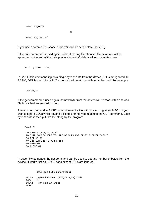```
 PRINT #1;OUT$
 or
   PRINT #1;"HELLO"
```
If you use a comma, ten space characters will be sent before the string.

If the print command is used again, without closing the channel, the new data will be appended to the end of the data previously sent. Old data will not be written over.

GET:  $(ICCOM = $07)$ 

In BASIC this command inputs a single byte of data from the device. EOLs are ignored. In BASIC, GET is used like INPUT except an arithmetic variable must be used. For example:

```
 GET #1,IN
```
If the get command is used again the next byte from the device will be read. If the end of a file is reached an error will occur.

There is no command in BASIC to input an entire file without stopping at each EOL. If you wish to ignore EOLs while reading a file to a string, you must use the GET command. Each byte of data is then put into the string by the program.

EXAMPLE:

```
 10 OPEN #1,4,0,"D:TEST"
 20 TRAP 60:REM GOES TO LINE 60 WHEN END OF FILE ERROR OCCURS
 30 GET #1,IN
 40 IN$(LEN(IN$)+1)=CHR$(IN)
 50 GOTO 30
 60 CLOSE #1
```
In assembly language, the get command can be used to get any number of bytes from the device. It works just as INPUT does except EOLs are ignored.

 IOCB get−byte parameters: ICCOM get−character (single byte) code ICBAL \ ICBAH same as in input  $TCBLL$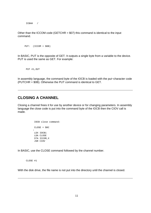ICBAH /

Other than the ICCOM code (GETCHR  $= $07$ ) this command is identical to the input command.

```
 PUT: (ICCOM = $0B)
```
In BASIC, PUT is the opposite of GET. It outputs a single byte from a variable to the device. PUT is used the same as GET. For example:

```
 PUT #1,OUT
```
In assembly language, the command byte of the IOCB is loaded with the put−character code (PUTCHR = \$0B). Otherwise the PUT command is identical to GET.

#### **CLOSING A CHANNEL**

Closing a channel frees it for use by another device or for changing parameters. In assembly language the close code is put into the command byte of the IOCB then the CIOV call is made.

```
 IOCB close command:
              CLOSE = $0C
: 100 million 100 million
              LDX IOCB1
               LDA CLOSE
               STA ICCOM,X
               JSR CIOV
```
In BASIC, use the CLOSE command followed by the channel number.

CLOSE #1

With the disk drive, the file name is not put into the directory until the channel is closed.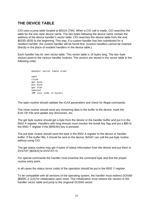## **THE DEVICE TABLE**

CIO uses a jump table located at \$031A (794). When a CIO call is made, CIO searches the table for the one−byte device name. The two bytes following the device name contain the address of the device handler's vector table. CIO searches the device table from the end, \$033D (829) to the beginning. This way, if a custom handler has ben substituted for a resident handler, the custom handler will be found first. (custom handlers cannot be inserted directly in the place of resident handlers in the device table.)

Each handler has its' own vector table. This vector table is 16 bytes long. The two−byte vectors point to the various handler routines. The vectors are stored in the vector table in the following order:

|               |                      | Handler vector table order |  |  |
|---------------|----------------------|----------------------------|--|--|
| open<br>close | get byte<br>put byte |                            |  |  |
|               | get stat<br>special  | JMP init code (3 bytes)    |  |  |

The open routine should validate the ICAX parameters and check for illegal commands.

The close routine should send any remaining data in the buffer to the device, mark the End−Of−File and update any directories, etc.

The get byte routine should get a byte from the device or the handler buffer and put it in the 6502 A register. Handlers with long timouts must monitor the break key flag and put a \$80 in the 6502 Y register if the [BREAK] key is pressed.

The put byte routine should send the byte in the 6502 A register to the device or handler buffer. If the buffer fills, it should be sent to the device. BASIC can call the put byte routine without using CIO.

The get status routine may get 4 bytes of status information from the device and put them in DVSTAT [\$02EA] to DVSTAT+3.

For special commands the handler must examine the command byte and find the proper routine entry point.

In all cases the status (error code) of the operation should be put in the 6502 Y register.

To be compatible with all versions of the operating system, the handler must redirect DOSINI [\$000C,2 (12)] for initialization upon reset. This initialization must restore the vectors in the handler vector table and jump to the origional DOSINI vector.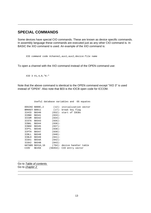## **SPECIAL COMMANDS**

Some devices have special CIO commands. These are known as device specific commands. In assembly language these commands are executed just as any other CIO command is. In BASIC the XIO command is used. An example of the XIO command is:

XIO command code #channel,aux1,aux2,device:file name

To open a channel with the XIO command instead of the OPEN command use:

```
 XIO 3 #1,4,0,"K:"
```
Note that the above command is identical to the OPEN command except "XIO 3" is used instead of "OPEN". Also note that \$03 is the IOCB open code for ICCOM.

|               |                  |        | Useful database variables and<br>OS equates |
|---------------|------------------|--------|---------------------------------------------|
|               |                  |        |                                             |
|               | DOSINI \$000C,2  |        | $(12)$ : initialization vector              |
| BRKKEY \$0011 |                  |        | (17): break key flag                        |
| ICHID         | \$0340           |        | $(832)$ : start of IOCBs                    |
| ICDNO \$0341  |                  | (833): |                                             |
| ICCOM \$0342  |                  | (834): |                                             |
| ICSTA \$0343  |                  | (835): |                                             |
| ICBAL         | \$0344           | (836): |                                             |
| ICBAH         | \$0345           | (837): |                                             |
| ICPTL         | \$0346           | (838): |                                             |
| ICPTH         | \$0347           | (839): |                                             |
| ICBLL         | \$0348           | (840): |                                             |
| ICBLH         | \$0349           | (841): |                                             |
| ICAX1         | \$034A           | (842): |                                             |
| ICAX2         | \$034B           | (843): |                                             |
|               | HATABS \$031A,16 |        | (794): device handler table                 |
| CIOV          | \$E456           |        | $(58454):$ CIO entry vector                 |

Go to Table of contents Go to chapter 2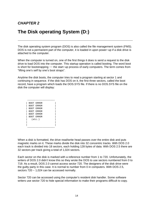## **CHAPTER 2**

# **The Disk operating System (D:)**

The disk operating system program (DOS) is also called the file management system (FMS). DOS is not a permanent part of the computer, it is loaded in upon power−up if a disk drive is attached to the computer.

When the computer is turned on, one of the first things it does is send a request to the disk drive to load DOS into the computer. This startup operation is called booting. The word boot is short for bootstrapping −− the start−up process of early computers. The term comes from "lifting one's self by one's boot straps".

Anytime the disk boots, the computer tries to read a program starting at sector 1 and continuing in sequence. If the disk has DOS on it, the first three sectors, called the boot record, have a program which loads the DOS.SYS file. If there is no DOS.SYS file on the disk the computer will display:

| BOOT ERROR        |
|-------------------|
| BOOT ERROR        |
| BOOT ERROR        |
| BOOT ERROR        |
| BOOT ERROR        |
| BOOT ERROR        |
| $(\texttt{etc.})$ |
|                   |
|                   |
|                   |

When a disk is formatted, the drive read/write head passes over the entire disk and puts magnetic marks on it. These marks divide the disk into 32 concentric tracks. With DOS 2.0 each track is divided into 18 sectors, each holding 128 bytes of data. With DOS 2.5 there are 32 sectors per track giving a total of 1,024 sectors.

Each sector on the disk is marked with a reference number from 1 to 720. Unfortunately, the writers of DOS 2.0 didn't know this so they wrote the DOS to use sectors numbered from 0 to 719. As a result, DOS 2.0 cannot access sector 720. The designers of the disk drive were the guilty party in this case. It is normal to number from 0 in computers. With DOS 2.5, sectors 720 – 1,024 can be accessed normally.

Sector 720 can be accessed using the computer's resident disk handler. Some software writers use sector 720 to hide special information to make their programs difficult to copy.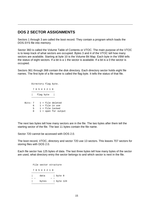## **DOS 2 SECTOR ASSIGNMENTS**

Sectors 1 through 3 are called the boot record. They contain a program which loads the DOS.SYS file into memory.

Sector 360 is called the Volume Table of Contents or VTOC. The main purpose of the VTOC is to keep track of what sectors are occupied. Bytes 3 and 4 of the VTOC tell how many sectors are available. Starting at byte 10 is the Volume Bit Map. Each byte in the VBM tells the status of eight sectors. If a bit is a 1 the sector is available. If a bit is a 0 the sector is occupied.

Sectors 361 through 368 contain the disk directory. Each directory sector holds eight file names. The first byte of a file name is called the flag byte. It tells the status of that file.

 Directory flag byte. 7 6 5 4 3 2 1 0 −−−−−−−−−−−−−−−−− | flag byte | −−−−−−−−−−−−−−−−− Bits: 7 1 = file deleted  $6$   $1$  = file in use 5 1 = file locked 0 1 = open for output

The next two bytes tell how many sectors are in the file. The two bytes after them tell the starting sector of the file. The last 11 bytes contain the file name.

Sector 720 cannot be accessed with DOS 2.0.

The boot record, VTOC, directory and sector 720 use 13 sectors. This leaves 707 sectors for storing files with DOS 2.0.

Each file sector has 125 bytes of data. The last three bytes tell how many bytes of the sector are used, what directory entry the sector belongs to and which sector is next in the file.

 File sector structure 7 6 5 4 3 2 1 0 −−−−−−−−−−−−−−−−− | data | byte 0 − − − − − − − − − − | bytes | byte 124 −−−−−−−−−−−−−−−−−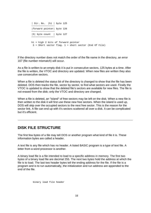```
 | Dir. No. |hi | byte 125
 −−−−−−−−−−−−−−−−−
          |forward pointer| byte 126
             −−−−−−−−−−−−−−−−−
          |S| byte count | byte 127
             −−−−−−−−−−−−−−−−−
          hi = high 2 bits of forward pointer
           S = Short sector flag. 1 = short sector (End Of File)
```
If the directory number does not match the order of the file name in the directory, an error 167 (file number mismatch) will occur.

As a file is written to an empty disk it is put in consecutive sectors, 125 bytes at a time. After the file is written, the VTOC and directory are updated. When new files are written they also use consecutive sectors.

When a file is deleted the status bit of the directory is changed to show that the file has been deleted. DOS then tracks the file, sector by sector, to find what sectors are used. Finally the VTOC is updated to show that the deleted file's sectors are available for new files. The file is not erased from the disk; only the VTOC and directory are changed.

When a file is deleted, an "island" of free sectors may be left on the disk. When a new file is then written to the disk it will first use these new free sectors. When the island is used up, DOS will skip over the occupied sectors to the next free sector. This is the reason for the sector link. A file can end up with it's sectors scattered all over a disk. It can be complicated but it's efficient.

#### **DISK FILE STRUCTURE**

The first few bytes of a file may tell DOS or another program what kind of file it is. These information bytes are called a header.

A text file is any file which has no header. A listed BASIC program is a type of text file. A letter from a word processor is another.

A binary load file is a file intended to load to a specific address in memory. The first two bytes of a binary load file are decimal 255. The next two bytes hold the address at which the file is to load. The last two header bytes tell the ending address for the file. If the file is a program and is to run automatically, the initialization and run address are appended to the end of the file.

binary load file header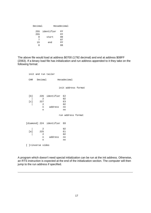| Decimal |                | Hexadecimal |    |  |
|---------|----------------|-------------|----|--|
|         | 255 identifier |             | FF |  |
| 255     |                |             | FF |  |
| Ω       | start          |             | 00 |  |
| 7       |                |             | 07 |  |
| 15      | end            |             | FF |  |
| 8       |                |             | 08 |  |

The above file would load at address \$0700 (1792 decimal) and end at address \$08FF (2063). If a binary load file has initialization and run address appended to it they take on the following format:

 init and run tailer CHR Decimal Hexadecimal init address format [b] 226 identifier E2 | 2 02 [c] 227 E3 | 2 02 n address nn n nn run address format [diamond] 224 identifier E0 | 2 02  $\begin{bmatrix} a \\ 1 \\ 2 \end{bmatrix}$  225 E1 | 2 02 n address nn n nn

[ ]=inverse video

A program which doesn't need special initialization can be run at the init address. Otherwise, an RTS instruction is expected at the end of the initialization section. The computer will then jump to the run address if specified.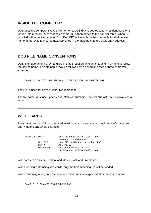#### **INSIDE THE COMPUTER**

DOS uses the computer's CIO utility. When a DOS disk is booted a non−resident handler is loaded into memory. A new handler name, D, is then added to the handler table. When CIO is called with a device name of D: or Dn:, CIO will search the handler table for that device name. If the 'D' is found, the next two bytes in the table point to the DOS entry address.

## **DOS FILE NAME CONVENTIONS**

DOS is unique among CIO handlers in that it requires an eight character file name to follow the device name. This file name may be followed by a period and then a three character extender.

EXAMPLES: D:TEST, D2:FIREMAN, D:VENTURE.EXE, D:CHAPTER.001

The D2: is used for drive number two if present.

The file name must use upper−case letters or numbers. The first character must always be a letter.

#### **WILD CARDS**

The characters \* and ? may be used as wild cards. \* means any combination of characters and ? means any single character.

| EXAMPLES: D:P* |            | any file beginning with P and   |
|----------------|------------|---------------------------------|
|                |            | without an extender             |
|                | $D:*,$ EXE | any file with the extender .EXE |
|                | $D:*,$     | any file.                       |
|                | D:F?REMAN  | one unknown character,          |
|                |            | FIREMAN or FOREMAN will match   |

Wild cards can only be used to load, delete, lock and unlock files.

When loading a file using wild cards, only the first matching file will be loaded.

When renaming a file, both the new and old names are expected after the device name.

EXAMPLE:  $D:OLDNAME.BAS,NEWNAME.BAS$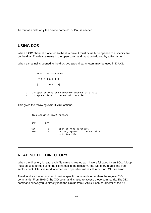To format a disk, only the device name (D: or Dn:) is needed.

## **USING DOS**

When a CIO channel is opened to the disk drive it must actually be opened to a specific file on the disk. The device name in the open command must be followed by a file name.

When a channel is opened to the disk, two special parameters may be used in ICAX1.

 ICAX1 for disk open: 7 6 5 4 3 2 1 0 −−−−−−−−−−−−−−−−− | W R D A| −−−−−−−−−−−−−−−−− D 1 = open to read the directory instead of a file  $A = 1$  = append data to the end of the file

This gives the following extra ICAX1 options.

 Disk specific ICAX1 options: HEX DEC \$06 6 open to read directory<br>\$09 9 output, append to the 9 output, append to the end of an existing file

#### **READING THE DIRECTORY**

When the directory is read, each file name is treated as if it were followed by an EOL. A loop must be used to read all of the file names in the directory. The last entry read is the free sector count. After it is read, another read operation will result in an End−Of−File error.

The disk drive has a number of device specific commands other than the regular CIO commands. From BASIC the XIO command is used to access these commands. The XIO command allows you to directly load the IOCBs from BASIC. Each parameter of the XIO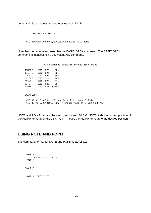command places values in certain bytes of an IOCB.

XIO command format:

XIO command channel,aux1,aux2,device:file name

Note that the parameters resemble the BASIC OPEN command. The BASIC OPEN command is identical to it's equivalent XIO command.

XIO commands specific to the disk drive.

RENAME XIO \$20 (32) DELETE XIO \$21 (33) LOCK XIO \$23 (35) UNLOCK XIO \$24 (36) POINT XIO \$25 (37) NOTE XIO \$26 (38) FORMAT XIO \$FE (254)

EXAMPLES:

 XIO 33 #1,0,0,"D:JUNK" = delete file named D:JUNK XIO 32 #1,0,0,"D:OLD,NEW" = change name of D:OLD to D:NEW

NOTE and POINT can also be used directly from BASIC. NOTE finds the current position of the read/write head on the disk. POINT moves the read/write head to the desired position.

## **USING NOTE AND POINT**

The command format for NOTE and POINT is as follows:

```
 NOTE \
        channel,sector,byte
 POINT/
 EXAMPLE:
NOTE #1, SECT, BYTE
```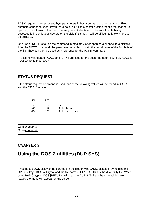BASIC requires the sector and byte parameters in both commands to be variables. Fixed numbers cannot be used. If you try to do a POINT to a sector outside the file the channel is open to, a point error will occur. Care may need to be taken to be sure the file being accessed is in contiguous sectors on the disk. If it is not, it will be difficult to know where to do points to.

One use of NOTE is to use the command immediately after opening a channel to a disk file. After the NOTE command, the parameter variables contain the coordinates of the first byte of the file. They can then be used as a reference for the POINT command.

In assembly language, ICAX3 and ICAX4 are used for the sector number (Isb, msb). ICAX5 is used for the byte number.

## **STATUS REQUEST**

If the status request command is used, one of the following values will be found in ICSTA and the 6502 Y register.

| HEX  | DEC. |                |
|------|------|----------------|
| \$01 |      | OK.            |
| SA7  | 167  | file locked    |
| SAA  | 170  | file not found |

Go to chapter 1 Go to chapter 3

## **CHAPTER 3**

# **Using the DOS 2 utilities (DUP.SYS)**

If you boot a DOS disk with no cartridge in the slot or with BASIC disabled (by holding the OPTION key), DOS will try to load the file named DUP.SYS. This is the disk utility file. When using BASIC, typing DOS [RETURN] will load the DUP.SYS file. When the utilities are loaded the menu will appear on the screen.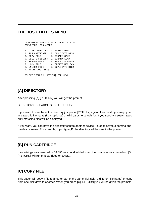## **THE DOS UTILITIES MENU**

```
 DISK OPERATING SYSTEM II VERSION 2.0S
     COPYRIGHT 1980 ATARI
     A. DISK DIRECTORY I. FORMAT DISK
    B. RUN CARTRIDGE J. DUPLICATE DISK
    C. COPY FILE K. BINARY SAVE
     D. DELETE FILE(S) L. BINARY LOAD
    E. RENAME FILE M. RUN AT ADDRESS
F. LOCK FILE N. CREATE MEM. SAV
 G. UNLOCK FILE O. DUPLICATE DISK
     H. WRITE DOS FILES 
     SELECT ITEM OR [RETURN] FOR MENU
```
## **[A] DIRECTORY**

After pressing [A] [RETURN] you will get the prompt:

```
DIRECTORY−−SEARCH SPEC,LIST FILE?
```
If you want to see the entire directory just press [RETURN] again. If you wish, you may type in a specific file name (D: is optional) or wild cards to search for. If you specify a search spec only matching files will be displayed.

If you want, you can have the directory sent to another device. To do this type a comma and the device name. For example, if you type ,P: the directory will be sent to the printer.

## **[B] RUN CARTRIDGE**

If a cartridge was inserted or BASIC was not disabled when the computer was turned on, [B] [RETURN] will run that cartridge or BASIC.

## **[C] COPY FILE**

This option will copy a file to another part of the same disk (with a different file name) or copy from one disk drive to another. When you press [C] [RETURN] you will be given the prompt: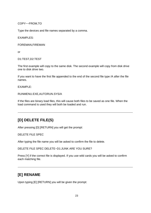COPY−−FROM,TO

Type the devices and file names separated by a comma.

EXAMPLES:

FOREMAN,FIREMAN

or

D1:TEST,D2:TEST

The first example will copy to the same disk. The second example will copy from disk drive one to disk drive two.

If you want to have the first file appended to the end of the second file type /A after the file names.

 $FXAMPIF$ 

RUNMENU.EXE,AUTORUN.SYS/A

If the files are binary load files, this will cause both files to be saved as one file. When the load command is used they will both be loaded and run.

## **[D] DELETE FILE(S)**

After pressing [D] [RETURN] you will get the prompt:

DELETE FILE SPEC

After typing the file name you will be asked to confirm the file to delete.

DELETE FILE SPEC DELETE−D1:JUNK ARE YOU SURE?

Press [Y] if the correct file is displayed. If you use wild cards you will be asked to confirm each matching file.

## **[E] RENAME**

Upon typing [E] [RETURN] you will be given the prompt: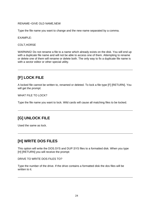RENAME−GIVE OLD NAME,NEW

Type the file name you want to change and the new name separated by a comma.

EXAMPLE:

COLT,HORSE

WARNING! Do not rename a file to a name which already exists on the disk. You will end up with a duplicate file name and will not be able to access one of them. Attempting to rename or delete one of them will rename or delete both. The only way to fix a duplicate file name is with a sector editor or other special utility.

## **[F] LOCK FILE**

A locked file cannot be written to, renamed or deleted. To lock a file type [F] [RETURN]. You will get the prompt:

WHAT FILE TO LOCK?

Type the file name you want to lock. Wild cards will cause all matching files to be locked.

## **[G] UNLOCK FILE**

Used the same as lock.

## **[H] WRITE DOS FILES**

This option will write the DOS.SYS and DUP.SYS files to a formatted disk. When you type [H] [RETURN] you will receive the prompt:

DRIVE TO WRITE DOS FILES TO?

Type the number of the drive. If the drive contains a formatted disk the dos files will be written to it.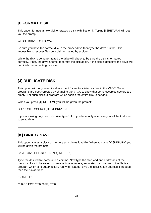# **[I] FORMAT DISK**

This option formats a new disk or erases a disk with files on it. Typing [I] [RETURN] will get you the prompt:

#### WHICH DRIVE TO FORMAT

Be sure you have the correct disk in the proper drive then type the drive number. It is impossible to recover files on a disk formatted by accident.

While the disk is being formatted the drive will check to be sure the disk is formatted correctly. If not, the drive attempt to format the disk again. If the disk is defective the drive will not finish the formatting process.

## **[J] DUPLICATE DISK**

This option will copy an entire disk except for sectors listed as free in the VTOC. Some programs are copy−proofed by changing the VTOC to show that some occupied sectors are empty. For such disks, a program which copies the entire disk is needed.

When you press [J] [RETURN] you will be given the prompt:

DUP DISK−−SOURCE,DEST DRIVES?

If you are using only one disk drive, type 1,1. If you have only one drive you will be told when to swap disks.

## **[K] BINARY SAVE**

This option saves a block of memory as a binary load file. When you type [K] [RETURN] you will be given the prompt:

SAVE−GIVE FILE,START,END(,INIT,RUN)

Type the desired file name and a comma. Now type the start and end addresses of the memory block to be saved, in hexadecimal numbers, separated by commas. If the file is a program which is to automatically run when loaded, give the initialization address, if needed, then the run address.

 $FXAMPIF$ 

CHASE.EXE,0700,09FF,,0700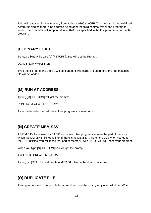This will save the block of memory from address 0700 to 09FF. The program is not initialized before running so there is no address typed after the third comma. When the program is loaded the computer will jump to address 0700, as specified in the last parameter, to run the program.

## **[L] BINARY LOAD**

To load a binary file type [L] [RETURN]. You will get the Prompt:

LOAD FROM WHAT FILE?

Type the file name and the file will be loaded. If wild cards are used, only the first matching file will be loaded.

## **[M] RUN AT ADDRESS**

Typing [M] [RETURN] will get the prompt:

RUN FROM WHAT ADDRESS?

Type the hexadecimal address of the program you want to run.

## **[N] CREATE MEM.SAV**

A MEM.SAV file is used by BASIC and some other programs to save the part of memory which the DUP.SYS file loads into. If there is no MEM.SAV file on the disk when you go to the DOS utilities, you will loose that part of memory. With BASIC you will loose your program.

When you type [N] [RETURN] you will get the prompt:

TYPE Y TO CREATE MEM.SAV

Typing [Y] [RETURN] will create a MEM.SAV file on the disk in drive one.

## **[O] DUPLICATE FILE**

This option is used to copy a file from one disk to another, using only one disk drive. When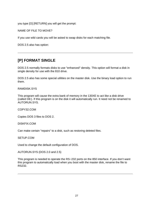you type [O] [RETURN] you will get the prompt:

NAME OF FILE TO MOVE?

If you use wild cards you will be asked to swap disks for each matching file.

DOS 2.5 also has option:

## **[P] FORMAT SINGLE**

DOS 2.5 normally formats disks to use "enhanced" density. This option will format a disk in single density for use with the 810 drive.

DOS 2.5 also has some special utilities on the master disk. Use the binary load option to run them.

RAMDISK.SYS

This program will cause the extra bank of memory in the 130XE to act like a disk drive (called D8:). If this program is on the disk it will automatically run. It need not be renamed to AUTORUN.SYS.

COPY32.COM

Copies DOS 3 files to DOS 2.

DISKFIX.COM

Can make certain "repairs" to a disk, such as restoring deleted files.

SETUP.COM

Used to change the default configuration of DOS.

AUTORUN.SYS (DOS 2.0 and 2.5)

This program is needed to operate the RS−232 ports on the 850 interface. If you don't want this program to automatically load when you boot with the master disk, rename the file to RS232.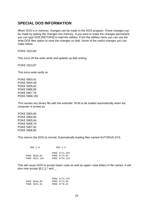## **SPECIAL DOS INFORMATION**

When DOS is in memory, changes can be made to the DOS program. These changes can be made by poking the changes into memory. If you want to make the changes permanent, you can type DOS [RETURN] to load the utilities. From the utilities menu you can use the write DOS files option to save the changes on disk. Some of the useful changes you can make follow.

POKE 1913,80

This turns off the write verify and speeds up disk writing.

POKE 1913,87

This turns write verify on

POKE 5903,42 POKE 5904,46 POKE 5905,82 POKE 5906,85 POKE 5907,78 POKE 5908,155

This causes any binary file with the extender .RUN to be loaded automatically when the computer is turned on.

POKE 5903,65 POKE 5904,85 POKE 5905,84 POKE 5906,79 POKE 5907,82 POKE 5908,85

This returns the DOS to normal, Automatically loading files named AUTORUN.SYS.

| DOS 2.0                        | DOS 2.5                                        |
|--------------------------------|------------------------------------------------|
| POKE 3818,64<br>POKE 3822, 123 | POKE 3772,255<br>POKE 3774,64<br>POKE 3778,123 |

This will cause DOS to accept lower−case as well as upper−case letters in file names. It will also now accept  $\mathcal{Q},$  [, \, ],  $\wedge$  and  $\overline{\phantom{a}}$ .

|              | POKE 3772,223 |
|--------------|---------------|
| POKE 3818,65 | POKE 3774,65  |
| POKE 3822,91 | POKE 3778.91  |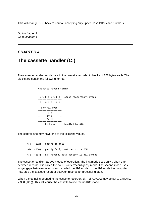This will change DOS back to normal, accepting only upper−case letters and numbers.

Go to chapter 2 Go to chapter 4

## **CHAPTER 4**

# **The cassette handler (C:)**

The cassette handler sends data to the cassette recorder in blocks of 128 bytes each. The blocks are sent in the following format:

```
 Cassette record format
            −−−−−−−−−−−−−−−−−
            |0 1 0 1 0 1 0 1| speed measurement bytes
             −−−−−−−−−−−−−−−−−
            |0 1 0 1 0 1 0 1|
−−−−−−−−−−−−−−−−−−−−−−−−
            | control byte |
              −−−−−−−−−−−−−−−−−
 | 128 |
= data = | bytes |
            −−−−−−−−−−−−−−−−−
           | checksum | handled by SIO
−−−−−−−−−−−−−−−−−−−−−−−−
```
The control byte may have one of the following values.

 \$FC (252) record is full. \$FA (250) partly full, next record is EOF. \$FE (254) EOF record, data section is all zeroes.

The cassette handler has two modes of operation. The first mode uses only a short gap between records. It is called the no IRG (interrecord gaps) mode. The second mode uses longer gaps between records and is called the IRG mode. In the IRG mode the computer may stop the cassette recorder between records for processing data.

When a channel is opened to the cassette recorder, bit 7 of ICAUX2 may be set to 1 (ICAX2 = \$80 (128)). This will cause the cassette to use the no IRG mode.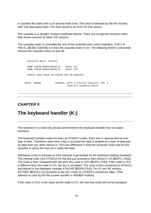A cassette file starts with a 20 second mark tone. This tone is followed by the file records with 128 data bytes each. The final record is an End−Of−File record.

The cassette is a straight–forward read/write device. There are no special functions other than those common to other CIO devices.

The cassette motor is controlled by one of the controller port control registers. If bit 3 of PACTL [\$D302 (54018)] is 0 then the cassette motor is on. The following BASIC commands will turn the cassette motor on and off.

 Cassette motor control. POKE 54018,PEEK(54018)−8 motor on POKE 54018,PEEK(54018)+8 motor off Useful data base variables and OS equates PACTL \$D302 (54018): port A control register, bit 4 controls cassette motor

## **CHAPTER 5**

# **The keyboard handler (K:)**

The keyboard is a read only device and therefore the keyboard handler has no output functions.

The keyboard handler reads the keys as ATASCII codes. Each key is represented by one byte of data. Therefore, each time a key is pressed the data is treated as a byte of data just as data from any other device is. The only difference is that the computer must wait for the operator to press the keys as it reads the data.

Whenever a key is pressed an IRQ interrupt is generated by the keyboard reading hardware. The internal code (not ATASCII) for the key just pressed is then stored in CH [\$02FC (764)]. The code is then compared with the prior key code in CH1 [\$02F2 (754)]. If the code in CH1 is different from the code in CH, the key is accepted. The code is then converted to ATASCII, and placed in the database variable ATACHR [\$02FB (763)]. On XL and XE models, KEYDEF [\$0079,2 (121)] points to the key−code−to−ATASCII conversion table. (This address is used by the the screen handler in 400/800 models).

If the code in CH1 is the same as the code in CH, the new key code will not be accepted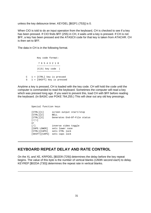unless the key debounce timer, KEYDEL [\$02F1 (753)] is 0.

When CIO is told to do an input operation from the keyboard, CH is checked to see if a key has been pressed. If CIO finds \$FF (255) in CH, it waits until a key is pressed. If CH is not \$FF, a key has been pressed and the ATASCII code for that key is taken from ATACHR. CH is then set to \$FF.

The data in CH is in the following format.

 Key code format: 7 6 5 4 3 2 1 0 −−−−−−−−−−−−−−−−− |C|S| key code | −−−−−−−−−−−−−−−−− C 1 = [CTRL] key is pressed S 1 = [SHIFT] key is pressed

Anytime a key is pressed, CH is loaded with the key code. CH will hold the code until the computer is commanded to read the keyboard. Sometimes the computer will read a key which was pressed long ago. If you want to prevent this, load CH with \$FF before reading the keyboard. (In BASIC use POKE 764,255.) This will clear out any old key pressings.

Special function keys

[CTRL][1] screen output start/stop<br>[CTRL][2] BELL [ CTRL ] [ 2 ]<br>[ CTRL ] [ 3 ] Generates End-Of-File status  $[$   $/$   $]$   $\setminus$   $]$  or [/] inverse video toggle [CAPS LOWER] sets lower case [CTRL][CAPS] sets CTRL lock [SHIFT][CAPS] sets caps lock

#### **KEYBOARD REPEAT DELAY AND RATE CONTROL**

On the XL and XE, KRPDEL [\$02D9 (729)] determines the delay before the key repeat begins. The value of this byte is the number of vertical blanks (1/60th second each) to delay. KEYREP [\$02DA (730)] determines the repeat rate in vertical blanks.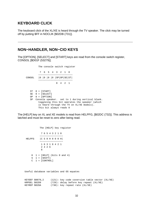#### **KEYBOARD CLICK**

The keyboard click of the XL/XE is heard through the TV speaker. The click may be turned off by putting \$FF in NOCLIK [\$02DB (731)].

## **NON−HANDLER, NON−CIO KEYS**

The [OPTION], [SELECT] and [START] keys are read from the console switch register, CONSOL [\$D01F (53279)].

 The console switch register 7 6 5 4 3 2 1 0 −−−−−−−−−−−−−−−−−−−−−−−−−−− CONSOL |0 |0 |0 |0 |SP|OP|SE|ST| −−−−−−−−−−−−−−−−−−−−−−−−−−− 8 4 2 1 ST 0 = [START] SE 0 = [SELECT] OP 0 = [OPTION] SP Console speaker. set to 1 during vertical blank. toggleing this bit operates the speaker (which is heard through the TV on XL/XE models). This bit always reads 0

The [HELP] key on XL and XE models is read from HELPFG, [\$02DC (732)]. This address is latched and must be reset to zero after being read.

 The [HELP] key register 7 6 5 4 3 2 1 0 −−−−−−−−−−−−−−−−−− HELPFG | C S 0 H 0 0 0 H −−−−−−−−−−−−−−−−− 1 6 3 1 8 4 2 1 2 4 2 6 8  $H$  1 = [HELP] (bits 0 and 4) S 1 = [SHIFT]  $C \quad 1 = [CONTROL]$ 

Useful database variables and OS equates

```
KEYDEF $0079,2 (121): key code coversion table vector (XL/XE)<br>KRPDEL $02D9 (729): delay before key repeat (XL/XE)
 KRPDEL $02D9 (729): delay before key repeat (XL/XE)
 KEYREP $02DA (730): key repeat rate (XL/XE)
```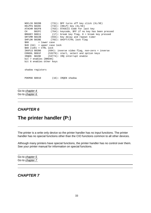```
 NOCLIK $02DB (731): $FF turns off key click (XL/XE)
 HELPFG $02DC (732): [HELP] key (XL/XE)
    ATACHR $02FB (763): ATASCII Code for last key<br>CH $02FC (764): keycode, $FF if no key has
    CH $02FC (764): keycode, $FF if no key has been pressed<br>BRKKEY $0011 (17): break key flag, 0 = break key pressed
                        (17): break key flag, 0 = break key pressed
     SRTIMR $022B (555): Key delay and repeat timer
     SHFLOK $02BE (702): SHIFT/CTRL lock flag
    $00 = lower case
     $40 (64) = upper case lock $80 (128) = CTRL lock
     INVFLG $02B6 (694): inverse video flag, non−zero = inverse
 CONSOL $D01F (53279): start, select and option keys
 IRQEN $D20E (53774): IRQ interrupt enable
     bit 7 enables [BREAK]
     bit 6 enables other keys
     shadow registers
    POKMSK $0010 (16): IRQEN shadow
```
Go to chapter 4 Go to chapter 6

## **CHAPTER 6**

# **The printer handler (P:)**

The printer is a write only device so the printer handler has no input functions. The printer handler has no special functions other than the CIO functions common to all other devices.

Although many printers have special functions, the printer handler has no control over them. See your printer manual for information on special functions.

Go to chapter 5 Go to chapter 7

#### **CHAPTER 7**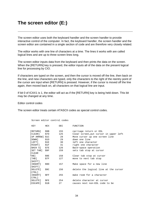# **The screen editor (E:)**

The screen editor uses both the keyboard handler and the screen handler to provide interactive control of the computer. In fact, the keyboard handler, the screen handler and the screen editor are contained in a single section of code and are therefore very closely related.

The editor works with one line of characters at a time. The lines it works with are called logical lines and are up to three screen lines long.

The screen editor inputs data from the keyboard and then prints the data on the screen. When the [RETURN] key is pressed, the editor inputs all of the data on the present logical line for processing by CIO.

If characters are typed on the screen, and then the cursor is moved off the line, then back on the line, and new characters are typed, only the characters to the right of the reentry point of the cursor are input when [RETURN] is pressed. However, if the cursor is moved off the line again, then moved back on, all characters on that logical line are input.

If bit 0 of ICAX1 is 1, the editor will act as if the [RETURN] key is being held down. This bit may be changed at any time.

Editor control codes

The screen editor treats certain ATASCII codes as special control codes.

|                              | Screen editor control codes |     |                                        |
|------------------------------|-----------------------------|-----|----------------------------------------|
| KEY                          | HEX                         | DEC | FUNCTION                               |
| [RETURN] \$9B                |                             | 155 | carriage return or EOL                 |
| $[CLEAR]$ \$7D               |                             | 125 | Clear screen, put cursor in upper left |
| [UP ARROW] \$1C              |                             | 28  | Move cursor up one screen line         |
| [DOWN]                       | \$1D                        | 29  | down one line                          |
| $[LEFT]$ \$1E                |                             | 30  | left one character                     |
| $[RIGHT]$ \$1F               |                             | 31  | right one character                    |
| $[BACK S]$ \$7E              |                             | 126 | Back-space operation                   |
| [SET TAB] \$9F               |                             | 159 | sets tab stop at cursor                |
| <b>CLEAR</b>                 |                             |     |                                        |
| TAB I                        | \$9E                        | 158 | Clear tab stop at cursor               |
| $\lceil \text{TABLE} \rceil$ | \$7F                        | 127 | move to next tab stop                  |
| [SHIFT]                      |                             |     |                                        |
| [INSERT] \$9D                |                             | 157 | Make space for a new line              |
| [SHIFT]                      |                             |     |                                        |
| [DELETE]                     | \$9C                        | 156 | delete the logical line at the cursor  |
| [CTRL]                       |                             |     |                                        |
| [INSERT]                     | \$FF.                       | 255 | make room for a character              |
| [CTRL]                       |                             |     |                                        |
| [DELETE]                     | SFE                         | 254 | delete character at cursor             |
| [ESCAPE]                     | \$1B                        | 27  | causes next non-EOL code to be         |
|                              |                             |     |                                        |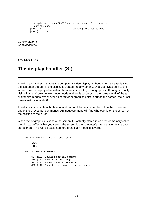```
 displayed as an ATASCII character, even if it is an editor
   control code
[CTRL][1] screen print start/stop<br>[CTRL] $FD
[ CTRL]
```
Go to chapter 6 Go to chapter 8

#### **CHAPTER 8**

# **The display handler (S:)**

The display handler manages the computer's video display. Although no data ever leaves the computer through it, the display is treated like any other CIO device. Data sent to the screen may be displayed as either characters or point by point graphics. Although it is only visible in the 40 column text mode, mode 0, there is a cursor on the screen in all of the text or graphics modes. Whenever a character or graphics point is put on the screen, the cursor moves just as in mode 0.

The display is capable of both input and output. Information can be put on the screen with any of the CIO output commands. An input command will find whatever is on the screen at the position of the cursor.

When text or graphics is sent to the screen it is actually stored in an area of memory called the display buffer. What you see on the screen is the computer's interpretation of the data stored there. This will be explained further as each mode is covered.

 DISPLAY HANDLER SPECIAL FUNCTIONS: DRAW FILL SPECIAL ERROR STATUSES: \$84 (132) Invalid special command. \$8D (141) Cursor out of range. \$91 (145) Nonexistant screen mode. \$93 (147) Insufficient ram for screen mode.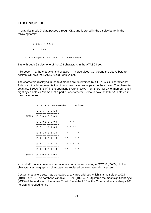## **TEXT MODE 0**

In graphics mode 0, data passes through CIO, and is stored in the display buffer in the following format.

 7 6 5 4 3 2 1 0 −−−−−−−−−−−−−−−−− |I| Data | −−−−−−−−−−−−−−−−−

I 1 = displays character in inverse video.

Bits 0 through 6 select one of the 128 characters in the ATASCII set.

If bit seven = 1, the character is displayed in inverse video. Converting the above byte to decimal will give the BASIC ASC(x) equivalent.

The characters displayed in the text modes are determined by tHE ATASCII character set. This is a bit by bit representation of how the characters appear on the screen. The character set starts \$E000 (57344) in the operating system ROM. From there, for 1K of memory, each eight bytes holds a "bit map" of a particular character. Below is how the letter A is stored in the character set.

```
 Letter A as represented in the C−set
             7 6 5 4 3 2 1 0
−−−−−−−−−−−−−−−−−−−−−−
      $E208 |0 0 0 0 0 0 0 0|
               −−−−−−−−−−−−−−−−−
             |0 0 0 1 1 0 0 0| * *
             −−−−−−−−−−−−−−−−−
            |0 0 1 1 1 1 0 0| * * * *
             −−−−−−−−−−−−−−−−−
            |0 1 1 0 0 1 1 0| * * * *
             −−−−−−−−−−−−−−−−−
            |0 1 1 0 0 1 1 0| * * * *
             −−−−−−−−−−−−−−−−−
            |0 1 1 1 1 1 1 0| * * * * * *
             −−−−−−−−−−−−−−−−−
            |0 1 1 0 0 1 1 0| * * * *
              −−−−−−−−−−−−−−−−−
      $E20F |0 0 0 0 0 0 0 0|
             −−−−−−−−−−−−−−−−−
```
XL and XE models have an international character set starting at \$CC00 (55224). In this character set the graphics characters are replaced by international characters.

Custom characters sets may be loaded at any free address which is a multiple of 1,024 (\$0400, or 1K). The database variable CHBAS [\$02F4 (756)] stores the most significant byte (MSB) of the address of the active C−set. Since the LSB of the C−set address is always \$00, no LSB is needed to find it.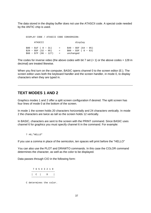The data stored in the display buffer does not use the ATASCII code. A special code needed by the ANTIC chip is used.

 DISPLAY CODE / ATASCII CODE CONVERSION: ATASCII display \$00 − \$1F ( 0 − 31) = \$40 − \$5F (64 − 95) \$20 − \$5F (32 − 95) = \$00 − \$3F ( 0 − 63) \$60 − \$7F (96 − 127) = unchanged

The codes for inverse video (the above codes with bit 7 set  $(= 1)$  or the above codes  $+ 128$  in decimal) are treated likewise.

When you first turn on the computer, BASIC opens channel 0 to the screen editor (E:). The screen editor uses both the keyboard handler and the screen handler, in mode 0, to display characters when they are typed in.

#### **TEXT MODES 1 AND 2**

Graphics modes 1 and 2 offer a split screen configuration if desired. The split screen has four lines of mode 0 at the bottom of the screen.

In mode 1 the screen holds 20 characters horizontally and 24 characters vertically. In mode 2 the characters are twice as tall so the screen holds 12 vertically.

In BASIC, characters are sent to the screen with the PRINT command. Since BASIC uses channel 6 for graphics you must specify channel 6 in the command. For example:

```
 ? #6;"HELLO"
```
If you use a comma in place of the semicolon, ten spaces will print before the "HELLO"

You can also use the PLOT and DRAWTO commands. In this case the COLOR command determines the character, as well as the color to be displayed.

Data passes through CIO in the following form:

 7 6 5 4 3 2 1 0 −−−−−−−−−−−−−−−−− | C | D | −−−−−−−−−−−−−−−−−

C determines the color.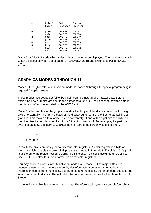| C | Default<br>Color | Color<br>Register | Shadow<br>Register |
|---|------------------|-------------------|--------------------|
| 0 | green            | COLPF1            | COLOR1             |
| 1 | qold             | COLPF0            | COLOR <sub>0</sub> |
| 2 | qold             | COLPF0            | COLOR <sub>0</sub> |
| 3 | green            | COLPF1            | COLOR1             |
| 4 | red              | COLPF3            | COLOR3             |
| 5 | blue             | COLPF2            | COLOR2             |
| 6 | blue             | COLPF2            | COLOR2             |
| 7 | red              | COLPF3            | COLOR3             |

D is a 5 bit ATASCII code which selects the character to be displayed. The database variable CHBAS selects between upper case (CHBAS=\$E0 (224)) and lower case (CHBAS=\$E2 (226)).

#### **GRAPHICS MODES 3 THROUGH 11**

Modes 3 through 8 offer a split screen mode. In modes 9 through 11 special programming is required for split screens.

These modes use dot by dot (pixel by pixel) graphics instead of character sets. Before explaining how graphics are sent to the screen through CIO, I will describe how the data in the display buffer is interpreted by the ANTIC chip.

Mode 8 is the simplest of the graphics modes. Each byte of the display buffer controls eight pixels horizontally. The first 40 bytes of the display buffer control the first horizontal line of graphics. This makes a total of 320 pixels horizontally. If one of the eight bits of a byte is a 1 then the pixel it controls is on. If a bit is a 0 then it's pixel is off. For example, if a particular byte is equal to \$9B (binary 10011011) then its' part of the screen would look like...

 \* \*\* \*\* (10011011)

In reality the pixels are assigned to different color registers. A color register is a byte of memory which controls the color of all pixels assigned to it. In mode 8, if a bit is  $= 0$  it's pixel is assigned to the register called COLBK. If a bit is one, it's pixel is assigned to COLPF0. See COLORS below for more information on the color registers.

You may notice a close similarity between mode 0 and mode 8. The major difference between these modes is where the dot by dot information comes from. In mode 8 this information comes from the display buffer. In mode 0 the display buffer contains codes telling what characters to display. The actual dot by dot information comes for the character set at \$E000.

In mode 7 each pixel is controlled by two bits. Therefore each byte only controls four pixels.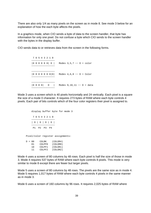There are also only 1/4 as many pixels on the screen as in mode 8. See mode 3 below for an explanation of how the each byte affects the pixels.

In a graphics mode, when CIO sends a byte of data to the screen handler, that byte has information for only one pixel. Do not confuse a byte which CIO sends to the screen handler with the bytes in the display buffer.

CIO sends data to or retrieves data from the screen in the following forms.

 7 6 5 4 3 2 1 0 −−−−−−−−−−−−−−−−− |0 0 0 0 0 0| D | Modes 3,5,7 −− D = color −−−−−−−−−−−−−−−−− −−−−−−−−−−−−−−−−− |0 0 0 0 0 0 0|D| Modes 4,6,8 −− D = Color −−−−−−−−−−−−−−−−− −−−−−−−−−−−−−−−−− |0 0 0 0| D | Modes 9,10,11 −− D = data −−−−−−−−−−−−−−−−−

Mode 3 uses a screen which is 40 pixels horizontally and 24 vertically. Each pixel is a square the size of a mode 0 character. It requires 273 bytes of RAM where each byte controls 4 pixels. Each pair of bits controls which of the four color registers their pixel is assigned to.

```
 display buffer byte for mode 3
          7 6 5 4 3 2 1 0
         −−−−−−−−−−−−−−−−−
          | D | D | D | D |
 −−−−−−−−−−−−−−−−−
          P1 P2 P3 P4
      Pixel/color register assignments:
     D = 00 COLBK (COLOR4)
         01 COLPF0 (COLOR0)
         10 COLPF1 (COLOR1)
         11 COLPF2 (COLOR2)
```
Mode 4 uses a screen of 80 columns by 48 rows. Each pixel is half the size of those in mode 3. Mode 4 requires 537 bytes of RAM where each byte controls 8 pixels. This mode is very similar to mode 8 except there are fewer but larger pixels.

Mode 5 uses a screen of 80 columns by 48 rows. The pixels are the same size as in mode 4. Mode 5 requires 1,017 bytes of RAM where each byte controls 4 pixels in the same manner as in mode 3.

Mode 6 uses a screen of 160 columns by 96 rows. It requires 2,025 bytes of RAM where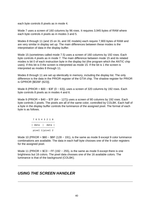each byte controls 8 pixels as in mode 4.

Mode 7 uses a screen of 160 columns by 96 rows. It requires 3,945 bytes of RAM where each byte controls 4 pixels as in modes 3 and 5.

Modes 8 through 11 (and 15 on XL and XE models) each require 7,900 bytes of RAM and are very similar in display set up. The main differences between these modes is the interpretation of data in the display buffer.

Mode 15 (sometimes called mode 7.5) uses a screen of 160 columns by 192 rows. Each byte controls 4 pixels as in mode 7. The main difference between mode 15 and its related modes is bit 0 of each instruction byte in the display list (the program which the ANTIC chip uses). If this bit is 0 the screen is interpreted as mode 15. If the bit is 1 the screen is interpreted as modes 8 through 11.

Modes 8 through 11 are set up identically in memory, including the display list. The only difference is the data in the PRIOR register of the GTIA chip. The shadow register for PRIOR is GPRIOR [\$026F (623)].

Mode 8 (PRIOR =  $$00 - $3F (0 - 63)$ ), uses a screen of 320 columns by 192 rows. Each byte controls 8 pixels as in modes 4 and 6.

Mode 9 (PRIOR =  $$40 - $7F (64 - 127)$ ) uses a screen of 80 columns by 192 rows. Each byte controls 2 pixels. The pixels are all of the same color, controlled by COLBK. Each half of a byte in the display buffer controls the luminance of the assigned pixel. The format of each byte is as follows.

 7 6 5 4 3 2 1 0 −−−−−−−−−−−−−−−−− | data | data | −−−−−−−−−−−−−−−−− pixel 1|pixel 2

Mode 10 (PRIOR =  $$80 - $BF (128 - 191)$ , is the same as mode 9 except 9 color luminance combinations are available. The data in each half byte chooses one of the 9 color registers for the assigned pixel.

Mode 11 (PRIOR =  $$CO - FF$  (192 – 255), is the same as mode 9 except there is one brightness but 16 colors. The pixel data chooses one of the 16 available colors. The luminance is that of the background (COLBK).

## **USING THE SCREEN HANDLER**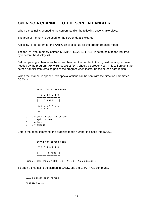## **OPENING A CHANNEL TO THE SCREEN HANDLER**

When a channel is opened to the screen handler the following actions take place:

The area of memory to be used for the screen data is cleared.

A display list (program for the ANTIC chip) is set up for the proper graphics mode.

The top−of−free−memory pointer, MEMTOP [\$02E5,2 (741)], is set to point to the last free byte before the display list.

Before opening a channel to the screen handler, the pointer to the highest memory address needed by the program, APPMHI [\$000E,2 (14)], should be properly set. This will prevent the screen handler from erasing part of the program when it sets−up the screen data region.

When the channel is opened, two special options can be sent with the direction parameter (ICAX1).

 ICAX1 for screen open 7 6 5 4 3 2 1 0 −−−−−−−−−−−−−−−−− | C S W R | −−−−−−−−−−−−−−−−− 1 6 3 1 8 4 2 1 2 4 2 6 e a construction de la propieta de la propieta de la propieta de la propieta de la propieta de la propieta de<br>En 1888, en 1888, en 1888, en 1888, en 1888, en 1888, en 1888, en 1888, en 1888, en 1888, en 1888, en 1888, en C 1 = don't clear the screen S 1 = split screen  $R$  1 = input  $W = 1 =$  output

Before the open command, the graphics mode number is placed into ICAX2.

 ICAX2 for screen open 7 6 5 4 3 2 1 0 −−−−−−−−−−−−−−−−− | : mode | −−−−−−−−−−−−−−−−− mode = \$00 through \$0B (0 − 11 (0 − 15 on XL/XE))

To open a channel to the screen in BASIC use the GRAPHICS command.

 BASIC screen open format GRAPHICS mode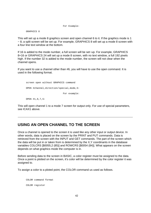#### For Example:

GRAPHICS 8

This will set up a mode 8 graphics screen and open channel 6 to it. If the graphics mode is 1 − 8, a split screen will be set up. For example, GRAPHICS 8 will set up a mode 8 screen with a four line text window at the bottom.

If 16 is added to the mode number, a full screen will be set−up. For example, GRAPHICS 8+16 or GRAPHICS 24 will set up a mode 8 screen, with no text window, a full 192 pixels high. If the number 32 is added to the mode number, the screen will not clear when the channel opens.

If you want to use a channel other than #6, you will have to use the open command. It is used in the following format.

```
 screen open without GRAPHICS command
 OPEN #channel,direction/special,mode,S:
                            For example:
 OPEN #1,8,7,S:
```
This will open channel 1 to a mode 7 screen for output only. For use of special parameters, see ICAX1 above.

## **USING AN OPEN CHANNEL TO THE SCREEN**

Once a channel is opened to the screen it is used like any other input or output device. In other words, data is placed on the screen by the PRINT and PUT commands. Data is retrieved from the screen with the INPUT and GET commands. The part of the screen which the data will be put in or taken from is determined by the X,Y coordinants in the database variables COLCRS [\$0055,2 (85)] and ROWCRS [\$0054 (84)]. What appears on the screen depends on what graphics mode the computer is in.

Before sending data to the screen in BASIC, a color register must be assigned to the data. Once a point is plotted on the screen, it's color will be determined by the color register it was assigned to.

To assign a color to a ploted point, the COLOR command us used as follows.

 COLOR command format COLOR register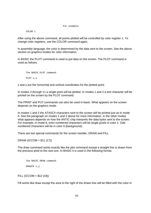```
 For example,
```
COLOR 1

After using the above command, all points plotted will be controlled by color register 1. To change color registers, use the COLOR command again.

In assembly language, the color is determined by the data sent to the screen. See the above section on graphics modes for color information.

In BASIC the PLOT command is used to put data on the screen. The PLOT command is used as follows.

```
 The BASIC PLOT command
 PLOT x,y
```
x and y are the horizontal and vertical coordinates for the plotted point.

In modes 3 through 11 a single point will be plotted. In modes 1 and 2 a text character will be printed on the screen by the PLOT command.

The PRINT and PUT commands can also be used in basic. What appears on the screen depends on the graphics mode.

In modes 1 and 2 the ATASCII characters sent to the screen will be printed just as in mode 0. See the paragraph on modes 1 and 2 above for more information. In the other modes what appears depends on how the ANTIC chip interprets the data bytes sent to the screen. For example, in mode 8, even numbered characters will be single pixels in color 1. Odd numbered characters will be in color 0 (background).

There are two special commands for the screen handler, DRAW and FILL

 $DRAW (ICCOM = $11 (17))$ 

The draw command works exactly like the plot command except a straight line is drawn from the previous pixel to the new one. In BASIC it is used in the following format.

```
 the BASIC DRAW command
 DRAWTO x,y
```
 $FILL (ICCOM = $12 (18))$ 

Fill works like draw except the area to the right of the drawn line will be filled with the color in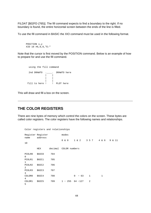FILDAT [\$02FD (765)]. The fill command expects to find a boundary to the right. If no boundary is found, the entire horizontal screen between the ends of the line is filled.

To use the fill command in BASIC the XIO command must be used in the following format.

```
 POSITION x,y
 XIO 18 #6,0,0,"E:"
```
Note that the cursor is first moved by the POSITION command. Below is an example of how to prepare for and use the fill command.

```
 using the fill command
     2nd DRAWTO .____. DRAWTO here
 | |
 | |
 | |
fill to here !! PLOT here
```
This will draw and fill a box on the screen.

## **THE COLOR REGISTERS**

There are nine bytes of memory which control the colors on the screen. These bytes are called color registers. The color registers have the following names and relationships.

|                         | Register Register |         | modes         |                          |                |       |        |
|-------------------------|-------------------|---------|---------------|--------------------------|----------------|-------|--------|
| name                    | address           |         | 0 & 8         | $1 \& 2$                 | 3 5 7          | 4 & 6 | 9 & 11 |
| 10                      |                   |         |               |                          |                |       |        |
|                         | HEX               | decimal | COLOR numbers |                          |                |       |        |
| PCOLR0<br>$\Omega$      | \$02C0            | 704     |               |                          |                |       |        |
| PCOLR1<br>$\mathbf{1}$  | \$02C1            | 705     |               |                          |                |       |        |
| PCOLR2<br>2             | \$02C2            | 706     |               |                          |                |       |        |
| PCOLR3<br>3             | \$02C3            | 707     |               |                          |                |       |        |
| COLOR <sub>0</sub><br>4 | \$02C4            | 708     |               | 63<br>$\Omega$<br>$\sim$ | 1              | 1     |        |
| COLOR1<br>5             | \$02C5            | 709     | $1 - 255$     | $64 - 127$               | $\overline{a}$ |       |        |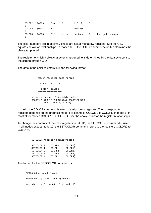| COLOR2<br>6 | \$02C6 | 710 |        | 128-191     | ર |                 |  |
|-------------|--------|-----|--------|-------------|---|-----------------|--|
| COLOR3<br>7 | \$02C7 | 711 |        | $192 - 255$ |   |                 |  |
| COLOR4<br>8 | \$02C8 | 712 | border | backgnd     | 0 | backgnd backgnd |  |

The color numbers are in decimal. These are actually shadow registers. See the O.S. equates below for relationships. In modes 0 − 3 the COLOR number actually determines the character printed

The register to which a pixel/character is assigned to is determined by the data byte sent to the screen through CIO.

The data in the color registers in in the following format.

```
 Color register data format
                7 6 5 4 3 2 1 0
               −−−−−−−−−−−−−−−−−
               | color |bright |
−−−−−−−−−−−−−−−−−−−−−−−
          color = one of 16 possible colors
          bright = one of 8 possible brightnesses 
                 (even numbers, 0 − E)
```
In basic, the COLOR command is used to assign color registers. The corresponding registers depends on the graphics mode. For example, COLOR 0 is COLOR2 in mode 8. In most other modes COLOR 0 is COLOR4. See the above chart for the register relationships.

To change the contents of the color registers in BASIC, the SETCOLOR command is used. In all modes except mode 10, the SETCOLOR command refers to the registers COLOR0 to COLOR4.

#### SETCOLOR/register relationships

| SETCOLOR <sub>0</sub> | COLPF0 | (COLORO) |
|-----------------------|--------|----------|
| SETCOLOR 1            | COLPF1 | (CODOR1) |
| SETCOLOR <sub>2</sub> | COLPF2 | (COLOR2) |
| SETCOLOR <sub>3</sub> | COLPF3 | (COLOR3) |
| SETCOLOR 4            | COLBK  | (CODOR4) |

The format for the SETCOLOR command is...

 SETCOLOR command format SETCOLOR register, hue, brightness  $register = 0 - 4 (0 - 8 in mode 10)$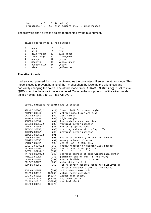```
hue = 0 - 15 (16 colors)
 brightness = 0 − 16 (even numbers only (8 brightnesses)
```
The following chart gives the colors represented by the hue number.

| O | qrey        | 8  | blue         |
|---|-------------|----|--------------|
|   | qold        | 9  | cyan         |
| 2 | qold-orange | 10 | blue-green   |
| 3 | red-orange  | 11 | blue-green   |
| 4 | orange      | 12 | green        |
| 5 | magenta     | 13 | yellow-green |
| 6 | purple-blue | 14 | yellow       |
| 7 | blue        | 15 | yellow-red   |

Useful database variables and OS equates

colors represented by hue numbers

#### **The attract mode**

If a key is not pressed for more than 9 minutes the computer will enter the attract mode. This mode is used to prevent burning of the TV phosphors by lowering the brightness and constantly changing the colors. The attract mode timer, ATRACT [\$004D (77)], is set to 254 (\$FE) when the the attract mode is entered. To force the computer out of the attract mode, poke a number less than 127 into ATRACT.

```
 APPMHI $000E,2 (14): lower limit for screen region
 ATRACT $004D (77): attract mode timer and flag
    ATRACT $004D (77): attract mode<br>
LMARGN $0052 (82): left margin<br>
RMARGN $0053 (83): right margin<br>
ROWCRS $0054 (84): horizontal
 RMARGN $0053 (83): right margin
 ROWCRS $0054 (84): horizontal cursor position
 COLCRS $0055,2 (85): vertical cursor position
 DINDEX $0057 (87): current graphics mode
 SAVMSC $0058,2 (88): starting address of display buffer
 OLDROW $005A (90): previous cursor position
 OLDCOL $005B,2 (91): " " "
 OLDCHR $005D (93): character currently at the text cursor
 OLDADR $005E,2 (94): memory address of cursor
 RAMTOP $006A (106): end−of−RAM + 1 (MSB only)
 SDLSTL $0230,2 (560): shadow register of display list address
 TXTROW $0290 (656): text window cursor position
 TXTCOL $0291,2 (657): " " " "
    TXTMSC $0294,2 (660): starting address of text window data buffer<br>RAMSIZ $02E4 (740): permanent end-of-RAM + 1 (MSB only)
                     (740): permanent end-of-RAM + 1 (MSB only)
 CRSINH $02F0 (752): cursor inhibit, 1 = no cursor
 FILDAT $02FD (765): color data for fill
                     (766): if >0 screen control codes are displayed as
                              ATASCII characters (EOL is uneffected)
    SSFLAG $02FF (767): > 0 = stop screen print
 COLPM0 $D012 (53266): actual color registers
 COLPM1 $D013 (53267): loaded from shadow
     COLPM2 $D014 (53268): registers during
 COLPM3 $D015 (53269): vertical blank
 COLPF0 $D016 (53270):
```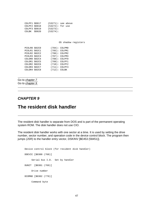|  | COLPF1 \$D017                       |              | $(53271):$ see above |  |
|--|-------------------------------------|--------------|----------------------|--|
|  | $COLPF2$ \$D018 $(53272)$ : for use |              |                      |  |
|  | COLPF3 \$D019 (53273):              |              |                      |  |
|  | COLBK \$D020 (53274):               |              |                      |  |
|  |                                     |              |                      |  |
|  |                                     |              |                      |  |
|  |                                     |              |                      |  |
|  |                                     |              | OS shadow registers  |  |
|  |                                     |              |                      |  |
|  | PCOLRO \$02C0 (704): COLPMO         |              |                      |  |
|  | PCOLR1 \$02C1 (705): COLPM1         |              |                      |  |
|  | PCOLR2 \$02C2 (706): COLPM2         |              |                      |  |
|  | PCOLR3 \$02C3 (707): COLPM3         |              |                      |  |
|  | COLORO \$02C4 (708): COLPFO         |              |                      |  |
|  | COLOR1 \$02C5 (709): COLPF1         |              |                      |  |
|  | COLOR2 \$02C6 (710): COLPF2         |              |                      |  |
|  | $COLOR3 $02C7$ (711): $COLPF3$      |              |                      |  |
|  | COLOR4 \$02C8                       | (712): COLBK |                      |  |
|  |                                     |              |                      |  |
|  |                                     |              |                      |  |
|  |                                     |              |                      |  |

Go to chapter 7 Go to chapter 9

## **CHAPTER 9**

# **The resident disk handler**

The resident disk handler is separate from DOS and is part of the permanent operating system ROM. The disk handler does not use CIO.

The resident disk handler works with one sector at a time. It is used by setting the drive number, sector number, and operation code in the device control block. The program then jumps (JSR) to the handler entry vector, DSKINV [\$E453 (58451)].

 Device control block (for resident disk handler) DDEVIC [\$0300 (768)] Serial bus I.D. Set by handler DUNIT [\$0301 (769)] Drive number DCOMND [\$0302 (770)] Command byte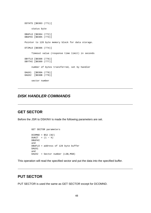```
 DSTATS [$0303 (771)]
          status byte
     DBUFLO [$0304 (772)]
     DBUFHI [$0305 (773)]
     Pointer to 128 byte memory block for data storage.
     DTIMLO [$0306 (774)]
          Timeout value (response time limit) in seconds
     DBYTLO [$0308 (776)]
     DBYTHI [$0309 (777)]
          number of bytes transferred, set by handler
 DAUX1 [$030A (778)]
 DAUX2 [$030B (779)]
          sector number
```
## **DISK HANDLER COMMANDS**

#### **GET SECTOR**

Before the JSR to DSKINV is made the following parameters are set.

```
 GET SECTOR parameters
DCOMND = $52 (82)DUNIT = (1 - 4) DBUFHI
 and
 DBUFLO = address of 128 byte buffer
 DAUX1
 and
 DAUX2 = Sector number (LSB,MSB)
```
This operation will read the specified sector and put the data into the specified buffer.

## **PUT SECTOR**

PUT SECTOR is used the same as GET SECTOR except for DCOMND.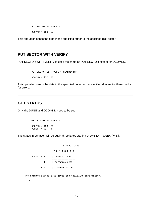PUT SECTOR parameters  $DCOMND = $50 (80)$ 

This operation sends the data in the specified buffer to the specified disk sector.

## **PUT SECTOR WITH VERIFY**

PUT SECTOR WITH VERIFY is used the same as PUT SECTOR except for DCOMND.

```
 PUT SECTOR WITH VERIFY parameters
DCOMND = $57 (87)
```
This operation sends the data in the specified buffer to the specified disk sector then checks for errors.

## **GET STATUS**

Only the DUNIT and DCOMND need to be set

```
 GET STATUS parameters
DCOMND = $53 (83)DUNIT = (1 - 4)
```
The status information will be put in three bytes starting at DVSTAT [\$02EA (746)].

```
 Status format
                7 6 5 4 3 2 1 0
                −−−−−−−−−−−−−−−−−
DVSTAT + 0 | command stat |
               −−−−−−−−−−−−−−−−−
        + 1 | hardware stat |
                −−−−−−−−−−−−−−−−−
        + 2 | timeout value |
                −−−−−−−−−−−−−−−−−
```
The command status byte gives the following information.

Bit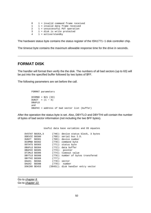```
 0 1 = invalid command frame received
 1 1 = invalid data frame received
 2 1 = unsuccessful PUT operation
 3 1 = disk is write protected
4 \t1 = \text{active/standby}
```
The hardware status byte contains the status register of the ISN1771−1 disk controller chip.

The timeout byte contains the maximum allowable response time for the drive in seconds.

## **FORMAT DISK**

The handler will format then verify the the disk. The numbers of all bad sectors (up to 63) will be put into the specified buffer followed by two bytes of \$FF.

The following parameters are set before the call.

```
 FORMAT parameters
 DCOMND = $21 (33)
DUNIT = (1 - 4) DBUFLO
 and
 DBUFHI = address of bad sector list (buffer)
```
After the operation the status byte is set. Also, DBYTLO and DBYTHI will contain the number of bytes of bad sector information (not including the two \$FF bytes).

Useful data base variables and OS equates

|               | DVSTAT \$02EA,3 |           | $(746)$ : device status block, 3 bytes |
|---------------|-----------------|-----------|----------------------------------------|
| DDEVIC \$0300 |                 |           | $(768)$ : serial bus I.D.              |
|               | DUNIT \$0301    |           | $(769)$ : device number                |
|               | DCOMND \$0302   |           | $(770):$ command byte                  |
|               | DSTATS \$0303   |           | $(771)$ : status byte                  |
|               | DBUFLO \$0304   |           | (772): data buffer                     |
|               | DBUFHI \$0305   |           | $(773)$ : pointer                      |
| DTIMLO \$0306 |                 |           | (774): timeout value                   |
| DBYTLO \$0308 |                 |           | (776): number of bytes transfered      |
| DBYTHI \$0309 |                 | $(777)$ : |                                        |
| DAUX1 \$030A  |                 |           | $(778):$ sector                        |
| DAUX2 \$030B  |                 |           | $(779):$ number                        |
|               | DSKINV \$E453   |           | (58451): disk handler entry vector     |

Go to chapter 8 Go to chapter 10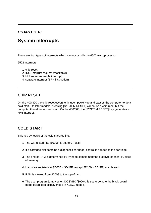## **CHAPTER 10**

# **System interrupts**

There are four types of interrupts which can occur with the 6502 microprocessor:

6502 interrupts

- 1. chip reset
- 2. IRQ, interrupt request (maskable)
- 3. MNI (non−maskable interrupt)
- 4. software interrupt (BRK instruction)

## **CHIP RESET**

On the 400/800 the chip reset occurs only upon power−up and causes the computer to do a cold start. On later models, pressing [SYSTEM RESET] will cause a chip reset but the computer then does a warm start. On the 400/800, the [SYSTEM RESET] key generates a NMI interrupt.

## **COLD START**

This is a synopsis of the cold start routine.

- 1. The warm start flag [\$0008] is set to 0 (false)
- 2. If a cartridge slot contains a diagnostic cartridge, control is handed to the cartridge.
- 3. The end of RAM is determined by trying to complement the first byte of each 4K block of memory.
- 4. Hardware registers at \$D000 − \$D4FF (except \$D100 − \$D1FF) are cleared.
- 5. RAM is cleared from \$0008 to the top of ram.
- 6. The user program jump vector, DOSVEC [\$000A] is set to point to the black board mode (Atari logo display mode in XL/XE models).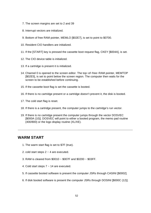- 7. The screen margins are set to 2 and 39
- 8. Interrupt vectors are initialized.
- 9. Bottom of free RAM pointer, MEMLO [\$02E7], is set to point to \$0700.
- 10. Resident CIO handlers are initialized.
- 11. If the [START] key is pressed the cassette boot request flag, CKEY [\$004A], is set.
- 12. The CIO device table is initialized.
- 13. If a cartridge is present it is initialized.
- 14. Channel 0 is opened to the screen editor. The top−of−free−RAM pointer, MEMTOP [\$02E5], is set to point below the screen region. The computer then waits for the screen to be established before continuing.
- 15. If the cassette boot flag is set the cassette is booted.
- 16. If there is no cartridge present or a cartridge doesn't prevent it, the disk is booted.
- 17. The cold start flag is reset.
- 18. If there is a cartridge present, the computer jumps to the cartridge's run vector.
- 19. If there is no cartridge present the computer jumps through the vector DOSVEC [\$000A (10)]. DOSVEC will point to either a booted program, the memo pad routine (400/800) or the logo display routine (XL/XE).

## **WARM START**

- 1. The warm start flag is set to \$7F (true).
- 2. cold start steps 2 − 4 are executed.
- 3. RAM is cleared from \$0010 − \$007F and \$0200 − \$03FF.
- 4. Cold start steps 7 − 14 are executed.
- 5. If cassette booted software is present the computer JSRs through CASINI [\$0002].
- 6. If disk booted software is present the computer JSRs through DOSINI [\$000C (12)].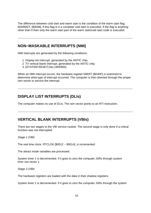The difference between cold start and warm start is the condition of the warm start flag, WARMST, [\$0008]. If this flag is 0 a complete cold start is executed. If the flag is anything other than 0 then only the warm start part of the warm start/cold start code is executed.

## **NON−MASKABLE INTERRUPTS (NMI)**

NMI interrupts are generated by the following conditions:

- 1. Display list interrupt, generated by the ANTIC chip.
- 2. TV vertical blank interrupt, generated by the ANTIC chip.
- 3. [SYSTEM RESET] key (400/800).

When an NMI interrupt occurs, the hardware register NMIST [\$D40F] is examined to determine what type of interrupt occurred. The computer is then directed through the proper ram vector to service the interrupt.

## **DISPLAY LIST INTERRUPTS (DLIs)**

The computer makes no use of DLIs. The ram vector points to an RTI instruction.

## **VERTICAL BLANK INTERRUPTS (VBIs)**

There are two stages to the VBI service routine. The second stage is only done if a critical function was not interrupted.

Stage 1 (VBI)

The real time clock, RTCLOK [\$0012 − \$0014], is incremented.

The attract mode variables are processed.

System timer 1 is decremented. If it goes to zero the computer JSRs through system time−out vector 1.

Stage 2 (VBI)

The hardware registers are loaded with the data in their shadow registers.

System timer 2 is decremented. If it goes to zero the computer JSRs through the system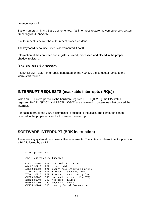time−out vector 2.

System timers 3, 4, and 5 are decremented. If a timer goes to zero the computer sets system timer flags 3, 4, and/or 5.

If auto−repeat is active, the auto−repeat process is done.

The keyboard debounce timer is decremented if not 0.

Information at the controller port registers is read, processed and placed in the proper shadow registers.

**ISYSTEM RESETI INTERRUPT** 

If a [SYSTEM RESET] interrupt is generated on the 400/800 the computer jumps to the warm start routine.

## **INTERRUPT REQUESTS (maskable interrupts (IRQs))**

When an IRQ interrupt occurs the hardware register IRQST [\$D20E], the PIA status registers, PACTL [\$D302] and PBCTL [\$D303] are examined to determine what caused the interrupt.

For each interrupt, the 6502 accumulator is pushed to the stack. The computer is then directed to the proper ram vector to service the interrupt.

#### **SOFTWARE INTERRUPT (BRK instruction)**

The operating system doesn't use software interrupts. The software interrupt vector points to a PLA followed by an RTI.

```
 Interrupt vectors
     Label address type function
     VDSLST $0200 NMI DLI Points to an RTI
     VVBLKI $0222 NMI stage 1 VBI
 VVBLKD $0224 NMI return−from−interrupt routine
 CDTMA1 $0226 NMI time−out 1 (used by SIO)
     CDTMA2 $0228 NMI time−out 2 (not used by OS)
     VPRCED $0202 IRQ not used (points to PLA,RTI)
     VINTER $0204 IRQ not used (PLA,RTI)
     VKEYBD $0208 IRQ keyboard interrupt
     VSERIN $020A IRQ used by Serial I/O routine
```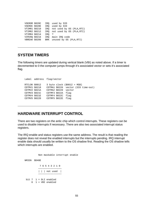```
 VSEROR $020C IRQ used by SIO
     VSEROC $020E IRQ used by SIO
     VTIMR1 $0210 IRQ not used by OS (PLA,RTI)
     VTIMR2 $0212 IRQ not used by OS (PLA,RTI)
     VTIMR4 $0214 IRQ ?
 VIMIRQ $0216 IRQ main IRQ code
 VBREAK $0206 BRK unused by OS (PLA,RTI)
```
#### **SYSTEM TIMERS**

The following timers are updated during vertical blank (VBI) as noted above. If a timer is decremented to 0 the computer jumps through it's associated vector or sets it's associated flag.

```
 Label address flag/vector
 RTCLOK $0012 3 byte clock ($0012 = MSB)
 CDTMV1 $0218 CDTMA1 $0226 vector (SIO time−out)
 CDTMV2 $021A CDTMA2 $0228 vector
 CDTMV3 $021C CDTMF3 $022A flag
 CDTMV4 $021E CDTMF4 $022C flag
 CDTMV5 $0220 CDTMF5 $022E flag
```
#### **HARDWARE INTERRUPT CONTROL**

There are two registers on the antic chip which control interrupts. These registers can be used to disable interrupts if necessary. There are also two associated interrupt status registers.

The IRQ enable and status registers use the same address. The result is that reading the register does not reveal the enabled interrupts but the interrupts pending. IRQ interrupt enable data should usually be written to the OS shadow first. Reading the OS shadow tells which interrupts are enabled.

```
 Non maskable interrupt enable
 NMIEN $D40E
             7 6 5 4 3 2 1 0
            −−−−−−−−−−−−−−−−−
            | | | not used |
            −−−−−−−−−−−−−−−−−
 bit 7 \quad 1 = \text{DLI} enabled
      6 1 = VBI enabled
```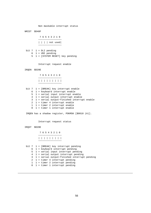Non maskable interrupt status

 NMIST \$D40F 7 6 5 4 3 2 1 0 −−−−−−−−−−−−−−−−− | | | | not used −−−−−−−−−−−−−−−−− bit 7 1 = DLI pending 6 1 = VBI pending 5 1 = [SYSTEM RESET] key pending Interrupt request enable IRQEN \$D20E 7 6 5 4 3 2 1 0 −−−−−−−−−−−−−−−−−−−−−−− | | | | | | | | | −−−−−−−−−−−−−−−−−−−−−−− bit 7 1 = [BREAK] key interrupt enable 6 1 = keyboard interrupt enable 5 1 = serial input interrupt enable 4 1 = serial output interrupt enable 3 1 = serial output−finished interrupt enable 2 1 = timer 4 interrupt enable 1 1 = timer 2 interrupt enable 0 1 = timer 1 interrupt enable IRQEN has a shadow register, POKMSK [\$0010 (A)]. Interrupt request status IRQST \$D20E 7 6 5 4 3 2 1 0 −−−−−−−−−−−−−−−−− | | | | | | | | | −−−−−−−−−−−−−−−−−−−−−−− bit 7 1 = [BREAK] key interrupt pending 6 1 = keyboard interrupt pending 5 1 = serial input interrupt pending 4 1 = serial output interrupt pending 3 1 = serial output−finished interrupt pending 2 1 = timer 4 interrupt pending 1 1 = timer 2 interrupt pending 0 1 = timer 1 interrupt pending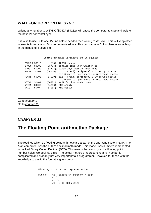## **WAIT FOR HORIZONTAL SYNC**

Writing any number to WSYNC [\$D40A (54282)] will cause the computer to stop and wait for the next TV horizontal sync.

It is wise to use DLIs one TV line before needed then writing to WSYNC. This will keep other interrupts from causing DLIs to be serviced late. This can cause a DLI to change something in the middle of a scan line.

Useful database variables and OS equates

| POKMSK \$0010 |       | $(16)$ : IRQEN shadow                                  |
|---------------|-------|--------------------------------------------------------|
| IROEN         | SD20E | (53774): enables IROs when written to                  |
| IROST         | SD20E | (53774); gives IROs waiting when read                  |
| PACTL         | SD302 | $(54018)$ : bit 7 (read) peripheral A interrupt status |
|               |       | bit 0 (write) peripheral A interrupt enable            |
| PBCTL         | SD303 | $(54019)$ : bit 7 (read) peripheral B interrupt status |
|               |       | bit 0 (write) peripheral B interrupt enable            |
| WSYNC         | SD40A | (54282): wait for horizontal sync                      |
| NMIEN         | SD40E | (54286): NMI enable                                    |
| NMIST         | SD40F | $(54287):$ NMI status                                  |
|               |       |                                                        |

Go to chapter 9 Go to chapter 11

## **CHAPTER 11**

# **The Floating Point arithmethic Package**

The routines which do floating point arithmetic are a part of the operating system ROM. The Atari computer uses the 6502's decimal math mode. This mode uses numbers represented in packed Binary Coded Decimal (BCD). This means that each byte of a floating point number holds two decimal digits. The actual method of representing a full number is complicated and probably not very important to a programmer. However, for those with the knowledge to use it, the format is given below.

 Floating point number representation byte 0 xx excess 64 exponent + sign  $xx \setminus$  $\mathbf{x} \times \mathbf{x}$ xx > 10 BCD digits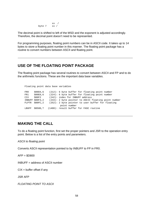xx / byte  $7$  xx /

The decimal point is shifted to left of the MSD and the exponent is adjusted accordingly. Therefore, the decimal point doesn't need to be represented.

For programming purposes, floating point numbers can be in ASCII code. It takes up to 14 bytes to store a floating point number in this manner. The floating point package has a routine to convert numbers between ASCII and floating point.

## **USE OF THE FLOATING POINT PACKAGE**

The floating point package has several routines to convert between ASCII and FP and to do the arithmetic functions. These are the important data base variables.

```
 Floating point data base variables
```

| FR0   | \$00D4.6        | $(212)$ : 6 byte buffer for floating point number    |
|-------|-----------------|------------------------------------------------------|
| FR1   | \$00E0.6        | $(224)$ : 6 byte buffer for floating point number    |
| CIX   | \$00F2          | $(242)$ : index for INBUFF address                   |
|       | INBUFF \$00F3,2 | (243): 2 byte pointer to ASCII floating point number |
|       | FLPTR \$00FC.2  | $(252):$ 2 byte pointer to user buffer for floating  |
|       |                 | point number                                         |
| LBUFF |                 | $$0580.$ ? $(1408)$ : result buffer for FASC routine |
|       |                 |                                                      |

## **MAKING THE CALL**

To do a floating point function, first set the proper pointers and JSR to the operation entry point. Below is a list of the entry points and parameters.

ASCII to floating point

Converts ASCII representation pointed to by INBUFF to FP in FR0.

AFP = \$D800

 $INRIJFF = address of ASCII number$ 

 $CIX = buffer$  offset if any

JSR AFP

FLOATING POINT TO ASCII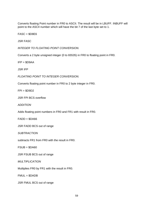Converts floating Point number in FR0 to ASCII. The result will be in LBUFF. INBUFF will point to the ASCII number which will have the bit 7 of the last byte set to 1.

 $FASC = $D8E6$ 

JSR FASC

INTEGER TO FLOATING POINT CONVERSION.

Converts a 2 byte unsigned integer (0 to 65535) in FR0 to floating point in FR0.

 $IFP = $D9AA$ 

JSR IFP

FLOATING POINT TO INTEGER CONVERSION.

Converts floating point number in FR0 to 2 byte integer in FR0.

 $FPI = $D9D2$ 

JSR FPI BCS overflow

ADDITION

Adds floating point numbers in FR0 and FR1 with result in FR0.

 $FADD = $DAG6$ 

JSR FADD BCS out of range

**SUBTRACTION** 

subtracts FR1 from FR0 with the result in FR0.

 $FSUB = $D A60$ 

JSR FSUB BCS out of range

MULTIPLICATION

Multiplies FR0 by FR1 with the result in FR0.

FMUL = \$DADB

JSR FMUL BCS out of range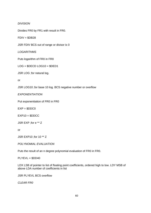#### DIVISION

Divides FR0 by FR1 with result in FR0.

 $FDIV = $DB28$ 

JSR FDIV BCS out of range or divisor is 0

LOGARITHMS

Puts logarithm of FR0 in FR0

 $LOG = $DECD LOG10 = $DED1$ 

JSR LOG ;for natural log.

or

JSR LOG10 ;for base 10 log. BCS negative number or overflow

EXPONENTIATION

Put exponentiation of FR0 in FR0

 $EXP = $DDC0$ 

 $EXP10 = SDDCC$ 

JSR EXP ;for e \*\* Z

or

JSR EXP10 ;for 10 \*\* Z

POLYNOMIAL EVALUATION

Puts the result of an n degree polynomial evaluation of FR0 in FR0.

 $PLYEVL = $DD40$ 

LDX LSB of pointer to list of floating point coefficients, ordered high to low. LDY MSB of above LDA number of coefficients in list

JSR PLYEVL BCS overflow

CLEAR FR0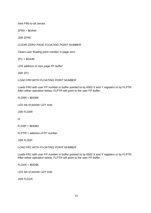Sets FR0 to all zeroes

 $ZFR0 = $DA44$ 

JSR ZFR0

CLEAR ZERO PAGE FLOATING POINT NUMBER

Clears user floating point number in page zero.

 $ZF1 = $DA46$ 

LDX address of zero page FP buffer

JSR ZF1

LOAD FR0 WITH FLOATING POINT NUMBER

Loads FR0 with user FP number in buffer pointed to by 6502 X and Y registers or by FLPTR. After either operation below, FLPTR will point to the user FP buffer.

 $FLDOR = SDD89$ 

LDX lsb of pointer LDY msb

JSR FLD0R

or

FLD0P = \$DD8D

 $FLPTR = address of FP number$ 

JSR FLD0P

LOAD FR1 WITH FLOATING POINT NUMBER

Loads FR1 with user FP number in buffer pointed to by 6502 X and Y registers or by FLPTR. After either operation below, FLPTR will point to the user FP buffer.

 $FLD1R = SDD98$ 

LDX lsb of pointer LDY msb

JSR FLD1R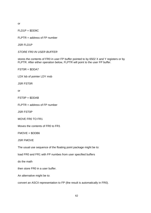or

 $FLD1P = $DD9C$ 

 $FLPTR = address of FP number$ 

JSR FLD1P

STORE FR0 IN USER BUFFER

stores the contents of FR0 in user FP buffer pointed to by 6502 X and Y registers or by FLPTR. After either operation below, FLPTR will point to the user FP buffer.

FST0R = \$DDA7

LDX lsb of pointer LDY msb

JSR FST0R

or

FST0P = \$DDAB

 $FLPTR = address of FP number$ 

JSR FST0P

MOVE FR0 TO FR1

Moves the contents of FR0 to FR1

FMOVE = \$DDB6

JSR FMOVE

The usual use sequence of the floating point package might be to:

load FR0 and FR1 with FP numbes from user specified buffers

do the math

then store FR0 in a user buffer.

An alternative might be to:

convert an ASCII representation to FP (the result is automatically in FR0).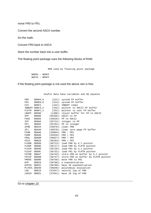move FR0 to FR1.

Convert the second ASCII number.

Do the math.

Convert FR0 back to ASCII.

Store the number back into a user buffer.

The floating point package uses the following blocks of RAM.

RAM used by floating point package

 \$00D4 − \$00FF \$057E − \$05FF

If the floating point package is not used the above ram is free.

| FR0           | \$00D4,6        | $(212)$ : system FP buffer                      |
|---------------|-----------------|-------------------------------------------------|
| FR1           | \$00E0,6        | $(224)$ : system FP buffer                      |
| CIX           | \$00F2          | $(242)$ : INBUFF index                          |
|               | INBUFF \$00F3,2 | $(243)$ : pointer to ASCII FP buffer            |
|               | FLPTR \$00FC,2  | (252): pointer to user FP buffer                |
| LBUFF         | \$0580          | (1408): result buffer for FP to ASCII           |
| AFP           | \$D800          | (55296): ASCII to FP                            |
| FASC          | SD8E6           | $(55526)$ : FP to ASCII                         |
| IFP           | \$D9AA          | $(55722)$ : integer to FP                       |
| FPI           | SD9D2           | $(55762)$ : FP to integer                       |
| ZFR0          | SDA44           | $(55876):$ clear FRO                            |
| ZF1           | SDA46           | (55878): clear zero page FP buffer              |
| FSUB          | SDA60           | $(55904):$ FRO - FR1                            |
| FADD          | \$DA66          | $(55910):$ FRO + FR1                            |
| FMUL          | \$DADB          | $(56027):$ FRO * FR1                            |
| FDIV          | \$DB28          | $(56104):$ FRO / FR1                            |
| FLD0R         | \$DD89          | $(56713)$ : load FRO by X, Y pointer            |
| FLD0P         | \$DD8D          | (56717): load FRO by FLPTR pointer              |
| FLD1R         | \$DD98          | $(56728)$ : load FR1 by X, Y pointer            |
| FLD1P         | \$DD9C          | (56732): load FR1 by FLPTR pointer              |
| FST0R         | \$DDA7          | $(56743)$ : store FRO at buffer by X, Y pointer |
| FST1P         | <b>\$DDAB</b>   | (56747): store FRO at buffer by FLPTR pointer   |
| <b>FMOVE</b>  | \$DDB6          | $(56758)$ : move FRO to FR1                     |
| EXP           | \$DDC0          | $(56768):$ e exponentiation                     |
| EXP10         | \$DDCC          | $(56780)$ : base 10 exponentiation              |
| PLYEVL \$DD40 |                 | $(56640)$ : polynomial evaluation               |
| <b>LOG</b>    | SDECD           | $(57037)$ : natural log of FRO                  |
| LOG10         | <b>SDED1</b>    | (57041): base 10 log of FR0                     |

Useful data base variables and OS equates

Go to chapter 10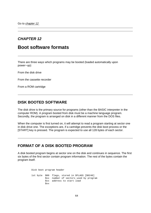## **CHAPTER 12**

# **Boot software formats**

There are three ways which programs may be booted (loaded automatically upon power−up):

From the disk drive

From the cassette recorder

From a ROM cartridge

## **DISK BOOTED SOFTWARE**

The disk drive is the primary source for programs (other than the BASIC interpreter in the computer ROM). A program booted from disk must be a machine language program. Secondly, the program is arranged on disk in a different manner from the DOS files.

When the computer is first turned on, it will attempt to read a program starting at sector one in disk drive one. The exceptions are, if a cartridge prevents the disk boot process or the [START] key is pressed. The program is expected to use all 128 bytes of each sector.

## **FORMAT OF A DISK BOOTED PROGRAM**

A disk booted program begins at sector one on the disk and continues in sequence. The first six bytes of the first sector contain program information. The rest of the bytes contain the program itself.

> Disk boot program header 1st byte \$00 flags, stored in DFLAGS [\$0240] \$xx number of sectors used by program \$xx address to start load \$xx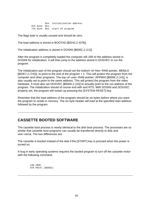\$xx initialization address 6th byte \$xx 7th byte \$xx start of program

The flags byte is usually unused and should be zero.

The load address is stored in BOOTAD [\$0242,2 (578)].

The initialization address is stored in DOSINI [\$000C,2 (12)].

After the program is completely loaded the computer will JSR to the address stored in DOSINI for initialization. It will then jump to the address stored in DOSVEC to run the program.

The initialization part of the program should set the bottom−of−free−RAM pointer, MEMLO [\$02E7,2 (743)], to point to the end of the program + 1. This will protect the program from the computer and other programs. The top−of−user−RAM pointer, APPMHI [\$000E,2 (14)], is also usually set to point to the same address. This will protect the program from the video hardware. It must also set DOSVEC [\$000A,2 (10)] to actually point to the run address of the program. The initialization should of course end with and RTS. With DOSINI and DOSVEC properly set, the program will restart up pressing the [SYSTEM RESET] key.

Rmember that the load address of the program should be six bytes before where you want the program to reside in memory. The six byte header will load at the specified start address followed by the program.

## **CASSETTE BOOTED SOFTWARE**

The cassette boot process is nearly identical to the disk boot process. The processes are so similar that cassette boot programs can usually be transferred directly to disk and vice−versa. The two differences are:

The cassette is booted instead of the disk if the [START] key is pressed when the power is turned on.

A bug in early operating systems requires the booted program to turn off the cassette motor with the following command.

> LDA #\$3C STA PACTL [\$D302]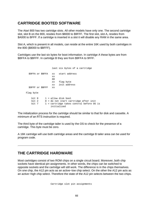## **CARTRIDGE BOOTED SOFTWARE**

The Atari 800 has two cartridge slots. All other models have only one. The second cartridge slot, slot B on the 800, resides from \$8000 to \$9FFF. The first slot, slot A, resides from \$A000 to BFFF. If a cartridge is inserted in a slot it will disable any RAM in the same area.

Slot A, which is present in all models, can reside at the entire 16K used by both cartridges in the 800 (\$8000 to \$BFFF).

Cartridges use the last six bytes for boot information. In cartridge A these bytes are from \$BFFA to \$BFFF. In cartridge B they are from \$9FFA to 9FFF.

 last six bytes of a cartridge \$9FFA or \$BFFA xx start address **xx** and the contract of the contract of the contract of the contract of the contract of the contract of the contract of the contract of the contract of the contract of the contract of the contract of the contract of the contra xx flag byte xx init address \$9FFF or \$BFFF xx Flag byte bit  $0$   $1$  = allow disk boot bit  $2 \t 0 =$  do not start cartridge after init bit 7 1 = cartridge takes control before OS is initialized

The initialization process for the cartridge should be similar to that for disk and cassette. A minimum of an RTS instruction is required.

The third byte of the cartridge tailer is used by the OS to check for the presence of a cartridge. This byte must be zero.

A 16K cartridge will use both cartridge areas and the cartridge B tailer area can be used for program code.

#### **THE CARTRIDGE HARDWARE**

Most cartridges consist of two ROM chips on a single circuit board. Moreover, both chip sockets have identical pin assignments. In other words, the chips can be switched to opposite sockets and the cartridge will still work. The difference is in the chips themselves. On one chip, the A12 pin acts as an active−low chip select. On the other the A12 pin acts as an active−high chip select. Therefore the state of the A12 pin selects between the two chips.

Cartridge slot pin assignments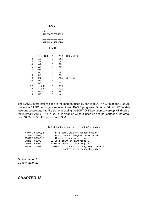BACK

| 111111          |
|-----------------|
| 543210987654321 |
|                 |
|                 |
| SRPNMLKJHFEDCBA |

FRONT

| $\mathbf{1}$ | $1 = 16K$      | Α |                | A13 (16K only)    |
|--------------|----------------|---|----------------|-------------------|
| 2            | A3             | В | <b>GND</b>     |                   |
| 3            | A <sub>2</sub> | C | A4             |                   |
| 4            | A1             | D | A <sub>5</sub> |                   |
| 5            | A <sub>0</sub> | Ε | A6             |                   |
| 6            | D4             | F | A7             |                   |
| 7            | D <sub>5</sub> | Η | A8             |                   |
| 8            | D <sub>8</sub> | J | A <sub>9</sub> |                   |
| 9            | D1             | Κ |                | A12 $(CS) / (CS)$ |
| 10           | D <sub>0</sub> | L | D <sub>3</sub> |                   |
| 11           | D6             | M | D7             |                   |
| 12           | (CS)           | N | A11            |                   |
| 13           | $+VCC$         | Ρ | A10            |                   |
| 14           | $+VCC$         | R | NC             |                   |
| 15           | NC             | S | NC             |                   |

The BASIC interpreter resides in the memory used by cartridge A. In 400, 800 and 1200XL models, a BASIC cartridge is required to run BASIC programs. On other XL and XE models, inserting a cartridge into the slot or pressing the [OPTION] key upon power−up will disable the internal BASIC ROM. If BASIC is disabled without inserting another cartridge, the area from \$A000 to \$BFFF will contain RAM.

Useful data base variables and OS equates

|              | APPMHI \$000E, 2 | $(14)$ : low limit of screen region          |
|--------------|------------------|----------------------------------------------|
|              | DOSVEC \$000A, 2 | $(10)$ : run and program reset vector        |
|              | DOSINI \$000C, 2 | $(12)$ : init and reset init                 |
| CARTB \$8000 |                  | $(32768)$ : start of cartridge B             |
| CARTA \$A000 |                  | (40960): start of cartridge A                |
| PACTL \$D302 |                  | $(54018)$ : port A control register<br>Bit 3 |
|              |                  | controls the cassette motor                  |

Go to chapter 11 Go to chapter 13

#### **CHAPTER 13**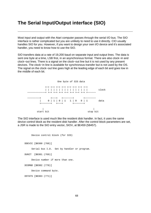# **The Serial Input/Output interface (SIO)**

Most input and output with the Atari computer passes through the serial I/O bus. The SIO interface is rather complicated but you are unlikely to need to use it directly. CIO usually handles SIO for you. However, if you want to design your own I/O device and it's associated handler, you need to know how to use the SIO.

SIO transfers data at a rate of 19,200 baud on separate input and output lines. The data is sent one byte at a time, LSB first, in an asynchronous format. There are also clock−in and clock−out lines. There is a signal on the clock−out line but it is not used by any present devices. The clock−in line is available for synchronous transfer but is not used by the OS. The signal on the clock−out line goes high at the leading edge of each bit and goes low in the middle of each bit.



The SIO interface is used much like the resident disk handler. In fact, it uses the same device control block as the resident disk handler. After the control block parameters are set, a JSR is made to the SIO entry vector, SIOV, at \$E459 (58457).

```
 Device control block (for SIO)
 DDEVIC [$0300 (768)]
      Serial bus I.D. Set by handler or program.
 DUNIT [$0301 (769)]
      Device number if more than one.
 DCOMND [$0302 (770)]
      Device command byte.
 DSTATS [$0303 (771)]
```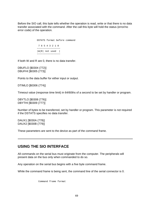Before the SIO call, this byte tells whether the operation is read, write or that there is no data transfer associated with the command. After the call this byte will hold the status (error/no error code) of the operation.

```
 DSTATS format before command
 7 6 5 4 3 2 1 0
 −−−−−−−−−−−−−−−−−
 |W|R| not used |
      −−−−−−−−−−−−−−−−−
```
If both W and R are 0, there is no data transfer.

DBUFLO [\$0304 (772)] DBUFHI [\$0305 (773)]

Points to the data buffer for either input or output.

DTIMLO [\$0306 (774)]

Timeout value (response time limit) in 64/60ths of a second to be set by handler or program.

DBYTLO [\$0308 (776)] DBYTHI [\$0309 (777)]

Number of bytes to be transferred, set by handler or program. This parameter is not required if the DSTATS specifies no data transfer.

DAUX1 [\$030A (778)] DAUX2 [\$030B (779)]

These parameters are sent to the device as part of the command frame.

## **USING THE SIO INTERFACE**

All commands on the serial bus must originate from the computer. The peripherals will present data on the bus only when commanded to do so.

Any operation on the serial bus begins with a five byte command frame.

While the command frame is being sent, the command line of the serial connector is 0.

Command frame format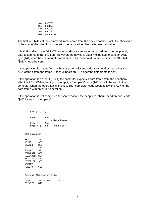\$xx DDEVIC \$xx DCOMND \$xx DAUX1 \$xx DAUX2 \$xx checksum

The first four bytes of the command frame come from the device control block. the checksum is the sum of the other four bytes with the carry added back after each addition.

If both R and W of the DSTATS are 0, no data is sent to, or expected from the peripheral, after a command frame is sent. However, the device is usually expected to send an ACK byte (\$41) after the command frame is sent. If the command frame is invalid, an NAK byte (\$4E) should be sent.

If the operation is output ( $W = 1$ ) the computer will send a data frame after it receives the ACK of the command frame. It then expects an ACK after the data frame is sent.

If the operation is an input  $(R = 1)$  the computer expects a data frame from the peripheral after the ACK. With either input or output, a "complete" code (\$43) should be sent to the computer when the operation is finished. The "complete" code would follow the ACK of the data frame with an output operation.

If the operation is not completed for some reason, the peripheral should send an error code (\$45) instead of "complete".

 SIO data frame byte 1  $\langle x \rangle$  > data bytes byte n \$xx/ byte n+1 \$xx checksum SIO commands  $READ$  \$52 WRITE \$57  $STATUS$  \$53 PUT \$50 FORMAT \$21 DOWNLOAD \$20 READADDR \$54 READ SPIN \$51 MOTOR ON \$55 VERIFY SECTOR \$56 Present SIO device I.D.s DISK \$31 − \$34 (D1 − D4) PRINTER \$40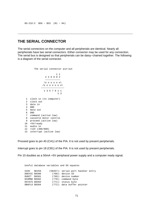### **THE SERIAL CONNECTOR**

The serial connectors on the computer and all peripherials are identical. Nearly all peripherials have two serial connectors. Either connector may be used for any connection. The serial bus is designed so that peripherials can be daisy−chained together. The following is a diagram of the serial connector.

```
 The serial connector pin−out
 1 1
                 2 4 6 8 0 2
                  −−−−−−−−−−−
                (0, 0, 0, 0, 0)(0, 0, 0, 0, 0, 0) −−−−−−−−−−−−−−−−−
                1 3 5 7 9 1 1
 1 3
     1 clock in (to computer)
     2 clock out
     3 data in
     4 GND
     5 data out
     6 GND
     7 command (active low)
     8 cassette motor control
     9 proceed (active low)
     10 +5V/ready
     11 audio in
    12 +12V (400/800)
    13 interrupt (active low)
```
Proceed goes to pin 40 (CA1) of the PIA. It is not used by present peripherials.

Interrupt goes to pin 18 (CB1) of the PIA. It is not used by present peripherials.

Pin 10 doubles as a 50mA +5V peripharal power supply and a computer ready signal.

 Useful database variables and OS equates SIOV \$E459 (58457): serial port handler entry DDEVIC \$0300 (768): device ID DUNIT \$0301 (769): device number<br>
DCOMND \$0302 (770): command byte<br>
DSTATS \$0303 (771): status byte<br>
DBUFLO \$0304 (772): data buffer p  $(770):$  command byte  $(771):$  status byte  $(772)$ : data buffer pointer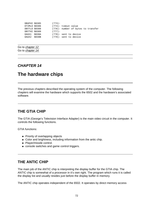| DBUFHI \$0305 | (773):    |                                    |
|---------------|-----------|------------------------------------|
| DTIMLO \$0306 |           | $(774)$ : timout value             |
| DBYTLO \$0308 |           | (776): number of bytes to transfer |
| DBYTHI \$0309 | $(777)$ : |                                    |
| DAUX1 \$030A  |           | $(778)$ : sent to device           |
| DAUX2 \$030B  |           | $(779)$ : sent to device           |

Go to chapter 12 Go to chapter 14

### **CHAPTER 14**

# **The hardware chips**

The previous chapters described the operating system of the computer. The following chapters will examine the hardware which supports the 6502 and the hardware's associated software.

### **THE GTIA CHIP**

The GTIA (George's Television Interface Adapter) is the main video circuit in the computer. It controls the following functions.

GTIA functions:

- Priority of overlapping objects
- Color and brightness, including information from the antic chip.
- Player/missile control.
- console switches and game control triggers.

## **THE ANTIC CHIP**

The main job of the ANTIC chip is interpreting the display buffer for the GTIA chip. The ANTIC chip is somewhat of a processor in it's own right. The program which runs it is called the display list and usually resides just before the display buffer in memory.

The ANTIC chip operates independent of the 6502. It operates by direct memory access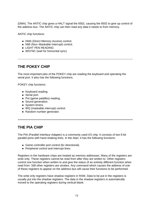(DMA). The ANTIC chip gives a HALT signal the 6502, causing the 6502 to give up control of the address bus. The ANTIC chip can then read any data it needs to from memory.

ANTIC chip functions:

- DMA (Direct Memory Access) control.
- NMI (Non−Maskable Interrupt) control.
- LIGHT PEN READING
- WSYNC (wait for horizontal sync)

## **THE POKEY CHIP**

The most important jobs of the POKEY chip are reading the keyboard and operating the serial port. It also has the following functions.

POKEY chip functions:

- Keyboard reading.
- Serial port.
- Pot (game paddles) reading.
- Sound generation.
- System timers.
- IRQ (maskable interrupt) control.
- Random number generator.

## **THE PIA CHIP**

The PIA (Parallel Interface Adapter) is a commonly used I/O chip. It consists of two 8 bit parallel ports with hand shaking lines. In the Atari, it has the following functions:

- Game controller port control (bi−directional).
- Peripheral control and interrupt lines.

Registers in the hardware chips are treated as memory addresses. Many of the registers are write only. These registers cannot be read from after they are written to. Other registers control one function when written to and give the status of an entirely different function when read from. Still other registers are strobes. Any command which causes the address of one of these registers to appear on the address bus will cause their functions to be performed.

The write only registers have shadow registers in RAM. Data to be put in the registers is usually put into the shadow registers. The data in the shadow registers is automatically moved to the operating registers during vertical blank.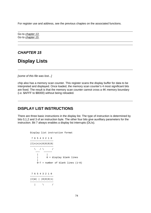For register use and address, see the previous chaptes on the associated functions.

Go to chapter 13 Go to chapter 15

## **CHAPTER 15**

# **Display Lists**

[some of this file was lost...]

chip also has a memory scan counter. This register scans the display buffer for data to be interpreted and displayed. Once loaded, the memory scan counter's 4 most significant bits are fixed. The result is that the memory scan counter cannot cross a 4K memory boundary (i.e. \$AFFF to \$B000) without being reloaded.

## **DISPLAY LIST INSTRUCTIONS**

There are three basic instructions in the display list. The type of instruction is determined by bits 0,1,2 and 3 of an instruction byte. The other four bits give auxilliary parameters for the instruction. Bit 7 always enables a display list interrupts (DLIs).

```
 Display list instruction format
        7 6 5 4 3 2 1 0
        −−−−−−−−−−−−−−−−−
        |I|n|n|n|0|0|0|0|
 −−−−−−−−−−−−−−−−−
         \lambda / \lambda / /
 −−− −−−−−−
 | |
 | 0 = display blank lines
 |
            0−7 = number of blank lines (1−8)
        7 6 5 4 3 2 1 0
        −−−−−−−−−−−−−−−−−
        |I|W| | |0|0|0|1|
 −−−−−−−−−−−−−−−−−
         | \ /
```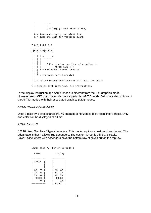```
 | −−−−−−
           | |
           | 1 = jump (3 byte instruction)
 |
           0 = jump and display one blank line
           1 = jump and wait for vertical blank
         7 6 5 4 3 2 1 0
         −−−−−−−−−−−−−−−−−
       |I|R|H|V|M|M|M|M| −−−−−−−−−−−−−−−−−
        | | | | | \lambda /
         | | | | −−−−−−
         | | | | |
 | | | | 2−F = display one line of graphics in
 | | | | ANTIC mode 2−F
        | | | 1 = horizontal scroll enabled
          \|| | 1 = vertical scroll enabled
 | |
        | 1 = reload memory scan counter with next two bytes
 |
         1 = display list interrupt, all instructions
```
In the display instruction, the ANTIC mode is different from the CIO graphics mode. However, each CIO graphics mode uses a particular ANTIC mode. Below are descriptions of the ANTIC modes with their associated graphics (CIO) modes.

#### ANTIC MODE 2 (Graphics 0)

Uses 8 pixel by 8 pixel characters, 40 characters horizontal, 8 TV scan lines vertical. Only one color can be displayed at a time.

#### ANTIC MODE 3

8 X 10 pixel, Graphics 0 type characters. This mode requires a custom character set. The advantage is that it allows true decenders. The custom C−set is still 8 X 8 pixels. Lower−case letters with decenders have the bottom row of pixels put on the top row.

 Lower−case "y" for ANTIC mode 3 C−set Display −−−−−−−−−− −−−−−−−−−− | XXXXX | | | | | | | | | | |  $|$  xx xx  $|$   $|$  xx xx  $|$  | XX XX | | XX XX | | XX XX | | XX XX | | XXXXX | | XXXXX | | XX | | XX | −−−−−−−−−− | XXXXX |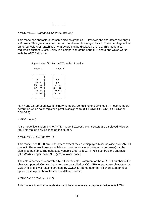| | −−−−−−−−−−

ANTIC MODE 4 (graphics 12 on XL and XE)

This mode has characters the same size as graphics 0. However, the characters are only 4 X 8 pixels. This gives only half the horizontal resolution of graphics 0. The advantage is that up to four colors of "graphics 0" characters can be displayed at once. This mode also requires a custom C−set. Below is a comparison of the normal C−set to one which works with the ANTIC 4 mode.

```
 Upper−case "A" for ANTIC modes 2 and 4
       mode 2 mode 4
       −−−−−−−−−− −−−−−−−−−−
 | | | |
        | XX | | yy |
 | XXXX | | yy |
 | XX XX | |xx zz |
 | XX XX | |xx zz |
 | XXXXXX | |xxyyzz |
 | XX XX | |xx zz |
           | | | |
 −−−−−−−−−− −−−−−−−−−−
```
xx, yy and zz represent two bit binary numbers, controlling one pixel each. These numbers determine which color register a pixel is assigned to: (COLOR0, COLOR1, COLOR2 or COLOR3).

#### ANTIC mode 5

Antic mode five is identical to ANTIC mode 4 except the characters are displayed twice as tall. This makes only 12 lines on the screen.

#### ANTIC MODE 6 (Graphics 1)

This mode uses 8 X 8 pixel characters except they are displayed twice as wide as in ANTIC mode 2. There are 3 colors available at once but only one case (upper or lower) can be displayed at a time. The data base variable CHBAS [\$02F4 (756)] controls the character, [\$E0 (224) = upper−case, \$E2 (226) = lower−case]

The color/character is controlled by either the color statement or the ATASCII number of the character printed. Control characters are controlled by COLOR0, upper−case characters by COLOR1 and lower−case characters by COLOR2. Remember that all characters print as upper−case alpha characters, but of different colors.

#### ANTIC MODE 7 (Graphics 2)

This mode is identical to mode 6 except the characters are displayed twice as tall. This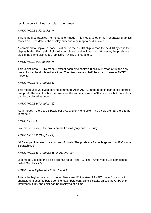results in only 12 lines possible on the screen.

#### ANTIC MODE 8 (Graphics 3)

This is the first graphics (non−character) mode. This mode, as other non−character graphics modes do, uses data in the display buffer as a bit map to be displayed.

A command to display in mode 8 will cause the ANTIC chip to read the next 10 bytes in the display buffer. Each pair of bits will control one pixel as in mode 4. However, the pixels are blocks the same size as a Graphics 0 (ANTIC 2) characters.

#### ANTIC MODE 9 (Graphics 4)

This is similar to ANTIC mode 8 except each byte controls 8 pixels (instead of 4) and only one color can be displayed at a time. The pixels are also half the size of those in ANTIC mode 8.

#### ANTIC MODE A (Graphics 5)

This mode uses 20 bytes per line/command. As in ANTIC mode 8, each pair of bits controls one pixel. The result is that the pixels are the same size as in ANTIC mode 9 but four colors can be displayed at once.

#### ANTIC MODE B (Graphics 6)

As in mode A, there are 8 pixels per byte and only one color. The pixels are half the size as in mode A.

#### ANTIC MODE C

Like mode B except the pixels are half as tall (only one T.V. line).

#### ANTIC MODE D (Graphics 7)

40 Bytes per line, each byte controls 4 pixels. The pixels are 1/4 as large as in ANTIC mode 8 (Graphics 3).

ANTIC MODE E (Graphics 15 on XL and XE)

Like mode D except the pixels are half as tall (one T.V. line). Antic mode E is sometimes called Graphics 7.5

ANTIC mode F (Graphics 8, 9, 10 and 11)

This is the highest resolution mode. Pixels are 1/8 the size of ANTIC mode 8 or mode 2 characters. It uses 40 bytes per line, each byte controlling 8 pixels, unless the GTIA chip intervenes. Only one color can be displayed at a time.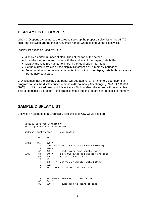## **DISPLAY LIST EXAMPLES**

When CIO opens a channel to the screen, it sets up the proper display list for the ANTIC chip. The following are the things CIO must handle when setting up the display list.

Display list duties as used by CIO :

- display a certain number of blank lines at the top of the screen.
- Load the memory scan counter with the address of the display data buffer.
- Display the required number of lines in the required ANTIC mode.
- Set up a jump instruction if the display list crosses a 1K memory boundary.
- Set up a reload−memory−scan−counter instruction if the display data buffer crosses a 4K memory boundary.

CIO assumes that the display data buffer will butt against an 8K memory boundary. If a program causes the display buffer to cross a 4K boundary (by changing RAMTOP [\$006A (106)] to point to an address which is not at an 8K boundary) the screen will be scrambled. This is not usually a problem if the graphics mode doesn't require a large block of memory.

## **SAMPLE DISPLAY LIST**

Below is an example of a Graphics 0 display list as CIO would set it up.

```
 Display list for Graphics 0
     assuming BASIC starts at $A000
     address instruction explanation
             Dec. Hex.
    $9C20 112 $70 112 $70 >−−−− 24 blank lines (8 each command)
             112 $70 /
             66 $42 −−−−− load memory scan counter with 
    $9C24 64 $40 \ next two bytes and display one line
             156 $9C / \ of ANTIC 2 characters
              2 \frac{$02 - \1}{} 2 $02 | \− address of display data buffer
               2 $02 |
               2 $02 \−−− 2nd ANTIC 2 instruction
 − −−−
               2 $02 −−−−− 24th ANTIC 2 instruction
             65 $41 \backslash 32 $20 >−−−− jump back to start of list
```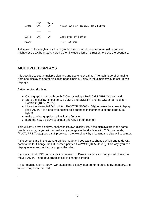|              | 156 | 59C / |                                   |
|--------------|-----|-------|-----------------------------------|
| \$9C40       | ייי | ??    | first byte of display data buffer |
|              |     |       |                                   |
|              |     |       |                                   |
|              |     |       |                                   |
| \$9FFF       | ??? | - ? ? | last byte of buffer               |
|              |     |       |                                   |
| <b>SA000</b> |     |       | start of ROM                      |
|              |     |       |                                   |

A display list for a higher resolution graphics mode would require more instructions and might cross a 1K boundary. It would then include a jump instruction to cross the boundary.

## **MULTIPLE DISPLAYS**

It is possible to set up multiple displays and use one at a time. The technique of changing from one display to another is called page flipping. Below is the simplest way to set up two displays.

Setting up two displays:

- Call a graphics mode through CIO or by using a BASIC GRAPHICS command.
- Store the display list pointers, SDLSTL and SDLSTH, and the CIO screen pointer, SAVMSC [\$0058,2 (88)].
- Move the start−of−ROM pointer, RAMTOP [\$006A (106)] to below the current display list. RAMTOP is a one byte pointer so it changes in increments of one page (256 bytes).
- make another graphics call as in the first step.
- store the new display list pointer and CIO screen pointer.

This will set up two displays, each with it's own display list. If the displays are in the same graphics mode, or you will not make any changes in the displays with CIO commands, (PLOT, PRINT, etc.) you can flip between the two simply by changing the display list pointer.

If the screens are in the same graphics mode and you want to change which one to do CIO commands to, Change the CIO screen pointer, SAVMSC [\$0058,2 (88)]. This way, you can display one screen while drawing on the other.

If you want to do CIO commands to screens of different graphics modes, you will have the move RAMTOP and do a graphics call to change screens.

If your manipulation of RAMTOP causes the display data buffer to cross a 4K boundary, the screen may be scrambled.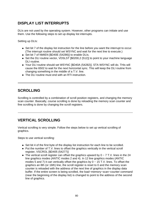# **DISPLAY LIST INTERRUPTS**

DLIs are not used by the operating system. However, other programs can initiate and use them. Use the following steps to set up display list interrupts.

Setting up DLIs:

- Set bit 7 of the display list instruction for the line before you want the interrupt to occur. (The interrupt routine should set WSYNC and wait for the next line to execute.)
- Set bit 7 of NMIEN [\$D40E (54286)] to enable DLIs.
- Set the DLI routine vector, VDSLST [\$0200,2 (512)] to point to your machine language DLI routine.
- Your DLI routine should set WSYNC [\$D40A (54282)]. STA WSYNC will do. THis will cause the 6502 to wait for the next horizontal sync. This will keep the DLI routine from changing something in the middle of a T.V. line.
- The DLI routine must end with an RTI instruction.

## **SCROLLING**

Scrolling is controlled by a combination of scroll position registers, and changing the memory scan counter. Basically, course scrolling is done by reloading the memory scan counter and fine scrolling is done by changing the scroll registers.

# **VERTICAL SCROLLING**

Vertical scrolling is very simple. Follow the steps below to set up vertical scrolling of graphics.

Steps to use vertical scrolling:

- Set bit 4 of the first byte of the display list instruction for each line to be scrolled.
- $\bullet$  Put the number of T.V. lines to offset the graphics vertically in the vertical scroll register, VSCROL [\$D405 (54277)]
- The vertical scroll register can offset the graphics upward by 0 − 7 T.V. lines in the 24 line graphics modes (ANTIC modes 2 and 4). In 12 line graphics modes (ANTIC modes 5 and 7) it can vertically offset the graphics by 0 − 15 T.V. lines. To offset the graphics an 8th (or 16th) line, the scroll register is reset to 0 and the memory scan counter is reloaded with the address of the next line of graphics in the display data buffer. If the entire screen is being scrolled, the load−memory−scan−counter command (near the beginning of the display list) is changed to point to the address of the second line of graphics.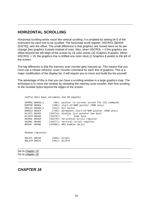## **HORIZONTAL SCROLLING**

Horizontal scrolling works much like vertical scrolling. It is enabled by setting bit 5 of the instruction for each line to be scrolled. The horizontal scroll register, HSCROL [\$D404 (54276)], sets the offset. The small difference is that graphics are moved twice as far per change (two graphics 8 pixels instead of one). Also, when  $HSCROL = 0$  the graphics are offset beyond the left edge of the screen by 16 color clocks (32 Graphics 8 pixels). When HSCROL = 15, the graphics line is shifted one color clock (2 Graphics 8 pixels) to the left of the screen.

The big difference is that the memory scan counter gets messed up. This means that you must use a reload−memory−scan−counter command for each line of graphics. This is a major modification of the display list. It will require you to move and build the list yourself.

The advantage of this is that you can have a scrolling window in a large graphics map. The technique is to move the window by reloading the memory scan counter, then fine scrolling to the invisible bytes beyond the edges of the screen.

|               |                  | useful data base variables and OS equates        |
|---------------|------------------|--------------------------------------------------|
|               | SAVMSC \$0058,2  | (88): pointer to current screen for CIO commands |
|               | RAMTOP \$006A    | (106): start-of-ROM pointer (MSB only)           |
|               |                  | $VDSLST$ \$0200,2 (512): DLI vector              |
|               | RAMSIZ \$02E4    | (740): permanent start-of-ROM pointer (MSB only) |
|               | DLISTL \$D402    | (54274): display list pointer low byte           |
|               | DLISTH \$D403    | $(54275):$ " high byte                           |
|               | HSCROL \$D404    | (54276): horizontal scroll register              |
|               | VSCROL \$D405    | $(54277)$ : vertical scroll register             |
| NMIEN SD40E   |                  | (54286): NMI enable (DLIs)                       |
|               |                  |                                                  |
|               | Shadow registers |                                                  |
|               | SDLSTL \$0230    | $(560)$ : DLISTL                                 |
| SDLSTH \$0231 |                  | $(561)$ : DLISTH                                 |
|               |                  |                                                  |

Go to chapter 14 Go to chapter 16

## **CHAPTER 16**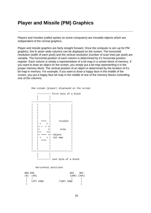# **Player and Missile (PM) Graphics**

Players and missiles (called sprites on some computers) are movable objects which are independent of the normal graphics.

Player and missile graphics are fairly straight forward. Once the computer is set−up for PM graphics, five 8−pixel−wide columns can be displayed on the screen. The horizontal resolution (width of each pixel) and the vertical resolution (number of scan lines per pixel) are variable. The horizontal position of each column is determined by it's horizontal position register. Each column is simply a representation of a bit map in a certain block of memory. If you want to draw an object on the screen, you simply put a bit map representing it in the proper memory block. The vertical position of an object is determined by the location of it's bit map in memory. For example, if you want to draw a happy face in the middle of the screen, you put a happy face bit map in the middle of one of the memory blocks controlling one of the columns.

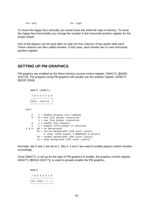Far left far right

To move the happy face vertically you would move the entire bit map in memory. To move the happy face horizontally you change the number in the horizontal position register for the proper player.

One of the players can be (and often is) split into four columns of two pixels wide each. These columns are then called missiles. In this case, each missile has it's own horizontal position register.

## **SETTING UP PM GRAPHICS**

PM graphics are enabled by the direct memory access control register, DMACTL [\$D400 (54272)]. The program using PM graphics will usually use the shadow register, SDMCTL [\$022F (559)].

```
 DMACTL (SDMCTL)
```
 7 6 5 4 3 2 1 0 −−−−−−−−−−−−−−−−− |0|0| control | −−−−−−−−−−−−−−−−−

bits

| 5. | $1$ = enable display list reading<br>4 0 = one line player resolution |
|----|-----------------------------------------------------------------------|
|    | $1$ = two line player resolution                                      |
|    | $3 \t1 =$ enable four players                                         |
| 2  | 1 = enable fifth player or missiles                                   |
|    | $1 \& 0$ 00 = no background                                           |
|    | $01$ = narrow background (128 color clocks,                           |
|    | 1 color clock equals 2 GRAPHICS 8 pixels)                             |
|    | 10 = normal background (160 color clocks)                             |
|    | 11 = wide background (192 color clocks)                               |

Normally, bits 5 and 1 are set to 1. Bits 4, 3 and 2 are used to enable players and/or missiles accordingly.

Once DMACTL is set up for the type of PM graphics to enable, the graphics control register, GRACTL [\$D01D (53277)], is used to actually enable the PM graphics.

> GRACTL 7 6 5 4 3 2 1 0 −−−−−−−−−−−−−−−−−  $|not used | | | |$ −−−−−−−−−−−−−−−−−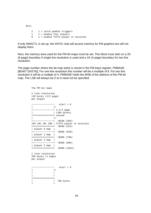Bits 2 1 = latch paddle triggers  $1 =$  enable four players 0 1 = enable fifth player or missiles

If only DMACTL is set up, the ANTIC chip will access memory for PM graphics but will not display them.

Next, the memory area used for the PM bit maps must be set. This block must start on a 2K (8 page) boundary if single line resolution is used and a 1K (4 page) boundary for two line resolution.

The page number where the bit map starts is stored in the PM base register, PMBASE [\$D407 (54279)]. For one line resolution this number will be a multiple of 8. For two line resolution it will be a multiple of 4. PMBASE holds the MSB of the address of the PM bit map. The LSB will always be 0 so it need not be specified.

 The PM bit maps 2 line resolution 128 bytes (1/2 page) per player −−−−−−−−−−−−−−−−− start + 0  $\|$   $\|$  +−−−−−−−−−−−−−−−+ 1−1/2 page | | (384 bytes) +===============+ unused  $|/$  +−−−−−−−−−−−−−−−+ +\$180 (384) |M3 |M2 |M1 |M0 | fifth player or missiles +===============+ +\$200 (512) | player 0 map | +−−−−−−−−−−−−−−−+ +\$280 (640) | player 1 map | +===============+ +\$300 (768) | player 2 map | +−−−−−−−−−−−−−−−+ +\$380 (896) | player 3 map | +===============+ +\$400 (1024) 1 line resolution 256 bytes (1 page) per player −−−−−−−−−−−−−−−−− start + 0 | |\  $+$  +  $+$  +  $+$  +  $+$  | | +===============+ | | 768 bytes  $+$  +  $+$  +  $+$  +  $+$  +  $+$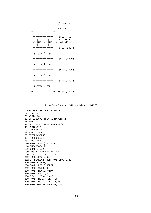| | (3 pages) +===============| | | unused  $+$  +  $+$  +  $+$  +  $+$  +  $+$  | |/ +===============+ +\$300 (768) | | | | | fifth player +M3 |M2 |M1 |M0 | or missiles | | | | | +===============+ +\$400 (1024) | | + player 0 map + | | +===============+ +\$500 (1280) | | + player 1 map + | | +===============+ +\$600 (1536) | | + player 2 map + | | +===============+ +\$700 (1792) | | + player 3 map + | | +===============+ +\$800 (2048)

Example of using P/M graphics in BASIC

```
 0 REM −−−LABEL REGISTERS ETC
 10 LINES=2
 20 VERT=120
 22 IF LINES=2 THEN VERT=VERT/2
 30 PM0=1024
 32 IF LINES=2 THEN PM0=PM0/2
 40 HORIZ=120
 50 PCOLR0=704
 60 SDMCTL=559
 70 SIZEP0=53256
 80 HPOSP0=53248
 90 SDMCTL=559
 100 PMRAM=PEEK(106)−16
 110 PMBASE=54279
 120 GRACTL=53277
 130 PMSTART=PMRAM*256+PM0
 200 REM −−−SET REGISTERS
 210 POKE SDMCTL,62
 212 IF LINES=2 THEN POKE SDMCTL,46
 220 POKE SIZEP0,1
 230 POKE HPOSP0,HORIZ
 240 POKE PCOLR0,88
 250 POKE PMBASE,PMRAM
 260 POKE GRACTL,3
 300 REM −−−DRAW PLAYER
 310 POKE PMSTART+VERT,60
 320 POKE PMSTART+VERT+1,66
 330 POKE PMSTART+VERT+2,165
```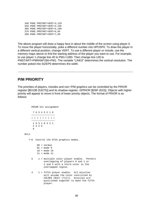```
 340 POKE PMSTART+VERT+3,129
 350 POKE PMSTART+VERT+4,195
 360 POKE PMSTART+VERT+5,189
 370 POKE PMSTART+VERT+6,66
 380 POKE PMSTART+VERT+7,60
```
The above program will draw a happy face in about the middle of the screen using player 0. To move the player horizontally, poke a different number into HPOSP0. To draw the player in a different vertical position, change VERT. To use a different player or missile, use the memory maps above to find the starting address of the player you want to use. For example, to use player 1 change line 40 to PM1=1280. Then change line 130 to PMSTART=PMRAM\*256+PM1. The variable "LINES" determines the vertical resolution. The number poked into SIZEP0 determines the width.

#### **P/M PRIORITY**

The priorities of players, missiles and non−P/M graphics can be controlled by the PRIOR register [\$D10B (53275)] and its shadow register, GPRIOR [\$26F (623)]. Objects with higher priority will appear to move in front of lower priority objects. The format of PRIOR is as follows:

PRIOR bit assignment

|  | 7 6 5 4 3 2 1 0 |  |  |           |
|--|-----------------|--|--|-----------|
|  |                 |  |  |           |
|  |                 |  |  | 111111111 |
|  | 1 6 3 1 8 4 2 1 |  |  |           |
|  | 2 4 2 6         |  |  |           |
|  |                 |  |  |           |

#### Bits

7−6 Control the GTIA graphics modes.

```
 00 = normal
 01 = mode 9
 10 = mode 10
 11 = mode 11
```
- 5 1 = multiple color player enable. Permits overlapping of players 0 and 1 or 2 and 3 with a third color in the overlapped region.
- 4 1 = fifth player enable. All missiles will assume the color controlled by COLOR3 [\$2C7 (711)]. missiles are positioned together to make the fifth player.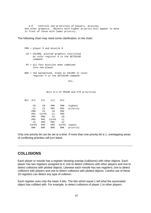3−0 Controls the priorities of players, missiles and other graphics. Objects with higher priority will appear to move in front of those with lower priority.

The following chart may need some clarification. In the chart:

```
 PM0 = player 0 and missile 0
```
- C0 = COLOR0, plotted graphics controlled by color register 0 in the SETCOLOR command.
- P5 = all four missiles when combined into one player.
- BAK = the background, known as COLOR4 or color register 4 in the SETCOLOR command.

Etc.

Bits 0−3 of PRIOR and P/M priorities

| Bit | $3 = 1$         | $2 = 1$         | $1 = 1$         | $0 = 1$         |          |
|-----|-----------------|-----------------|-----------------|-----------------|----------|
|     |                 |                 |                 |                 |          |
|     | C <sub>0</sub>  | C <sub>0</sub>  | PM <sub>0</sub> | PM <sub>0</sub> | highest  |
|     | C1              | C1              | PM1             | PM1             | priority |
|     | PM <sub>0</sub> | C2              | C <sub>0</sub>  | PM <sub>2</sub> |          |
|     | PM1             | $C3+P5$         | C1              | PM3             |          |
|     | PM <sub>2</sub> | PM <sub>0</sub> | C2              | C <sub>0</sub>  |          |
|     | PM3             | PM1             | $C3+P5$         | C1              |          |
|     | C <sub>2</sub>  | PM2             | PM2             | C2              |          |
|     | $C3+P5$         | PM3             | PM3             | $C3+P5$         | lowest   |
|     | BAK             | BAK             | BAK             | BAK             | priority |

Only one priority bit can be set at a time. If more than one priority bit is 1, overlapping areas of conflicting priorities will turn black.

#### **COLLISIONS**

Each player or missile has a register showing overlap (collisions) with other objects. Each player has two registers assigned to it; one to detect collisions with other players and one to detect collisions with plotted objects. Likewise each missile has two registers; one to detect collisions with players and one to detect collisions with plotted objects. Careful use of these 16 registers can detect any type of collision.

Each register uses only the lower 4 bits. The bits which equal 1 tell what the associated object has collided with. For example, to detect collisions of player 1 to other players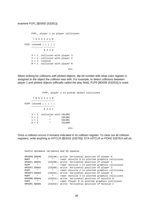#### examine P1PL [\$D00D (53261)].

```
 P1PL, player 1 to player collisions
          7 6 5 4 3 2 1 0
           −−−−−−−−−−−−−−−−−
     P1PL |unused | | | | |
         −−−−−−−−−−−−−−−−−
                8 4 2 1
         3 = 1 collision with player 3
 2 = 1 collision with player 2
 1 = 1 invalid
         0 = 1 collision with player 0
Etc.
```
When looking for collisions with plotted objects, the bit number tells what color register is assigned to the object the collision was with. For example, to detect collisions between player 1 and plotted objects (officially called the play field), P1PF [\$D005 (53253)] is used.

```
 P1PF, player 1 to ploted object collisions
      7 6 5 4 3 2 1 0
      −−−−−−−−−−−−−−−−−
 P1PF |unused | | | | |
      −−−−−−−−−−−−−−−−−
             8 4 2 1
     3 = 1 collision with COLOR3
    2 = 1 " COLOR2<br>1 = 1 " COLOR2
    1 = 1 " COLOR1<br>0 = 1 " COLOR0
    0 = 1 " COLORO
```
Etc.

Once a collision occurs it remains indicated in its collision register. To clear out all collision registers, write anything to HITCLR [\$D01E (53278)]. STA HITCLR or POKE 53278,0 will do.

```
 Useful database variables and OS equates
 HPOSP0 $D000 (53248): write: horizontal position of player 0
 M0PF " " : read: missile 0 to plotted graphics collisions
 HPOSP1 $D001 (53249): write: horizontal position of player 1
 M1PF " " : read: missile 1 to plotted graphics collisions
 HPOSP2 $D002 (53250): write: horizontal position of player 2
 M2PF " " : read: missile 2 to plotted graphics collisions
 HPOSP3 $D003 (53251): write: horizontal position of player 3
 M3PF " " : read: missile 3 to plotted graphics collisions
 HPOSM0 $D004 (53252): write: horizontal position of missile 0
 P0PF " " : read: Player 0 to plotted graphics collisions
 HPOSM1 $D005 (53253): write: horizontal position of missile 1
```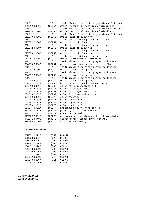| P1PF          | $\mathbf{u}$     | Ш.              | : read: Player 1 to plotted graphics collisions     |
|---------------|------------------|-----------------|-----------------------------------------------------|
| HPOSM2 \$D006 |                  |                 | (53254): write: horizontal position of missile 2    |
| P2PF          | Ш                | щ,              | : read: Player 2 to plotted graphics collisions     |
| HPOSM3 \$D007 |                  |                 | (53255): write: horizontal position of missile 3    |
| P3PF          | п                |                 | : read: Player 3 to plotted graphics collisions     |
| SIZEPO \$D008 |                  |                 | (53256): write: size of player 0                    |
| M0PL          | п                |                 | : read: missile 0 to player collisions              |
| SIZEP1 \$D009 |                  |                 | (53257): write: size of player 1                    |
| M1PL          | ш                |                 | : read: missile 1 to player collisions              |
| SIZEP2 \$D00A |                  |                 | (53258): write: size of player 2                    |
| M2PL          | п                | Ш.              | : read: missile 2 to player collisions              |
| SIZEP3 \$D00B |                  |                 | (53259): write: size of player 3                    |
| M3PL          | Ш                | щ,              | : read: missile 3 to player collisions              |
| SIZEM         | \$D00C           |                 | (53260): write: widths for all missiles             |
| P0PL          | п                | П.              | : read: player 0 to other player collisions         |
| GRAFP0        | \$D00D           |                 | (53261): write: player 0 graphics (used by OS)      |
| P1PL          | Ш                |                 | : read: player 1 to other player collisions         |
| GRAPF1 \$D00E |                  |                 | (53262): write: player 1 graphics                   |
| P2PL          | п                |                 | : read: player 2 to other player collisions         |
| GRAFP2 \$D00F |                  |                 | (53263): write: player 2 graphics                   |
| P3PL          | $\mathbf{u}$     | н.              | : read: player 3 to other player collisions         |
| GRAPF3 \$D010 |                  |                 | (53264): write: player 3 graphics                   |
| GRAFM         | \$D011           |                 | (53265): write: missile graphics (used by OS)       |
| COLPMO \$D012 |                  |                 | (53266): color for player/missile 0                 |
| COLPM1 \$D013 |                  |                 | (53267): color for player/missile 1                 |
| COLPM2 \$D014 |                  |                 | (53268): color for player/missile 2                 |
| COLPM3 \$D015 |                  |                 | (53269): color for player/missile 3                 |
| COLPFO \$D016 |                  |                 | $(53270)$ : color register 0                        |
| COLPF1 \$D017 |                  |                 | $(53271)$ : color register 1                        |
| COLPF2 \$D018 |                  |                 | $(53272)$ : color register 2                        |
| COLPF3 \$D019 |                  |                 | $(53273)$ : color register 3                        |
| COLBK         | \$D01A           |                 | (53274): background color (register 4)              |
| PRIOR         | \$D01B           |                 | (53275): priority select, GTIA modes                |
| GRACTL \$D01D |                  |                 | (53277): graphics control                           |
| HITCLR \$D01E |                  |                 | (53278): writing anything clears all collision bits |
| DMACTL \$D400 |                  |                 | (54272): direct memory access (DMA) control         |
| PMBASE \$D407 |                  |                 | $(54279)$ : start of P/M memory                     |
|               |                  |                 |                                                     |
|               | Shadow registers |                 |                                                     |
| SDMCTL \$022F |                  |                 | $(559):$ DMACTL                                     |
| GPRIOR \$026F |                  | $(623)$ : PRIOR |                                                     |
| PCOLRO \$02CO |                  |                 | (704): COLPM0                                       |
| PCOLR1 \$02C1 |                  |                 | (705): COLPM1                                       |
| PCOLR2 \$02C2 |                  |                 | (706): COLPM2                                       |
| PCOLR3 \$02C3 |                  |                 | (707): COLPM3                                       |
| COLORO \$02C4 |                  |                 | (708): COLPF0                                       |
| COLOR1 \$02C5 |                  |                 | (709): COLPF1                                       |
| COLOR2 \$02C6 |                  |                 | (710): COLPF2                                       |
| COLOR3 \$02C7 |                  |                 | (711): COLPF3                                       |
| COLOR4 \$02C8 |                  | (712): COLBK    |                                                     |

Go to *chapter 15* Go to chapter 17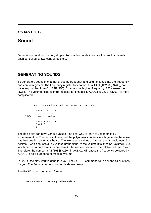## **CHAPTER 17**

# **Sound**

Generating sound can be very simple. For simple sounds there are four audio channels, each controlled by two control registers.

## **GENERATING SOUNDS**

To generate a sound in channel 1, put the frequency and volume codes into the frequency and control registers. The frequency register for channel 1, AUDF1 [\$D200 (53760)] can have any number from 0 to \$FF (255). 0 causes the highest frequency; 255 causes the lowest. The volume/noise (control) register for channel 1, AUDC1 [\$D201 (53761)] is more complicated.

```
 Audio channel control (volume/noise) register
             7 6 5 4 3 2 1 0
               −−−−−−−−−−−−−−−−−
     AUDCx | noise | volume|
             −−−−−−−−−−−−−−−−−
             1 6 3 1 8 4 2 1
             2 4 2 6
 8
```
The noise bits can have various values. The best way to learn to use them is by experimentation. The technical details of the polynomial counters which generate the noise has little bearing on what is heard. The two special values of interest are: \$1 (volume+16 in decimal), which causes a DC voltage proportional to the volume bits and; \$A (volume+160), which causes a pure tone (square wave). The volume bits select the relative volume, 0=off. Therefore, the number, \$A8 (168 [8+160]) in AUDC1, will cause the frequency selected by AUDF1 to be a pure tone of medium volume.

In BASIC the dirty work is done fore you. The SOUND command will do all the calculations for you. The Sound command format is shown below.

The BASIC sound command format

SOUND channel,frequency,noise,volume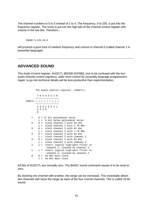The channel numbers is 0 to 3 instead of 1 to 4. The frequency, 0 to 255, is put into the frequency register. The noise is put into the high bits of the channel control register with volume in the low bits. Therefore...

SOUND 0,125,10,8

will produce a pure tone of medium frequency and volume in channel 0 (called channel 1 in assembly language).

### **ADVANCED SOUND**

The Audio Control register, AUDCTL [\$D208 (53768)], (not to be confused with the four audio channel control registers), adds more control for assembly language programmers. Again, to go into technical details will be less productive than experimentation.

```
 The audio control register. (AUDCTL)
                  7 6 5 4 3 2 1 0
                 −−−−−−−−−−−−−−−−−
        AUDCTL | | | | | | | | |
                 −−−−−−−−−−−−−−−−−
                  1 6 3 1 8 4 2 1
                  2 4 2 6
e a construction de la propieta de la propieta de la propieta de la propieta de la propieta de la propieta de<br>En 1888, en 1888, en 1888, en 1888, en 1888, en 1888, en 1888, en 1888, en 1888, en 1888, en 1888, en 1888, en
             7 0 = 17 bit polynomial noise
                   1 = 9 bit below polynomial noise
            6 \t 0 = \text{clock channel 1 with } 64 \text{ KHz} 1 = clock channel 1 with 1.79 MHz
             5 0 = clock channel 3 with 64 KHz
                  1 = clock channel 3 with 1.79 MHz
             4 0 = clock channel 2 with 64 KHz
                   1 = clock channel 2 with channel 1
             3 0 = clock channel 4 with 64 KHz
                   1 = clock channel 4 with channel 3
             2 1 = insert logical high−pass filter in
                           channel 1, clocked by channel 3
             1 1 = insert logical high−pass filter in
                           channel 2, clocked by channel 4
            0 = 64 KHz main clock
                    1 = 16 KHz main clock
```
All bits of AUDCTL are normally zero. The BASIC sound command causes it to be reset to zero.

By clocking one channel with another, the range can be increased. This essentially allows two channels with twice the range as each of the four normal channels. This is called 16 bit sound.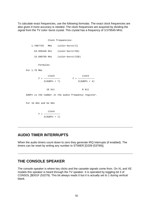To calculate exact frequencies, use the following formulas. The exact clock frequencies are also given if more accuracy is needed. The clock frequencies are acquired by dividing the signal from the TV color−burst crystal. This crystal has a frequency of 3.579545 MHz.

 Clock frequencies: 1.7897725 MHz (color−burst/2) 63.920446 Khz (color−burst/56) 15.699759 KHz (color−burst/228) Formulas: For 1.79 MHz clock clock f = −−−−−−−−−−−− f = −−−−−−−−−−−−  $2(AUDFn + 7)$  2(AUDFn + 4) 16 bit 8 bit AUDFn is the number in the audio frequency register. For 16 KHz and 64 KHz clock f = −−−−−−−−−−−− 2(AUDFn + 1)

## **AUDIO TIMER INTERRUPTS**

When the audio timers count down to zero they generate IRQ interrupts (if enabled). The timers can be reset by writing any number to STIMER [D209 (53769)].

## **THE CONSOLE SPEAKER**

The console speaker is where key clicks and the cassette signals come from. On XL and XE models this speaker is heard through the TV speaker. It is operated by toggling bit 3 of CONSOL [\$D01F (53279). This bit always reads 0 but it is actually set to 1 during vertical blank.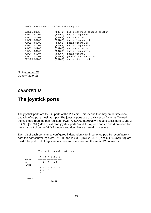Useful data base variables and OS equates

| CONSOL \$D01F |        | $(53279)$ : bit 3 controls console speaker |
|---------------|--------|--------------------------------------------|
| AUDF1         | \$D200 | $(53760)$ : Audio frequency 1              |
| AUDC1         | SD201  | $(53761)$ : audio control 1                |
| AUDF2         | SD202  | $(53762)$ : Audio frequency 2              |
| AUDC2         | SD203  | $(53763)$ : audio control 2                |
| AUDF3         | SD204  | $(53764)$ : Audio frequency 3              |
| AUDC3         | \$D205 | $(53765)$ : audio control 3                |
| AUDF4         | SD206  | $(53766)$ : Audio frequency 4              |
| AUDC4         | \$D207 | $(53767)$ : audio control 4                |
| AUDCTL \$D208 |        | $(53768)$ : general audio control          |
| STIMER \$D209 |        | $(53769)$ : audio timer reset              |
|               |        |                                            |

Go to chapter 16 Go to chapter 18

### **CHAPTER 18**

# **The joystick ports**

The joystick ports are the I/O ports of the PIA chip. This means that they are bidirectional, capable of output as well as input. The joystick ports are usually set up for input. To read them, simply read the port registers. PORTA [\$D300 (53016)] will read joystick ports 1 and 2. PORTB [\$D301 (54017)] will read joystick ports 3 and 4. Joystick ports 3 and 4 are used for memory control on the XL/XE models and don't have external connectors.

Each bit of each port can be configured independently for input or output. To reconfigure a port, the port control registers, PACTL and PBCTL [\$D302 (54018) and \$D303 (54019)], are used. The port control registers also control some lines on the serial I/O connector.

```
 The port control registers
                                 7 6 5 4 3 2 1 0
          PACTL −−−−−−−−−−−−−−−−−
           or |n 0 1 1 n n 0 n|
           PBCTL −−−−−−−−−−−−−−−−−
                                  1 6 3 1 8 4 2 1
                                   2 4 2 6
e a construction de la proponente de la proponente de la proponente de la proponente de la proponente de la pr<br>En 1888, en 1888, en 1888, en 1888, en 1888, en 1888, en 1888, en 1888, en 1888, en 1888, en 1888, en 1888, en
               bits
                                                   PACTL
```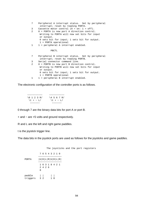```
 7 Peripheral A interrupt status. Set by peripheral
      interrupt; reset by reading PORTA.
 3 Cassette motor control (0 = on: 1 = off).
 2 0 = PORTA is now port A direction control.
      Writing to PORTA will now set bits for input
      or output.
      0 sets bit for input; 1 sets bit for output.
      1 = PORTA operational
1 1 = peripheral A interrupt enabled.
              PBCTL
 7 Peripheral B interrupt status. Set by peripheral
      interrupt; reset by reading PORTB.
 3 Serial connector command line.
 2 0 = PORTB is now port B direction control.
      Writing to PORTB will now set bits for input
      or output.
      0 sets bit for input; 1 sets bit for output.
      1 = PORTB operational
1 1 = peripheral B interrupt enabled.
```
The electronic configuration of the controller ports is as follows.

 −−−−−−−−−−− −−−−−−−−−−− \0 1 2 3 R/ \4 5 6 7 R/ \t + − L/ \t + − L/ −−−−−−− −−−−−−−

0 through 7 are the binary data bits for port A or port B.

+ and − are +5 volts and ground respectively.

R and L are the left and right game paddles.

t is the joystick trigger line.

The data bits in the joystick ports are used as follows for the joysticks and game paddles.

 The joysticks and the port registers 7 6 5 4 3 2 1 0 −−−−−−−−−−−−−−−−− PORTA |U|D|L|R|U|D|L|R| −−−−−−−−−−−−−−−−− 1 6 3 1 8 4 2 1 2 4 2 6 e a construction de la proponente de la proponente de la proponente de la proponente de la proponente de la pr<br>En 1888, en 1888, en 1888, en 1888, en 1888, en 1888, en 1888, en 1888, en 1888, en 1888, en 1888, en 1888, en paddle | | | | triggers 3 2 1 0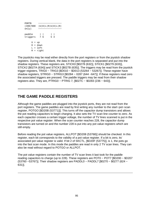```
 PORTB −−−−−−−−−−−−−−−−−
     (400/800 |U|D|L|R|U|D|L|R|
    only) -----------------
paddle | | | |
 triggers 7 6 5 4
        U = upD = downL = left R = right
```
The joysticks may be read either directly from the port registers or from the joystick shadow registers. During vertical blank, the data in the port registers is separated and put into the shadow registers. These registers are, STICK0 [\$0278 (632)], STICK1 [\$0279 (633)], STICK2 [\$027A (634)] and STICK3 [\$027B (635)]. The triggers may be read from the joystick trigger registers, TRIG0 − TRIG3 [\$D010 − \$D013 (53264 − 53267)]. These register have shadow registers, STRIG0 − STRIG3 [\$0284 − 0287 (644 −647)]. If these registers read zero the associated triggers are pressed. The paddle triggers may be read from their shadow registers also. They are, PTRIG0 − PTRIG 7, [\$027C − \$0283 (236 − 643)].

## **THE GAME PADDLE REGISTERS**

Although the game paddles are plugged into the joystick ports, they are not read from the port registers. The game paddles are read by first writing any number to the start−pot−scan register, POTGO [\$D20B (53771)]]. This turns off the capacitor dump transistors and allows the pot reading capacitors to begin charging. It also sets the TV scan line counter to zero. As each capacitor crosses a certain trigger voltage, the number of TV lines scanned is put in the respective pot value register. When the scan counter reaches 228, the capacitor dump transistors are turned on and the number 228 is put into any pot value registers which are still empty.

Before reading the pot value registers, ALLPOT [\$D208 (53768)] should be checked. In this register, each bit corresponds to the validity of a pot value register. If a bit is zero, its' associated pot value register is valid. If bit 2 of SKCTL, [\$D20F (53775)], is 1, the pots go into the fast scan mode. In this mode the paddles are read in only 2 TV scan lines. They can also be read without regard to POTGO or ALLPOT.

The pot value registers contain the number of TV scan lines it last took for the paddle reading capacitors to charge (up to 228). These registers are POT0 − POT7 [\$D200 − \$D207 (53760 −53767)]. Their shadow registers are PADDL0 − PADDL7 [\$0270 − \$0277 (624 − 631)].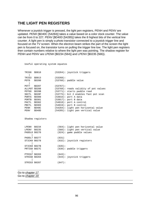## **THE LIGHT PEN REGISTERS**

Whenever a joystick trigger is pressed, the light pen registers, PENH and PENV are updated. PENH [\$D40C (54284)] takes a value based on a color clock counter. The value can be from 0 to 227. PENV [\$D40D [54285)] takes the 8 highest bits of the vertical line counter. A light pen is simply a photo transistor connected to a joystick trigger line and focused on the TV screen. When the electron beam strikes the part of the screen the light pen is focused on, the transistor turns on pulling the trigger line low. The light pen registers then contain numbers relative to where the light pen was pointing. The shadow register for PENH and PENV are LPENH [\$0234 (564)] and LPENV [\$0235 (566)).

Useful operating system equates

| TRIG0         | \$D010           |          | (53264): joystick triggers              |
|---------------|------------------|----------|-----------------------------------------|
| TRIG3         | \$D013           | (53268): |                                         |
| POT0          | \$D200           |          | $(53760)$ : paddle value                |
| POT7          | \$D207           | (53767): |                                         |
| ALLPOT \$D208 |                  |          | (53768): reads validity of pot values   |
| POTGO         | \$D20B           |          | (53771): starts paddle read             |
| SKCTL         | \$D20F           |          | $(53775)$ : bit 2 enables fast pot scan |
| PORTA         | \$D300           |          | (53016): port A data                    |
| PORTB         | \$D301           |          | (53017): port B data                    |
| PACTL \$D302  |                  |          | $(54018)$ : port A control              |
| PBCTL \$D303  |                  |          | $(54019)$ : port B control              |
| PENH          | \$D40C           |          | (54284): light pen horizontal value     |
| PENV          | \$D40D           |          | (54285): light pen vertical value       |
|               |                  |          |                                         |
|               | Shadow registers |          |                                         |
|               |                  |          |                                         |
| LPENH \$0234  |                  |          | (564): light pen horizontal value       |
| LPENV \$0235  |                  |          | (566): light pen vertical value         |
| PADDL0 \$0270 |                  |          | $(624)$ : game paddle values            |
| PADDL7 \$0277 |                  | (631)    |                                         |
| STICK0 \$0278 |                  |          | $(632)$ : joystick registers            |
| STICK0 \$027B |                  | (635):   |                                         |
| PRTIGO \$027C |                  |          | (636): paddle triggers                  |
| PTRIG7 \$0283 |                  | (643):   |                                         |
| STRIGO \$0284 |                  |          | $(644)$ : joystick triggers             |
|               |                  |          |                                         |
| STRIG3 \$0287 |                  | (647):   |                                         |

Go to chapter 17 Go to chapter 19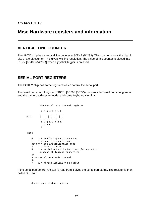# **Misc Hardware registers and information**

## **VERTICAL LINE COUNTER**

The ANTIC chip has a vertical line counter at \$0D4B (54283). This counter shows the high 8 bits of a 9 bit counter. This gives two line resolution. The value of this counter is placed into PENV [\$D40D (54285)] when a joystick trigger is pressed.

## **SERIAL PORT REGISTERS**

The POKEY chip has some registers which control the serial port.

The serial port control register, SKCTL [\$D20F (53775)], controls the serial port configuration and the game paddle scan mode. and some keyboard circuitry.

```
 The serial port control register
                7 6 5 4 3 2 1 0
 −−−−−−−−−−−−−−−−−
     SKCTL | | | | | | | |
 −−−−−−−−−−−−−−−−−
                1 6 3 1 8 4 2 1
                2 4 2 6
8
      bits
         0 1 = enable keyboard debounce
        1 1 = enable keyboard scan
         both 0 = set initialization mode.
        2 \t1 = fast pot scan
         3 1 = serial output is two tone (for cassette)
              instead of logical true/false
        4\vee 5 >− serial port mode control
         6/
         7 1 = forced logical 0 on output
```
If the serial port control register is read from it gives the serial port status. The register is then called SKSTAT

Serial port status register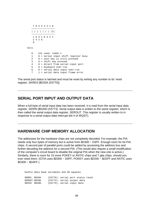```
 7 6 5 4 3 2 1 0
          −−−−−−−−−−−−−−−−−
          | | | | | | | |1|
 −−−−−−−−−−−−−−−−−
           1 6 3 1 8 4 2 1
           2 4 2 6
 8
       bits
         0 not used, reads 1
          1 0 = serial input shift register busy
          2 0 = last key is still pressed
          3 0 = shift key pressed
          4 0 = direct from serial input port
          5 0 = keyboard over−run
          6 0 = serial data input over−run
          7 1 = serial data input frame error
```
The serial port status is latched and must be reset by writing any number to its' reset register, SKRES [\$D20A (53770)].

### **SERIAL PORT INPUT AND OUTPUT DATA**

When a full byte of serial input data has been received, it is read from the serial input data register, SERIN [\$D20D (53773). Serial output data is written to the same register, which is then called the serial output data register, SEROUT. This register is usually written to in response to a serial output data interrupt (bit 4 of IRQST).

### **HARDWARE CHIP MEMORY ALLOCATION**

The addresses for the hardware chips are not completely decoded. For example, the PIA needs only four bytes of memory but is active from \$D300 − D3FF. Enough room for 64 PIA chips. A second pair of parallel ports could be added by accessing the address bus and further decoding the address for a second PIA. (This would also require a small modification of the computer's circuit board to disable the original PIA when the new one is active.) Similarly, there is room for 15 more POKEY or ANTIC chips and 7 gtia chips, should you ever need them. (GTIA uses \$D000 – D0FF, POKEY uses \$D200 – \$D2FF and ANTIC uses \$D400 − \$D4FF.)

 Useful data base variables and OS equates SKRES \$D20A (53770): serial port status reset SEROUT \$D20D (53773): serial output data SERIN \$D20D (53773): serial input data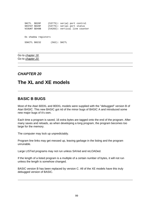| SKCTL \$D20F<br>SKSTAT \$D20F<br>VCOUNT \$D40B |                     |                | $(53775)$ : serial port control<br>$(53775)$ : serial port status<br>$(54283)$ : vertical line counter |
|------------------------------------------------|---------------------|----------------|--------------------------------------------------------------------------------------------------------|
|                                                | Os shadow registers |                |                                                                                                        |
| SSKCTL \$0232                                  |                     | $(562):$ SKCTL |                                                                                                        |

Go to chapter 18 Go to chapter 20

## **CHAPTER 20**

# **The XL and XE models**

## **BASIC B BUGS**

Most of the Atari 600XL and 800XL models were supplied with the "debugged" version B of Atari BASIC. This new BASIC got rid of the minor bugs of BASIC A and introduced some new major bugs of it's own.

Each time a program is saved, 16 extra bytes are tagged onto the end of the program. After many saves and reloads, as when developing a long program, the program becomes too large for the memory.

The computer may lock up unpredictably.

Program line links may get messed up, leaving garbage in the listing and the program unrunable.

Large LISTed programs may not run unless SAVed and reLOADed.

If the length of a listed program is a multiple of a certain number of bytes, it will not run unless the length is somehow changed.

BASIC version B has been replaced by version C. All of the XE models have this truly debugged version of BASIC.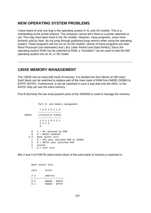### **NEW OPERATING SYSTEM PROBLEMS**

I have heard of only one bug in the operating system in XL and XE models. This is a mishandling of the printer timeout. The computer cannot tell if there is a printer attached or not. This may have been fixed in the XE models. However, many programs, some even formerly sold by Atari, do not jump through published jump vectors when using the operating system. These programs will not run on XL/XE models. (Some of these programs are Atari Word Processor (not Atariwriter) and LJKs Letter Perfect and Data Perfect.) Since the operating system ROM can be switched to RAM, a "translator" can be used to load the 800 operating system into an XL or XE model.

## **130XE MEMORY MANAGEMENT**

The 130XE has an extra 64K bank of memory. It is divided into four blocks of 16K each. Each block can be switched to replace part of the main bank of RAM from \$4000 (16384) to \$7FFF (32767). Furthermore, it can be switched in such a way that only the 6502, or the ANTIC chip can see the extra memory.

Port B (formerly the two extra joystick ports of the 400/800) is used to manage the memory.

 Port B and memory management 7 6 5 4 3 2 1 0 −−−−−−−−−−−−−−−−− PORTB |T|U|A|C|S S|B|R| −−−−−−−−−−−−−−−−−−−−−−−− 1 6 3 1 8 4 2 1 2 4 2 6 e a construction de la proponente de la proponente de la proponente de la proponente de la proponente de la pr<br>En 1888, en 1888, en 1888, en 1888, en 1888, en 1888, en 1888, en 1888, en 1888, en 1888, en 1888, en 1888, en R 1 = OS replaced by RAM B 0 = BASIC enabled S S bank select bits  $C = 0 = CPU$  sees switched RAM at \$4000 A 0 = ANTIC sees switched RAM U unused T 0 = self test

Bits 2 and 3 of PORTB select which block of the extra bank of memory is switched in.

 Bank select bits bits block 2 3 address −−−−−−−−−−−−−−−−−−−−−−−−− 0 0 \$0000 − \$3FFF 0 1 \$4000 - \$7FFF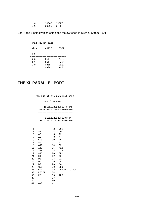| 10  | $$8000 - $B$ FFFF |  |
|-----|-------------------|--|
| 1 1 | $SC000 - SFFFF$   |  |

Bits 4 and 5 select which chip sees the switched in RAM at \$4000 − \$7FFF

| Chip select bits   |      |
|--------------------|------|
| bits<br>ANTIC      | 6502 |
| 4 5                |      |
| 00<br>Ext.         | Ext. |
| 0 1<br>Ext.        | Main |
| $1\quad$ 0<br>Main | Ext. |
| Main<br>$1\quad1$  | Main |

# **THE XL PARALLEL PORT**

Pin out of the parallel port

top from rear

| 111112222233333444445     |
|---------------------------|
| 2468024680246802468024680 |
|                           |
|                           |
| 11111222223333344444      |
| 1357913579135791357913579 |

| 1  |       | 2  | GND            |  |
|----|-------|----|----------------|--|
| 3  | A1    | 4  | A <sub>0</sub> |  |
| 5  | A3    | 6  | A2             |  |
| 7  | A5    | 8  | A4             |  |
| 9  | GND   | 10 | A6             |  |
| 11 | A8    | 12 | A7             |  |
| 13 | A10   | 14 | A9             |  |
| 15 | A12   | 16 | A11            |  |
| 17 | A14   | 18 | A13            |  |
| 19 | A15   | 20 | GND            |  |
| 21 | D1    | 22 | D <sub>0</sub> |  |
| 23 | D3    | 24 | D2             |  |
| 25 | D5    | 26 | D4             |  |
| 27 | D7    | 28 | D6             |  |
| 29 | GND   | 30 | GND            |  |
| 31 | GND   | 32 | phase 2 clock  |  |
| 33 | RESET | 34 |                |  |
| 35 | RDY   | 36 | IRQ            |  |
| 37 |       | 37 |                |  |
| 39 |       | 40 |                |  |
| 41 | GND   | 42 |                |  |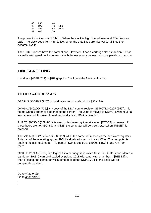| 43 | RAS        | 44 |       |
|----|------------|----|-------|
| 45 | R/W        | 46 | GND   |
| 47 | $+5V$      | 48 | $+5V$ |
| 49 | <b>GND</b> | 50 |       |

The phase 2 clock runs at 1.8 MHz. When the clock is high, the address and R/W lines are valid. The clock goes from high to low, when the data lines are also valid. All lines then become invalid.

The 130XE doesn't have the parallel port. However, it has a cartridge slot expansion. This is a small cartridge−slot−like connector with the necessary connector to use parallel expansion.

## **FINE SCROLLING**

If address \$026E (622) is \$FF, graphics 0 will be in the fine scroll mode.

## **OTHER ADDRESSES**

DSCTLN [\$0D25,2 (725)] is the disk sector size. should be \$80 (128).

DMASAV [\$02DD (735)] is a copy of the DMA control register, SDMCTL [\$022F (559)]. It is set up when a channel is opened to the screen. The value is moved to SDMCTL whenever a key is pressed. It is used to restore the display if DMA is disabled.

PUPBT [\$033D,3 (829–831)] is used to test memory integrity when [RESET] is pressed. If these bytes are not \$5C, \$93 and \$25, the computer will do a cold start when [RESET] is pressed.

The self−test ROM is from \$D000 to \$D7FF, the same addresses as the hardware registers. This part of the operating system ROM is disabled when not used. When The computer is put into the self−test mode, This part of ROM is copied to \$5000 to \$57FF and run from there.

GINTLK [\$03FA (1018)] is a logical 1 if a cartridge is installed (built−in BASIC is considered a cartridge). BASIC can be disabled by poking 1018 with a non−zero number. If [RESET] is then pressed, the computer will attempt to load the DUP.SYS file and basic will be completely disabled.

Go to chapter 19 Go to appendix A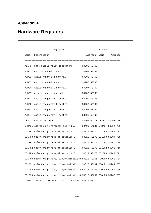# **Appendix A**

# **Hardware Registers**

| Register                                                                 |                                | Shadow |                      |
|--------------------------------------------------------------------------|--------------------------------|--------|----------------------|
| Name Description                                                         |                                |        | Address Name Address |
| ALLPOT game paddle ready indicators                                      | \$D208 53768                   |        |                      |
| AUDC1 Audio channel 1 control                                            | \$D201 53761                   |        |                      |
| AUDC2 Audio channel 2 control                                            | \$D203 53763                   |        |                      |
| AUDC3 Audio channel 3 control                                            | \$D205 53765                   |        |                      |
| AUDC4 Audio channel 1 control                                            | \$D207 53767                   |        |                      |
| AUDCTL general audio control                                             | \$D208 53768                   |        |                      |
| AUDF1 Audio frequency 1 control                                          | \$D200 53760                   |        |                      |
| AUDF2 Audio frequency 2 control                                          | \$D202 53762                   |        |                      |
| AUDF3 Audio frequency 3 control                                          | \$D204 53764                   |        |                      |
| AUDF4 Audio frequency 4 control                                          | \$D206 53766                   |        |                      |
| CHACTL character control                                                 | \$D401 54273 CHART \$02F3 755  |        |                      |
| CHBASE Address of character set / 256                                    | \$D409 54281 CHBAS \$02F4 756  |        |                      |
| COLBK color/brightness of setcolor 4                                     | \$D01A 53274 COLOR4 \$02C8 712 |        |                      |
| COLPF0 Color/brightness of setcolor 0                                    | \$D016 53270 COLOR0 \$02C4 708 |        |                      |
| COLPF1 color/brightness of setcolor 1                                    | \$D017 53271 COLOR1 \$02C5 709 |        |                      |
| COLPF2 color/brightness of setcolor 2                                    | \$D018 53272 COLOR2 \$02C6 710 |        |                      |
| COLPF3 color/brightness of setcolor 3                                    | \$D019 53273 COLOR3 \$02C7 711 |        |                      |
| COLPM0 color/brightness, player/missile 0 \$D012 53266 PCOLR0 \$02C0 704 |                                |        |                      |
| COLPM1 color/brightness, player/missile 1 \$DO13 53267 PCOLR1 \$02C1 705 |                                |        |                      |
| COLPM2 color/brightness, player/missile 2 \$D014 53268 PCOLR2 \$02C2 706 |                                |        |                      |
| COLPM3 color/brightness, player/missile 3 \$DO15 53269 PCOLR3 \$02C3 707 |                                |        |                      |
| CONSOL [START], [SELECT], [OPT.], speaker \$D01F 53279                   |                                |        |                      |

103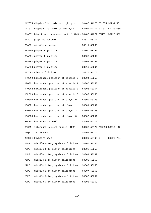|       | DLISTH display list pointer high byte                                    |                 | \$D403 54275 SDLSTH \$0231 561 |            |    |
|-------|--------------------------------------------------------------------------|-----------------|--------------------------------|------------|----|
|       | DLISTL display list pointer low byte                                     |                 | \$D402 54274 SDLSTL \$0230 560 |            |    |
|       | DMACTL Direct Memory access control (DMA) \$D400 54272 SDMCTL \$022F 559 |                 |                                |            |    |
|       | GRACTL graphics control                                                  | \$D01D 53277    |                                |            |    |
|       | GRAFM missile graphics                                                   | \$D011 53265    |                                |            |    |
|       | GRAFP0 player 0 graphics                                                 | \$D00D 53261    |                                |            |    |
|       | GRAFP1 player 1 graphics                                                 | \$D00E 53262    |                                |            |    |
|       | GRAFP2 player 2 graphics                                                 | \$D00F 53263    |                                |            |    |
|       | GRAFP3 player 3 graphics                                                 | \$D010 53264    |                                |            |    |
|       | HITCLR clear collisions                                                  | \$D01E 54278    |                                |            |    |
|       | HPOSMO horizontal position of missile O                                  | \$D004 53252    |                                |            |    |
|       | HPOSM1 horizontal position of missile 1                                  | \$D005 53253    |                                |            |    |
|       | HPOSM2 horizontal position of missile 2                                  | \$D006 53254    |                                |            |    |
|       | HOPSM3 horizontal position of missile 3                                  | \$D007 53255    |                                |            |    |
|       | HPOSP0 horizontal position of player 0                                   | \$D000 53248    |                                |            |    |
|       | HPOSP1 horizontal position of player 1                                   | \$D001 53249    |                                |            |    |
|       | HPOSP2 horizontal position of player 2                                   | \$D002 53250    |                                |            |    |
|       | HPOSP3 horizontal position of player 3                                   | \$D003 53251    |                                |            |    |
|       | HSCROL horizontal scroll                                                 | \$D404 54276    |                                |            |    |
| IRQEN | interrupt request enable (IRQ)                                           |                 | \$D20E 53774 POKMSK \$0010     |            | 16 |
| IRQST | IRQ status                                                               | \$D20E 53774    |                                |            |    |
|       | KBCODE keyboard code                                                     | \$D209 53769 CH |                                | \$02FC 764 |    |
| M0PF  | missile 0 to graphics collisions                                         | \$D000 53248    |                                |            |    |
| M0PL  | missile 0 to player collisions                                           | \$D008 53256    |                                |            |    |
| M1PF  | missile 1 to graphics collisions                                         | \$D001 53249    |                                |            |    |
| M1PL  | missile 1 to player collisions                                           | \$D009 53257    |                                |            |    |
| M2PF  | missile 2 to graphics collisions                                         | \$D002 53250    |                                |            |    |
| M2PL  | missile 2 to player collisions                                           | \$D00A 53258    |                                |            |    |
| M3PF  | missile 3 to graphics collisions                                         | \$D003 53251    |                                |            |    |
| M3PL  | missile 3 to player collisions                                           | \$D00B 53259    |                                |            |    |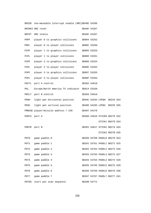| NMIEN            | non-maskable interrupt enable (NMI)\$D40E 54286 |              |                                |  |
|------------------|-------------------------------------------------|--------------|--------------------------------|--|
|                  | NMIRES NMI reset                                | \$D40F 54287 |                                |  |
| NMIST            | NMI status                                      | \$D40F 54287 |                                |  |
| POPF             | player 0 to graphics collisions                 | \$D004 53252 |                                |  |
| P0PL             | player 0 to player collisions                   | \$D00C 53260 |                                |  |
| P1PF             | player 1 to graphics collisions                 | \$D005 53253 |                                |  |
| P1PL             | player 1 to player collisions                   | \$D00D 53261 |                                |  |
| P2PF             | player 2 to graphics collisions                 | \$D006 53254 |                                |  |
| P2PL             | player 2 to player collisions                   | \$D00E 53262 |                                |  |
| P3PF             | player 3 to graphics collisions                 | \$D007 53255 |                                |  |
| P3PL             | player 3 to player collisions                   | \$D00F 53263 |                                |  |
| PACTL            | port A control                                  | \$D302 54018 |                                |  |
| PAL              | Europe/North America TV indicator \$D014 53268  |              |                                |  |
|                  | PBCLT port B control                            | \$D303 54019 |                                |  |
| PENH             | light pen horizontal position                   |              | \$D40C 54284 LPENH \$0234 564  |  |
| PENV             | light pen vertical position                     |              | \$D40D 54285 LPENV \$0235 565  |  |
|                  | PMBASE player/missile address / 256             | \$D407 54279 |                                |  |
| PORTA port A     |                                                 |              | \$D300 54016 STICK0 \$0278 632 |  |
|                  |                                                 |              | STICK1 \$0279 634              |  |
| PORTB port B     |                                                 |              | \$D301 54017 STICK2 \$027A 634 |  |
|                  |                                                 |              | STICK3 \$027B 635              |  |
| POT0             | game paddle 0                                   |              | \$D200 53760 PADDL0 \$0270 624 |  |
| POT1             | game paddle 1                                   |              | \$D201 53761 PADDL1 \$0271 625 |  |
| POT <sub>2</sub> | game paddle 2                                   |              | \$D202 53762 PADDL2 \$0272 626 |  |
| POT3             | game paddle 3                                   |              | \$D203 53763 PADDL3 \$0273 627 |  |
| POT4             | game paddle 4                                   |              | \$D204 53764 PADDL4 \$0274 628 |  |
| POT5             | game paddle 5                                   |              | \$D205 53765 PADDL5 \$0275 629 |  |
| POT6             | game paddle 6                                   |              | \$D206 53766 PADDL6 \$0276 630 |  |
| POT7             | game paddle 7                                   |              | \$D207 53767 PADDL7 \$0277 631 |  |
| POTGO            | start pot scan sequence                         | \$D20B 53771 |                                |  |

105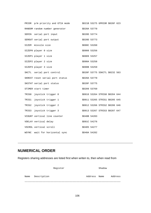|       | PRIOR p/m priority and GTIA mode |              | \$D21B 53275 GPRIOR \$026F 623 |  |
|-------|----------------------------------|--------------|--------------------------------|--|
|       | RANDOM random number generator   | \$D20A 53770 |                                |  |
|       | SERIN serial port input          | \$D20D 53774 |                                |  |
|       | SEROUT serial port output        | \$D20D 53773 |                                |  |
|       | SIZEM missile size               | \$D00C 53260 |                                |  |
|       | SIZEPO player O size             | \$D008 53256 |                                |  |
|       | SIZEP1 player 1 size             | \$D009 53257 |                                |  |
|       | SIZEP2 player 2 size             | \$D00A 53258 |                                |  |
|       | SIZEP3 player 3 size             | \$D00B 53259 |                                |  |
|       | SKCTL serial port control        |              | \$D20F 53775 SSKCTL \$0232 563 |  |
|       | SKREST reset serial port status  | \$D20A 53770 |                                |  |
|       | SKSTAT serial port status        | \$D20F 53775 |                                |  |
|       | STIMER start timer               | \$D209 53769 |                                |  |
| TRIG0 | joystick trigger 0               |              | \$D010 53264 STRIGO \$0284 644 |  |
| TRIG1 | joystick trigger 1               |              | \$D011 53265 STRIG1 \$0285 645 |  |
| TRIG2 | joystick trigger 2               |              | \$D012 53266 STRIG2 \$0286 646 |  |
| TRIG3 | joystick trigger 3               |              | \$D013 53267 STRIG3 \$0287 647 |  |
|       | VCOUNT vertical line counter     | \$D40B 54283 |                                |  |
|       | VDELAY vertical delay            | \$D01C 54276 |                                |  |
|       | VSCROL vertical scroll           | \$D405 54277 |                                |  |
|       | WSYNC wait for horizontal sync   | \$D40A 54282 |                                |  |

# **NUMERICAL ORDER**

Registers sharing addresses are listed first when writen to, then when read from

|      |             | Register |         | Shadow |         |
|------|-------------|----------|---------|--------|---------|
| Name | Description |          | Address | Name   | Address |
|      |             |          |         |        |         |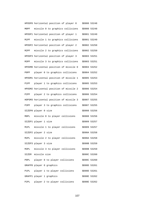HPOSP0 horizontal position of player 0 \$D000 53248 M0PF missile 0 to graphics collisions \$D000 53248 HPOSP1 horizontal position of player 1 \$D001 53249 M1PF missile 1 to graphics collisions \$D001 53249 HPOSP2 horizontal position of player 2 \$D002 53250 M2PF missile 2 to graphics collisions \$D002 53250 HPOSP3 horizontal position of player 3 \$D003 53251 M3PF missile 3 to graphics collisions \$D003 53251 HPOSM0 horizontal position of missile 0 \$D004 53252 P0PF player 0 to graphics collisions \$D004 53252 HPOSM1 horizontal position of missile 1 \$D005 53253 P1PF player 1 to graphics collisions \$D005 53253 HPOSM2 horizontal position of missile 2 \$D006 53254 P2PF player 2 to graphics collisions \$D006 53254 HOPSM3 horizontal position of missile 3 \$D007 53255 P3PF player 3 to graphics collisions \$D007 53255 SIZEPO player 0 size \$D008 53256 MOPL missile 0 to player collisions \$D008 53256 SIZEP1 player 1 size  $$D009$  53257 M1PL missile 1 to player collisions \$D009 53257 SIZEP2 player 2 size \$D00A 53258 M2PL missile 2 to player collisions \$D00A 53258 SIZEP3 player 3 size \$D00B 53259 M3PL missile 3 to player collisions \$D00B 53259 SIZEM missile size \$D00C 53260 P0PL player 0 to player collisions \$D00C 53260 GRAFP0 player 0 graphics \$D00D 53261 P1PL player 1 to player collisions \$D00D 53261 GRAFP1 player 1 graphics \$D00E 53262 P2PL player 2 to player collisions \$D00E 53262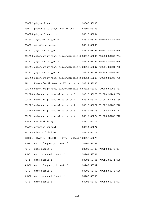GRAFP2 player 2 graphics \$D00F 53263 P3PL player 3 to player collisions \$D00F 53263 GRAFP3 player 3 graphics \$D010 53264 TRIG0 joystick trigger 0 \$D010 53264 STRIG0 \$0284 644 GRAFM missile graphics \$D011 53265 TRIG1 joystick trigger 1 \$D011 53265 STRIG1 \$0285 645 COLPM0 color/brightness, player/missile 0 \$D012 53266 PCOLR0 \$02C0 704 TRIG2 joystick trigger 2 \$D012 53266 STRIG2 \$0286 646 COLPM1 color/brightness, player/missile 1 \$D013 53267 PCOLR1 \$02C1 705 TRIG3 joystick trigger 3 \$D013 53267 STRIG3 \$0287 647 COLPM2 color/brightness, player/missile 2 \$D014 53268 PCOLR2 \$02C2 706 PAL Europe/North America TV indicator \$D014 53268 COLPM3 color/brightness, player/missile 3 \$D015 53269 PCOLR3 \$02C3 707 COLPF0 Color/brightness of setcolor 0 \$D016 53270 COLOR0 \$02C4 708 COLPF1 color/brightness of setcolor 1 \$D017 53271 COLOR1 \$02C5 709 COLPF2 color/brightness of setcolor 2 \$D018 53272 COLOR2 \$02C6 710 COLPF3 color/brightness of setcolor 3 \$D019 53273 COLOR3 \$02C7 711 COLBK color/brightness of setcolor 4 \$D01A 53274 COLOR4 \$02C8 712 VDELAY vertical delay \$D01C 54276 GRACTL graphics control \$D01D 53277 HITCLR clear collisions \$D01E 54278 CONSOL [START], [SELECT], [OPT.], speaker \$D01F 53279 AUDF1 Audio frequency 1 control \$D200 53760 POT0 game paddle 0 \$D200 53760 PADDL0 \$0270 624 AUDC1 Audio channel 1 control \$D201 53761 POT1 game paddle 1 \$D201 53761 PADDL1 \$0271 625 AUDF2 Audio frequency 2 control \$D202 53762 POT2 game paddle 2 \$D202 53762 PADDL2 \$0272 626 AUDC2 Audio channel 2 control \$D203 53763 POT3 game paddle 3 \$D203 53763 PADDL3 \$0273 627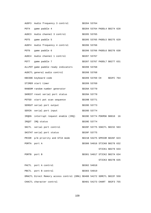AUDF3 Audio frequency 3 control \$D204 53764 POT4 game paddle 4 \$D204 53764 PADDL4 \$0274 628 AUDC3 Audio channel 3 control \$D205 53765 POT5 game paddle 5 \$D205 53765 PADDL5 \$0275 629 AUDF4 Audio frequency 4 control \$D206 53766 POT6 game paddle 6 \$D206 53766 PADDL6 \$0276 630 AUDC4 Audio channel 1 control \$D207 53767 POT7 game paddle 7 \$D207 53767 PADDL7 \$0277 631 ALLPOT game paddle ready indicators \$D208 53768 AUDCTL general audio control  $$D20853768$ KBCODE keyboard code \$D209 53769 CH \$O2FC 764 STIMER start timer \$D209 53769 RANDOM random number generator \$D20A 53770 SKREST reset serial port status \$D20A 53770 POTGO start pot scan sequence  $$D20B 53771$ SEROUT serial port output \$D20D 53773 SERIN serial port input \$D20D 53774 IRQEN interrupt request enable (IRQ) \$D20E 53774 POKMSK \$0010 16 IRQST IRQ status \$D20E 53774 SKCTL serial port control  $$D20F$$  53775 SSKCTL \$0232 563 SKSTAT serial port status \$D20F 53775 PRIOR p/m priority and GTIA mode  $$D21B$  53275 GPRIOR \$026F 623 PORTA port A \$D300 54016 STICK0 \$0278 632 STICK1 \$0279 633 PORTB port B \$D301 54017 STICK2 \$027A 634 STICK3 \$027B 635 PACTL port A control \$D302 54018 PBCTL port B control  $$D303 54019$  DMACTL Direct Memory access control (DMA) \$D400 54272 SDMCTL \$022F 559 CHACTL character control \$D401 54273 CHART \$02F3 755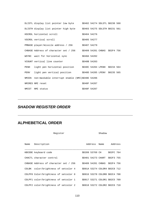|      | DLISTL display list pointer low byte                                 |              | \$D402 54274 SDLSTL \$0230 560 |  |
|------|----------------------------------------------------------------------|--------------|--------------------------------|--|
|      | DLISTH display list pointer high byte \$D403 54275 SDLSTH \$0231 561 |              |                                |  |
|      | HSCROL horizontal scroll                                             | \$D404 54276 |                                |  |
|      | VSCROL vertical scroll                                               | \$D405 54277 |                                |  |
|      | PMBASE player/missile address / 256 \$D407 54279                     |              |                                |  |
|      | CHBASE Address of character set / 256                                |              | \$D409 54281 CHBAS \$02F4 756  |  |
|      | WSYNC wait for horizontal sync                                       | \$D40A 54282 |                                |  |
|      | VCOUNT vertical line counter                                         | \$D40B 54283 |                                |  |
| PENH | light pen horizontal position \$D40C 54284 LPENH \$0234 564          |              |                                |  |
| PENV | light pen vertical position \$D40D 54285 LPENV \$0235 565            |              |                                |  |
|      | NMIEN non-maskable interrupt enable (NMI)\$D40E 54286                |              |                                |  |
|      | NMIRES NMI reset                                                     | \$D40F 54287 |                                |  |
|      | NMIST NMI status                                                     | SD40F 54287  |                                |  |

## **SHADOW REGISTER ORDER**

# **ALPHEBETICAL ORDER**

| Register                              | Shadow |  |                                |            |  |  |  |  |
|---------------------------------------|--------|--|--------------------------------|------------|--|--|--|--|
| Name Description                      |        |  | Address Name                   | Address    |  |  |  |  |
| KBCODE keyboard code                  |        |  | \$D209 53769 CH                | \$02FC 764 |  |  |  |  |
| CHACTL character control              |        |  | \$D401 54273 CHART \$02F3 755  |            |  |  |  |  |
| CHBASE Address of character set / 256 |        |  | \$D409 54281 CHBAS \$02F4 756  |            |  |  |  |  |
| COLBK color/brightness of setcolor 4  |        |  | \$D01A 53274 COLOR4 \$02C8 712 |            |  |  |  |  |
| COLPF0 Color/brightness of setcolor 0 |        |  | \$D016 53270 COLOR0 \$02C4 708 |            |  |  |  |  |
| COLPF1 color/brightness of setcolor 1 |        |  | \$D017 53271 COLOR1 \$02C5 709 |            |  |  |  |  |
| COLPF2 color/brightness of setcolor 2 |        |  | \$D018 53272 COLOR2 \$02C6 710 |            |  |  |  |  |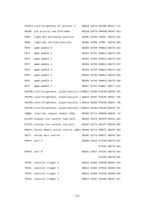|       | COLPF3 color/brightness of setcolor 3                                    |  | \$D019 53273 COLOR3 \$02C7 711 |             |    |
|-------|--------------------------------------------------------------------------|--|--------------------------------|-------------|----|
| PRIOR | p/m priority and GTIA mode                                               |  | \$D21B 53275 GPRIOR \$026F 623 |             |    |
| PENH  | light pen horizontal position                                            |  | \$D40C 54284 LPENH             | \$0234 564  |    |
| PENV  | light pen vertical position                                              |  | \$D40D 54285 LPENV             | $$0235$ 565 |    |
| POT0  | game paddle 0                                                            |  | \$D200 53760 PADDL0 \$0270 624 |             |    |
| POT1  | game paddle 1                                                            |  | \$D201 53761 PADDL1 \$0271 625 |             |    |
| POT2  | game paddle 2                                                            |  | \$D202 53762 PADDL2 \$0272 626 |             |    |
| POT3  | game paddle 3                                                            |  | \$D203 53763 PADDL3 \$0273 627 |             |    |
| POT4  | game paddle 4                                                            |  | \$D204 53764 PADDL4 \$0274 628 |             |    |
| POT5  | game paddle 5                                                            |  | \$D205 53765 PADDL5 \$0275 629 |             |    |
| POT6  | game paddle 6                                                            |  | \$D206 53766 PADDL6 \$0276 630 |             |    |
| POT7  | game paddle 7                                                            |  | \$D207 53767 PADDL7 \$0277 631 |             |    |
|       | COLPM0 color/brightness, player/missile 0 \$D012 53266 PCOLR0 \$02C0 704 |  |                                |             |    |
|       | COLPM1 color/brightness, player/missile 1 \$D013 53267 PCOLR1 \$02C1 705 |  |                                |             |    |
|       | COLPM2 color/brightness, player/missile 2 \$D014 53268 PCOLR2 \$02C2 706 |  |                                |             |    |
|       | COLPM3 color/brightness, player/missile 3 \$D015 53269 PCOLR3 \$02C3 707 |  |                                |             |    |
| IROEN | interrupt request enable (IRQ)                                           |  | \$D20E 53774 POKMSK \$0010     |             | 16 |
|       | DLISTH display list pointer high byte                                    |  | \$D403 54275 SDLSTH \$0231 561 |             |    |
|       | DLISTL display list pointer low byte                                     |  | \$D402 54274 SDLSTL \$0230 560 |             |    |
|       | DMACTL Direct Memory access control (DMA) \$D400 54272 SDMCTL \$022F 559 |  |                                |             |    |
| SKCTL | serial port control                                                      |  | \$D20F 53775 SSKCTL \$0232 563 |             |    |
|       | PORTA port A                                                             |  | \$D300 54016 STICK0 \$0278 632 |             |    |
|       |                                                                          |  | STICK1 \$0279 633              |             |    |
|       | PORTB port B                                                             |  | \$D301 54017 STICK2 \$027A 634 |             |    |
|       |                                                                          |  | STICK3 \$027B 635              |             |    |
| TRIG0 | joystick trigger 0                                                       |  | \$D010 53264 STRIGO \$0284 644 |             |    |
| TRIG1 | joystick trigger 1                                                       |  | \$D011 53265 STRIG1 \$0285 645 |             |    |
| TRIG2 | joystick trigger 2                                                       |  | \$D012 53266 STRIG2 \$0286 646 |             |    |
| TRIG3 | joystick trigger 3                                                       |  | \$D013 53267 STRIG3 \$0287 647 |             |    |

111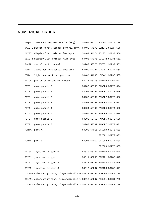# **NUMERICAL ORDER**

|       | IRQEN interrupt request enable (IRQ) \$D20E 53774 POKMSK \$0010          |  |                                | 16 |
|-------|--------------------------------------------------------------------------|--|--------------------------------|----|
|       | DMACTL Direct Memory access control (DMA) \$D400 54272 SDMCTL \$022F 559 |  |                                |    |
|       | DLISTL display list pointer low byte                                     |  | \$D402 54274 SDLSTL \$0230 560 |    |
|       | DLISTH display list pointer high byte                                    |  | \$D403 54275 SDLSTH \$0231 561 |    |
|       | SKCTL serial port control                                                |  | \$D20F 53775 SSKCTL \$0232 563 |    |
| PENH  | light pen horizontal position                                            |  | \$D40C 54284 LPENH \$0234 564  |    |
| PENV  | light pen vertical position                                              |  | \$D40D 54285 LPENV \$0235 565  |    |
| PRIOR | p/m priority and GTIA mode                                               |  | \$D21B 53275 GPRIOR \$026F 623 |    |
| POT0  | game paddle 0                                                            |  | \$D200 53760 PADDL0 \$0270 624 |    |
| POT1  | game paddle 1                                                            |  | \$D201 53761 PADDL1 \$0271 625 |    |
| POT2  | game paddle 2                                                            |  | \$D202 53762 PADDL2 \$0272 626 |    |
| POT3  | game paddle 3                                                            |  | \$D203 53763 PADDL3 \$0273 627 |    |
| POT4  | game paddle 4                                                            |  | \$D204 53764 PADDL4 \$0274 628 |    |
| POT5  | game paddle 5                                                            |  | \$D205 53765 PADDL5 \$0275 629 |    |
| POT6  | game paddle 6                                                            |  | \$D206 53766 PADDL6 \$0276 630 |    |
| POT7  | game paddle 7                                                            |  | \$D207 53767 PADDL7 \$0277 631 |    |
|       | PORTA port A                                                             |  | \$D300 54016 STICK0 \$0278 632 |    |
|       |                                                                          |  | STICK1 \$0279 633              |    |
|       | PORTB port B                                                             |  | \$D301 54017 STICK2 \$027A 634 |    |
|       |                                                                          |  | STICK3 \$027B 635              |    |
| TRIG0 | joystick trigger 0                                                       |  | \$D010 53264 STRIGO \$0284 644 |    |
| TRIG1 | joystick trigger 1                                                       |  | \$D011 53265 STRIG1 \$0285 645 |    |
| TRIG2 | joystick trigger 2                                                       |  | \$D012 53266 STRIG2 \$0286 646 |    |
| TRIG3 | joystick trigger 3                                                       |  | \$D013 53267 STRIG3 \$0287 647 |    |
|       | COLPM0 color/brightness, player/missile 0 \$D012 53266 PCOLR0 \$02C0 704 |  |                                |    |
|       | COLPM1 color/brightness, player/missile 1 \$D013 53267 PCOLR1 \$02C1 705 |  |                                |    |
|       | COLPM2 color/brightness, player/missile 2 \$D014 53268 PCOLR2 \$02C2 706 |  |                                |    |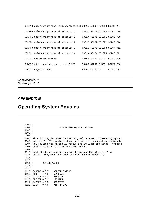|       | COLPM3 color/brightness, player/missile 3 \$D015 53269 PCOLR3 \$02C3 707 |                 |                                |            |  |
|-------|--------------------------------------------------------------------------|-----------------|--------------------------------|------------|--|
|       | COLPFO Color/brightness of setcolor 0                                    |                 | \$D016 53270 COLOR0 \$02C4 708 |            |  |
|       | COLPF1 color/brightness of setcolor 1                                    |                 | \$D017 53271 COLOR1 \$02C5 709 |            |  |
|       | COLPF2 color/brightness of setcolor 2                                    |                 | \$D018 53272 COLOR2 \$02C6 710 |            |  |
|       | COLPF3 color/brightness of setcolor 3                                    |                 | \$D019 53273 COLOR3 \$02C7 711 |            |  |
| COLBK | color/brightness of setcolor 4                                           |                 | \$D01A 53274 COLOR4 \$02C8 712 |            |  |
|       | CHACTL character control                                                 |                 | SD401 54273 CHART              | \$02F3 755 |  |
|       | CHBASE Address of character set / 256                                    |                 | SD409 54281 CHBAS              | SO2F4 756  |  |
|       | KBCODE keyboard code                                                     | \$D209 53769 CH |                                | SO2FC 764  |  |

Go to chapter 20 Go to appendix B

### **APPENDIX B**

# **Operating System Equates**

| 0100 : |                                                                           |
|--------|---------------------------------------------------------------------------|
| 0101 : | ATARI 800 EQUATE LISTING                                                  |
| 0102 : |                                                                           |
| 0103 : |                                                                           |
| 0104 : |                                                                           |
|        | 0105 ; This listing is based on the original release of Operating System, |
|        | 0106 iversion A. The vectors shown here were not changed in version B.    |
|        | 0107 ; New equates for XL and XE models are included and noted. Changes   |
|        | 0108 ; from version B to XL/XE are also noted.                            |
| 0109:  |                                                                           |
|        | 0110 <i>;</i> Most of the equate names given below are the official Atari |
|        | 0111 ; names. They are in common use but are not mandatory.               |
| 0112 : |                                                                           |
| 0113 : |                                                                           |
|        | $0114$ ;<br>DEVICE NAMES                                                  |
| 0115 : |                                                                           |
| 0116 : |                                                                           |
|        | $0117$ ; SCREDT = "E" SCREEN EDITOR                                       |
|        | $0118$ ; $KBD$<br>$= "K"$ KEYBOARD                                        |
|        | $0119$ ; $DISPLY = "S"$<br>DISPLAY                                        |
|        | $0120$ ; PRINTR = "P"<br>PRINTER                                          |
|        | $0121$ ; CASSET = "C"<br>CASSETTE                                         |
|        | $0122$ ; $DISK$<br>$=$ "D"<br>DISK DRIVE                                  |
|        |                                                                           |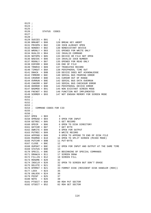0123 ; 0124 ; 0125 ; 0126 ; STATUS CODES 0127 ; 0128 ; 0129 SUCCES = \$01 1 0130 BRKABT = \$80 128 BREAK KEY ABORT 0131 PRVOPN = \$82 130 IOCB ALREADY OPEN 0132 NONDEV = \$82 130 NONEXISTANT DEVICE 0133 WRONLY = \$83 131 OPENED FOR WRITE ONLY 0134 NVALID = \$84 132 INVALID COMMAND 0135 NOTOPN = \$85 133 DEVICE OR FILE NOT OPEN 0136 BADIOC = \$86 134 INVALID IOCB NUMBER 0137 RDONLY = \$87 135 OPENED FOR READ ONLY 0138 EOFERR = \$88 136 END OF FILE<br>0139 TRNRCD = \$89 137 TRUNCATED RECORD 0139 TRNRCD = \$89 137 TRUNCATED RECORD 0140 TIMOUT = \$8A 138 PERIPHERAL TIME OUT 0141 DNACK = \$8B 139 DEVICE DOES NOT ACKNOWLEDGE 0142 FRMERR = \$8C 140 SERIAL BUS FRAMING ERROR 0143 CRSROR = \$8D 141 CURSOR OUT OF RANGE 0144 OVRRUN = \$8E 142 SERIAL BUS DATA OVERRUN 0145 CHKERR = \$8F 143 SERIAL BUS CHECKSUM ERROR 0146 DERROR = \$90 144 PERIPHERAL DEVICE ERROR 0147 BADMOD = \$91 145 NON EXISTANT SCREEN MODE 0148 FNCNOT = \$92 146 FUNCTION NOT IMPLEMENTED 0149 SCRMEM = \$93 147 NOT ENOUGH MEMORY FOR SCREEN MODE 0150 ; 0151 ;  $0152 :$  0153 ; 0154 ; COMMAND CODES FOR CIO  $0155$  ; 0156 ;  $0157$  OPEN = \$03 3  $0158$  OPREAD =  $$04$  4 OPEN FOR INPUT 0159 GETREC =  $$05$  5 GET RECORD 0160 OPDIR = \$06 6 OPEN TO DISK DIRECTORY 0161 GETCHR = \$07 7 GET BYTE  $0162$  OWRITE = \$08 8 OPEN FOR OUTPUT 0163 PUTREC = \$09 9 WRITE RECORD 0164 APPEND = \$09 9 OPEN TO APPEND TO END OF DISK FILE 0165 MXDMOD = \$10 16 OPEN TO SPLIT SCREEN (MIXED MODE)<br>0166 PUTCHR = \$0B 11 PUT-BYTE  $0166$  PUTCHR = \$0B 0167 CLOSE = \$0C 12 0168 OUPDAT =  $$0C$  12 OPEN FOR INPUT AND OUTPUT AT THE SAME TIME 0169 STATUS =  $$0D$  13  $0169$  STATUS = \$0D 0170 SPECIL = \$0E 14 BEGINNING OF SPECIAL COMMANDS 0171 DRAWLN =  $$11$  17 SCREEN DRAW 0172 FILLIN = \$12 18 SCREEN FILL 0173 RENAME = \$20 32 0174 INSCLR = \$20 32 OPEN TO SCREEN BUT DON'T ERASE 0175 DELETE = \$21 33 0176 DFRMAT = \$21 33 FORMAT DISK (RESIDENT DISK HANDLER (RDH)) 0177 LOCK = \$23 35 0178 UNLOCK = \$24 36 0179 POINT = \$25 37  $0180 \text{ NOTE} = $26$  38 0181 PTSECT = \$50 80 RDH PUT SECTOR 0182 GTSECT =  $$52$  82 RDH GET SECTOR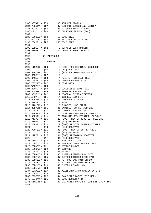$0183$  DSTAT = \$53 83 RDH GET STATUS 0184 PSECTV = \$57 87 RDH PUT SECTOR AND VERIFY 0185 NOIRG = \$80 128 NO GAP CASSETTE MODE  $0186 \text{ CR}$  = \$9B 155 CARRIAGE RETURN (EOL) 0187 ; 0188 IOCBSZ = \$10 16 IOCB SIZE 0189 MAXIOC = \$80 128 MAX IOCB BLOCK SIZE 0190 IOCBF = \$FF 255 IOCB FREE 0191 ; 0192 LEDGE = \$02 2 DEFAULT LEFT MARGIN<br>0193 REDGE = \$27 39 DEFAULT RIGHT MARGII 39 DEFAULT RIGHT MARGIN 0194 ; 0195 ; OS VARIABLES 0196 ; 0197 ; PAGE 0 0198 ;<br>0199 LINZBS = \$00 0 (800) FOR ORIGINAL DEBUGGER<br>0 (XL) RESERVED  $0200$  ; \$00 0201 NGFLAG = \$01 1 (XL) FOR POWER-UP SELF TEST 0202 CASINI = \$02 2 0203 RAMLO = \$04 4 POINTER FOR SELF TEST 0204 TRAMSZ = \$06 6 TEMPORARY RAM SIZE  $0205$  TSTDAT =  $$07$  7 TEST DATA<br> $0206$  WARMST =  $$08$  8  $0206$  WARMST =  $$08$ 0207 BOOT? = \$09 9 SUCCESSFUL BOOT FLAG 0208 DOSVEC = \$0A 10 PROGRAM RUN VECTOR 0209 DOSINI = \$0C 12 PROGRAM INITIALIZATION 0210 APPMHI = \$0E 14 DISPLAY LOW LIMIT 0211 POKMSK = \$10 16 IRQ ENABLE FLAGS<br>0212 BRKKEY = \$11 17 FLAG  $0212$  BRKKEY = \$11 0213 RTCLOK = \$12 18 3 BYTES, MSB FIRST 0214 BUFADR = \$15 21 INDIRECT BUFFER ADDRESS 0215 ICCOMT = \$17 23 COMMAND FOR VECTOR 0216 DSKFMS = \$18 24 DISK FILE MANAGER POINTER 0217 DSKUTL = \$1A 26 DISK UTILITY POINTER (DUP.SYS) 0218 PTIMOT = \$1C 28 (800) PRINTER TIME OUT REGISTER 0219 ABUFPT =  $$1C$  28 (XL) RESERVED 0220 PBPNT = \$1D 29 (800) PRINTER BUFFER POINTER 0221 ; \$1D 29 (XL) RESERVED 0222 PBUFSZ = \$1E 30 (800) PRINTER BUFFER SIZE 0223 ; \$1E 30 (XL) RESERVED  $0224 \text{ PTEMP} = $1\text{F}$   $0225 ; \qquad $1\text{F}$$   $0225 \text{ SIF}$   $0225 \text{ SIF}$  $0225$ ;  $$1F$   $31$  (XL) RESERVED 0226 ZIOCB = \$20 32 ZERO PAGE IOCB 0227 ICHIDZ = \$20 32 HANDLER INDEX NUMBER (ID)  $0228 \text{ ICDNOZ} = $21 \qquad 33 \text{ DEVICE NUMBER}$ <br>  $0229 \text{ ICCOMZ} = $22 \qquad 34 \text{ COMMAND}$  $0229$  ICCOMZ =  $$22$  34 COMMANI<br>  $0230$  ICSTAZ =  $$23$  35 STATUS  $0230$  ICSTAZ = \$23<br> $0231$  ICBALZ = \$24 0231 ICBALZ =  $$24$  36 BUFFER POINTER LOW BYTE<br>0232 ICBAHZ =  $$25$  37 BUFFER POINTER HIGH BYT 37 BUFFER POINTER HIGH BYTE 0233 ICPTLZ = \$26 38 PUT ROUTINE POINTER LOW 0234 ICPTHZ = \$27 39 PUT ROUTINE POINTER HIGH 0235 ICBLLZ = \$28 40 BUFFER LENGTH LOW 0236 ICBLHZ = \$29 41 0237 ICAX1Z = \$2A 42 AUXILIARY INFORMATION BYTE 1  $0238$  ICAX2Z = \$2B 43 0239 ICSPRZ = \$2C 44 TWO SPARE BYTES (CIO USE) 0240 ICIDNO = \$2E 46 IOCB NUMBER X 16 0241 CIOCHR = \$2F 47 CHARACTER BYTE FOR CURRENT OPERATION 0242 ;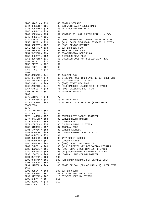|           | $0243$ STATUS = \$30                       |                      |            | 48 STATUS STORAGE                                                                      |
|-----------|--------------------------------------------|----------------------|------------|----------------------------------------------------------------------------------------|
|           |                                            |                      |            | 0244 CHKSUM = \$31 49 SUM WITH CARRY ADDED BACK                                        |
|           |                                            |                      |            | 0245 BUFRLO = \$32 50 DATA BUFFER LOW BYTE                                             |
|           |                                            | 0246 BUFRHI = \$33   | 51         |                                                                                        |
|           | $0247$ BFENLO = \$34                       |                      |            | 52 ADDRESS OF LAST BUFFER BYTE +1 (LOW)                                                |
|           |                                            | $0248$ BFENHI = \$35 | 53         |                                                                                        |
|           |                                            | $0249$ CRETRY = \$36 |            | 54 (800) NUMBER OF COMMAND FRAME RETRIES                                               |
|           |                                            | $0250$ LTEMP = \$36  |            | 54 (XL) LOADER TEMPORARY STORAGE, 2 BYTES                                              |
|           | $0251$ DRETRY = \$37                       |                      |            | 55 (800) DEVICE RETRIES                                                                |
|           | $0252$ BUFRFL = \$38                       |                      |            | 56 BUFFER FULL FLAG                                                                    |
|           | $0253$ RECVDN = \$39                       |                      |            | 57 RECEIVE DONE FLAG                                                                   |
|           |                                            |                      |            | 0254 XMTDON = \$3A 58 TRANSMISSION DONE FLAG                                           |
|           |                                            |                      |            | 0255 CHKSNT = \$3B 59 CHECKSUM-SENT FLAG                                               |
|           |                                            |                      |            | 0256 NOCKSM = \$3C 60 CHECKSUM-DOES-NOT-FOLLOW-DATA FLAG                               |
|           | $0257$ BPTR = \$3D                         |                      | 61         |                                                                                        |
|           | $0258$ FTYPE = \$3E                        |                      | 62         |                                                                                        |
|           | $0259$ FEOF = \$3F                         | 63                   |            |                                                                                        |
|           | $0260$ FREQ = \$40                         |                      | 64         |                                                                                        |
| 0261 :    |                                            |                      |            |                                                                                        |
|           |                                            |                      |            | 0262 SOUNDR = $$41$ 65 0=OUIET I/O                                                     |
|           |                                            |                      |            | 0263 CRITIC = $$42$ 66 CRITICAL FUNCTION FLAG, NO DEFFERED VBI                         |
|           |                                            |                      |            |                                                                                        |
|           |                                            | $0264$ FMSZPG = \$43 |            | 67 DOS ZERO PAGE, 7 BYTES                                                              |
|           |                                            | $0265$ CKEY = $$4A$  |            | 74 (800) START KEY FLAG                                                                |
|           |                                            |                      |            | 0266 ZCHAIN = $$4A$ 74 (XL) HANDLER LOADER TEMP, 2 BYTES                               |
|           | $0267$ CASSBT = \$4B                       |                      |            | 75 (800) CASSETTE BOOT FLAG                                                            |
|           | $0268$ DSTAT = \$4C                        |                      |            | 76 DISPLAY STATUS                                                                      |
| $0269$ ;  |                                            |                      |            |                                                                                        |
|           | $0270$ ATRACT = \$4D                       |                      | 77         |                                                                                        |
|           |                                            |                      |            | 0271 DRKMSK = $$4E$ 78 ATTRACT MASK                                                    |
|           |                                            | $0272$ COLRSH = \$4F |            | 79 ATTRACT COLOR SHIFTER (EORed WITH                                                   |
|           |                                            |                      |            |                                                                                        |
| GRAPHICS) |                                            |                      |            |                                                                                        |
| $0273$ ;  |                                            |                      |            |                                                                                        |
|           | $0274$ TMPCHR = \$50                       |                      | 80         |                                                                                        |
|           |                                            | 0275 HOLD1 = \$51    | 81         |                                                                                        |
|           | 0276 LMARGN = \$52                         |                      |            | 82 SCREEN LEFT MARGIN REGISTER                                                         |
|           |                                            |                      |            | UZ76 LMARGN = Ş52 82 SCREEN LEFT MARGIN I<br>0277 RMARGN = \$53 83 SCREEN RIGHT MARGIN |
|           |                                            |                      |            | $0278$ ROWCRS = $$54$ 84 CURSOR ROW                                                    |
|           |                                            |                      |            | 0279 COLCRS = \$55 85 CURSOR COLUMN, 2 BYTES                                           |
|           |                                            |                      |            | 0280 DINDEX = $$57$ 87 DISPLAY MODE                                                    |
|           | 0281 SAVMSC = \$58                         |                      |            | 88 SCREEN ADDRESS                                                                      |
|           | $0282$ OLDROW = \$5A                       |                      |            |                                                                                        |
|           | $0283$ OLDCOL = \$5B                       |                      | 91         | 90 CURSOR BEFORE DRAW OR FILL                                                          |
|           |                                            | $0284$ OLDCHR = \$5D |            | 93 DATA UNDER CURSOR                                                                   |
|           | $0285$ OLDADR = $$5E$                      |                      |            | 94 CURSOR ADDRESS                                                                      |
|           | 0286 NEWROW = \$60                         |                      |            | 96 (800) DRAWTO DESTINATION                                                            |
|           | $0287$ FKDEF = \$60                        |                      |            | 96 (XL) FUNCTION KEY DEFINATION POINTER                                                |
|           |                                            | $0288$ NEWCOL = \$61 |            | 97 (800) DRAWTO DESTINATION, 2 BYTES                                                   |
|           |                                            |                      |            | 0289 PALNTS = \$62 98 (XL) EUROPE/NORTH AMERICA TV FLAG                                |
|           | $0290$ LOGCOL = \$63                       |                      |            |                                                                                        |
|           | 0291 MLTTMP = \$66                         |                      | 102        | 99 LOGICAL LINE COLUMN POINTER                                                         |
|           | $0292$ OPNTMP = \$66                       |                      |            | 102 TEMPORARY STORAGE FOR CHANNEL OPEN                                                 |
|           |                                            | $0293$ SAVADR = \$68 | 104        |                                                                                        |
|           |                                            | $0294$ RAMTOP = \$6A |            | 106 START OF ROM (END OF RAM + 1), HIGH BYTE                                           |
| ONLY      |                                            |                      |            |                                                                                        |
|           | $0295$ BUFCNT = \$6B                       |                      |            | 107 BUFFER COUNT                                                                       |
|           |                                            |                      |            |                                                                                        |
|           |                                            | $0296$ BUFSTR = \$6C |            | 108 POINTER USED BY EDITOR                                                             |
|           | $0298$ SHFAMT = $$6F$                      |                      | 111        | 0297 BITMSK = \$6E 110 POINTER USED BY EDITOR                                          |
|           |                                            |                      |            |                                                                                        |
|           | $0299$ ROWAC = \$70<br>$0300$ COLAC = \$72 |                      | 112<br>114 |                                                                                        |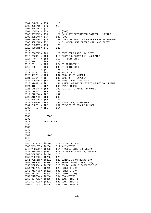|          |                        | $0301$ ENDPT = $$74$ 116                                 |     |                                                                                               |
|----------|------------------------|----------------------------------------------------------|-----|-----------------------------------------------------------------------------------------------|
|          |                        | 0302 DELTAR = \$76 118                                   |     |                                                                                               |
|          |                        | 0303 DELTAC = $$77$ 119<br>0304 ROWINC = $$79$ 121 (800) |     |                                                                                               |
|          |                        |                                                          |     |                                                                                               |
|          |                        |                                                          |     | 0305 KEYDEF = \$79 121 (XL) KEY DEFINATION POINTER, 2 BYTES                                   |
|          |                        | 0306 COLINC = $$7A$ 122 (800)                            |     |                                                                                               |
|          |                        |                                                          |     | 0307 SWPFLG = \$7B 123 NON 0 IF TEXT AND REGULAR RAM IS SWAPPED                               |
|          |                        |                                                          |     |                                                                                               |
|          | $0309$ INSDAT = \$7D   |                                                          |     | 0308 HOLDCH = $$7C$ 124 CH MOVED HERE BEFORE CTRL AND SHIFT 0309 INSDAT = $$7D$ 125           |
|          | $0310$ COUNTR = \$7E   |                                                          | 126 |                                                                                               |
| 0311 i   |                        |                                                          |     |                                                                                               |
|          |                        |                                                          |     | 0312 ZROFRE = $$80$ 128 FREE ZERO PAGE, 84 BYTES                                              |
|          |                        |                                                          |     |                                                                                               |
|          | $0314$ FR0 = \$D4      |                                                          |     | 0313 FPZRO = $$D4$ 212 FLOATING POINT RAM, 43 BYTES<br>0314 FR0 = $$D4$ 212 FP REGISTER 0     |
|          | $0315$ FRE = $$DA$     |                                                          | 218 |                                                                                               |
|          |                        |                                                          |     |                                                                                               |
|          |                        |                                                          |     | 0316 FR1 = \$E0 224 FP REGISTER 1                                                             |
|          |                        |                                                          |     | 0317 FR2 = \$E6 230 FP REGISTER 2                                                             |
|          |                        | $0318$ FRX = $$EC$ 236 SPARE                             |     |                                                                                               |
|          | $0319$ EEXP = \$ED     |                                                          |     | 237 VALUE OF E                                                                                |
|          |                        |                                                          |     | 0320 NSIGN = \$ED 237 SIGN OF FP NUMBER                                                       |
|          |                        |                                                          |     | 0321 ESIGN = \$EF 239 SIGN OF FP EXPONENT                                                     |
|          |                        |                                                          |     | 0322 FCHFLG = \$F0 240 FIRST CHARACTER FLAG                                                   |
|          |                        |                                                          |     | 0323 DIGRT = \$F1 241 NUMBER OF DIGITS RIGHT OF DECIMAL POINT 0324 CIX = \$F2 242 INPUT INDEX |
|          |                        |                                                          |     |                                                                                               |
|          |                        |                                                          |     | 0325 INBUFF = \$F3 243 POINTER TO ASCII FP NUMBER                                             |
|          |                        | 0326 ZTEMP1 = \$F5 245                                   |     |                                                                                               |
|          |                        | $0327$ ZTEMP4 = $$F7$ 247                                |     |                                                                                               |
|          |                        | $0328$ ZTEMP3 = $$F9$ 249                                |     |                                                                                               |
|          | $0329$ DEGFLG = $$FB$  |                                                          | 251 |                                                                                               |
|          |                        |                                                          |     | 0330 RADFLG = $$FB$ 251 0=RADIANS, 6=DEGREES                                                  |
|          |                        |                                                          |     | 0331 FLPTR = \$FC 252 POINTER TO BCD FP NUMBER                                                |
|          |                        | $0332$ FPTR2 = $$FE$ 254                                 |     |                                                                                               |
| 0333;    |                        |                                                          |     |                                                                                               |
| 0334 :   |                        |                                                          |     |                                                                                               |
| 0335 i   |                        | PAGE 1                                                   |     |                                                                                               |
| 0336i    |                        |                                                          |     |                                                                                               |
|          |                        | 0337 <i>i</i> 6502 STACK                                 |     |                                                                                               |
| 0338 i   |                        |                                                          |     |                                                                                               |
| 0339i    |                        |                                                          |     |                                                                                               |
| 0340 i   |                        |                                                          |     |                                                                                               |
| 0341 i   |                        |                                                          |     |                                                                                               |
| 0342 ;   |                        | PAGE 2                                                   |     |                                                                                               |
| $0343$ ; |                        |                                                          |     |                                                                                               |
| 0344;    |                        |                                                          |     |                                                                                               |
|          |                        | 0345 INTABS = \$0200                                     |     | 512 INTERRUPT RAM                                                                             |
|          |                        | $0346$ VDSLST = $$0200$                                  |     | 512 NMI VECTOR                                                                                |
|          |                        | 0347 VPRCED = \$0202                                     |     | 514 PROCEED LINE IRQ VECTOR                                                                   |
|          |                        | 0348 VINTER = \$0204                                     |     | 516 INTERRUPT LINE IRQ VECTOR                                                                 |
|          | 0349 VBREAK = \$0206   |                                                          | 518 |                                                                                               |
|          | $0350$ VKEYBD = \$0208 |                                                          | 520 |                                                                                               |
|          |                        | 0351 VSERIN = \$020A                                     |     | 522 SERIAL INPUT READY IRQ                                                                    |
|          |                        | 0352 VSEROR = \$020C                                     |     | 524 SERIAL OUTPUT READY IRQ                                                                   |
|          | 0353 VSEROC = \$020E   |                                                          |     | 526 SERIAL OUTPUT COMPLETE IRQ                                                                |
|          |                        | 0354 VTIMR1 = \$0210                                     |     | 528 TIMER 1 IRQ                                                                               |
|          |                        | 0355 VTIMR2 = \$0212                                     |     | 530 TIMER 2 IRQ                                                                               |
|          |                        | 0356 VTIMR4 = \$0214                                     |     | 532 TIMER 4 IRQ                                                                               |
|          |                        | 0357 VIMIRQ = \$0216                                     |     | 534 IRQ VECTOR                                                                                |
|          |                        | 0358 CDTMV1 = \$0218                                     |     | 536 DOWN TIMER 1                                                                              |
|          |                        | $0359$ CDTMV2 = $$021A$                                  |     | 538 DOWN TIMER 2                                                                              |
|          |                        |                                                          |     |                                                                                               |
|          |                        | 0360 CDTMV3 = \$021C                                     |     | 540 DOWN TIMER 3                                                                              |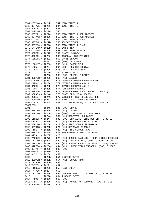|          |                         |                                        |     | 0361 CDTMV4 = \$021E 542 DOWN TIMER 4                                                                                                                                                                                                                                                  |
|----------|-------------------------|----------------------------------------|-----|----------------------------------------------------------------------------------------------------------------------------------------------------------------------------------------------------------------------------------------------------------------------------------------|
|          |                         |                                        |     | 0362 CDTMV5 = \$0220 544 DOWN TIMER 5                                                                                                                                                                                                                                                  |
|          |                         | 0363 VVBLKI = \$0222 546               |     |                                                                                                                                                                                                                                                                                        |
|          |                         | 0364 VVBLKD = \$0224 548               |     |                                                                                                                                                                                                                                                                                        |
|          |                         |                                        |     |                                                                                                                                                                                                                                                                                        |
|          |                         |                                        |     | 0365 CDTMA1 = $$0226$ 550 DOWN TIMER 1 JSR ADDRESS<br>0366 CDTMA2 = $$0228$ 552 DOWN TIMER 2 JSR ADDRESS                                                                                                                                                                               |
|          |                         |                                        |     | $0367$ CDTMF3 = $$022A$ 554 DOWN TIMER 3 FLAG                                                                                                                                                                                                                                          |
|          |                         |                                        |     | 0368 SRTIMR = \$022B 555 REPEAT TIMER                                                                                                                                                                                                                                                  |
|          |                         |                                        |     | 0369 CDTMF4 = \$022C 556 DOWN TIMER 4 FLAG                                                                                                                                                                                                                                             |
|          |                         |                                        |     |                                                                                                                                                                                                                                                                                        |
|          |                         |                                        |     | $0370 \quad \text{INTERMP} = $022D \qquad 557 \quad \text{IAN'S} \quad \text{TEMP}$ $0371 \quad \text{CDTMF5} = $022E \qquad 558 \quad \text{DOWN} \quad \text{TIMER} \quad \text{FLAG} \quad 5$ $0372 \quad \text{SDMCTL} = $022F \qquad 559 \quad \text{DMACTL} \quad \text{SHADOW}$ |
|          |                         |                                        |     |                                                                                                                                                                                                                                                                                        |
|          |                         |                                        |     | 0373 SDLSTL = \$0230 560 DISPLAY LIST POINTER                                                                                                                                                                                                                                          |
|          |                         |                                        |     |                                                                                                                                                                                                                                                                                        |
|          |                         |                                        |     | 0374 SSKCTL = \$0232 562 SKCTL SHADOW                                                                                                                                                                                                                                                  |
|          |                         |                                        |     | $\begin{tabular}{lllllllllll} 0375 & ; & $50233$ & 563 ($00) UNLISTED \\ 0376 LCOUNT &= $0233 & 563 (XL) LOADER TEMP \\ 0377 LPENH &= $0234 & 564 LIGHT PEN HORIZONTAL \\ \end{tabular}$                                                                                               |
|          |                         |                                        |     |                                                                                                                                                                                                                                                                                        |
|          |                         |                                        |     |                                                                                                                                                                                                                                                                                        |
|          |                         |                                        |     | 0378 LPENV = \$0235 565 LIGHT PEN VERTICAL                                                                                                                                                                                                                                             |
|          |                         |                                        |     | 0379 ; \$0236 566 2 SPARE BYTES                                                                                                                                                                                                                                                        |
|          |                         |                                        |     |                                                                                                                                                                                                                                                                                        |
|          |                         |                                        |     | $\begin{tabular}{lllllllllll} 0380 & ; & $50238$ & 568 ($800) SPARE, 2 BYTES \\ 0381 RELAND = $0238 & 568 (XL) LOADER \\ 0382 CDEVIC = $023A & 570 DEVICE COMMAND FRAME BUFFER \\ \end{tabular}$                                                                                       |
|          |                         |                                        |     |                                                                                                                                                                                                                                                                                        |
|          |                         |                                        |     | 0383 CAUX1 = \$023C 572 DEVICE COMMAND AUX 1                                                                                                                                                                                                                                           |
|          |                         |                                        |     | 0384 CAUX2 = \$023D 573 DEVICE COMMAND AUX 2                                                                                                                                                                                                                                           |
|          |                         |                                        |     |                                                                                                                                                                                                                                                                                        |
|          |                         |                                        |     | 0385 TEMP = $$023E$ 574 TEMPORARY STORAGE<br>0386 ERRFLG = $$023F$ 575 DEVICE ERROR FLAG (EXCEPT TIMEOUT)<br>0387 DFLAGS = $$0240$ 576 FLAGS FROM DISK SECTOR 1                                                                                                                        |
|          |                         |                                        |     |                                                                                                                                                                                                                                                                                        |
|          |                         |                                        |     | 0388 DBSECT = \$0241 577 NUMBER OF BOOT DISK SECTORS                                                                                                                                                                                                                                   |
|          |                         |                                        |     | 0389 BOOTAD = \$0242 578 BOOT LOAD ADDRESS POINTER                                                                                                                                                                                                                                     |
|          |                         |                                        |     | 0390 COLDST = \$0244 580 COLD START FLAG, 1 = COLD START IN                                                                                                                                                                                                                            |
| PROGRESS |                         |                                        |     |                                                                                                                                                                                                                                                                                        |
|          | 0391 ;                  | \$0245                                 |     | 581 (800) SPARE                                                                                                                                                                                                                                                                        |
|          |                         |                                        |     | 0392 RECLEN = \$0245 581 (XL) LOADER                                                                                                                                                                                                                                                   |
|          |                         |                                        |     | 0393 DSKTIM = \$0246 582 (800) DISK TIME OUT REGISTER                                                                                                                                                                                                                                  |
|          | 0394 ;                  |                                        |     | \$0246 582 (XL) RESERVED, 39 BYTES                                                                                                                                                                                                                                                     |
|          |                         |                                        |     |                                                                                                                                                                                                                                                                                        |
|          |                         |                                        |     | 0395 LINBUF = $$0247$ 583 (800) CHARACTER LINE BUFFER, 40 BYTES 0396 CHSALT = $$026B$ 619 (XL) CHARACTER SET POINTER                                                                                                                                                                   |
|          |                         |                                        |     | 0397 VSFLAG = \$026C 620 (XL) FINE SCROLL TEMPORARY                                                                                                                                                                                                                                    |
|          |                         |                                        |     | 0398 KEYDIS = \$026D 621 (XL) KEYBOARD DISABLE                                                                                                                                                                                                                                         |
|          |                         |                                        |     | 0399 FINE = $$026E$ 622 (XL) FINE SCROLL FLAG                                                                                                                                                                                                                                          |
|          |                         | $0400$ GPRIOR = $$026F$                |     | 623 P/M PRIORITY AND GTIA MODES                                                                                                                                                                                                                                                        |
|          |                         | $0401$ GTIA = $$026F$                  | 623 |                                                                                                                                                                                                                                                                                        |
|          |                         |                                        |     | 0402 PADDL0 = \$0270 624 (XL) 3 MORE PADDLES, (800) 6 MORE PADDLES                                                                                                                                                                                                                     |
|          |                         |                                        |     | 0403 STICK0 = \$0278 632 (XL) 1 MORE STICK, (800) 3 MORE STICKS                                                                                                                                                                                                                        |
|          |                         |                                        |     |                                                                                                                                                                                                                                                                                        |
|          |                         |                                        |     | 0404 PTRIG0 = \$027C 636 (XL) 3 MORE PADDLE TRIGGERS, (800) 6 MORE 0405 STRIG0 = \$0284 644 (XL) 1 MORE STICK TRIGGER, (800) 3 MORE                                                                                                                                                    |
|          |                         | $0406 \text{ CSTAT} = $0288$ 648 (800) |     |                                                                                                                                                                                                                                                                                        |
|          |                         |                                        |     |                                                                                                                                                                                                                                                                                        |
|          |                         | 0407 WMODE = \$0289 649                |     |                                                                                                                                                                                                                                                                                        |
|          |                         | 0408 BLIM = \$028A 650                 |     |                                                                                                                                                                                                                                                                                        |
|          |                         |                                        |     | 0409 ; \$028B 651 5 SPARE BYTES                                                                                                                                                                                                                                                        |
|          |                         |                                        |     | 654 (XL) LOADER RAM                                                                                                                                                                                                                                                                    |
|          | $0410$ NEWADR = $$028E$ |                                        |     |                                                                                                                                                                                                                                                                                        |
|          |                         | $0411$ TXTROW = \$0290 656             |     |                                                                                                                                                                                                                                                                                        |
|          |                         | $0412$ TXTCOL = \$0291 657             |     |                                                                                                                                                                                                                                                                                        |
|          |                         |                                        |     | 0413 TINDEX = \$0293 659 TEXT INDEX                                                                                                                                                                                                                                                    |
|          |                         |                                        |     |                                                                                                                                                                                                                                                                                        |
|          |                         |                                        |     |                                                                                                                                                                                                                                                                                        |
|          |                         |                                        |     |                                                                                                                                                                                                                                                                                        |
|          |                         | $0417$ TMPX1 = $$029C$ 668 (800)       |     | 0414 TXTMSC = $$0294$ 660<br>0415 TXTOLD = $$0296$ 662 OLD ROW AND OLD COL FOR TEXT, 2 BYTES<br>0416 ; $$0298$ 664 4 SPARE BYTES                                                                                                                                                       |
|          |                         |                                        |     | 0418 CRETRY = \$029C 668 (XL) NUMBER OF COMMAND FRAME RETRIES                                                                                                                                                                                                                          |
|          |                         | $0419$ SUBTMP = $$029E$                | 670 |                                                                                                                                                                                                                                                                                        |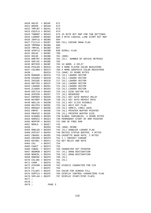|          |                                   | $0420$ HOLD2 = $$029F$   | 671 |                                                                                         |
|----------|-----------------------------------|--------------------------|-----|-----------------------------------------------------------------------------------------|
|          |                                   | $0421$ DMASK = $$02A0$   | 672 |                                                                                         |
|          |                                   | 0422 TMPLBT = \$02A1 673 |     |                                                                                         |
|          |                                   |                          |     | 0423 ESCFLG = $$02A2$ 674<br>0424 TABMAP = $$02A3$ 675 15 BYTE BIT MAP FOR TAB SETTINGS |
|          |                                   |                          |     |                                                                                         |
|          |                                   |                          |     | 0425 LOGMAP = \$02B2 690 4 BYTE LOGICAL LINE START BIT MAP                              |
|          |                                   | $0426$ INVFLG = \$02B6   | 694 |                                                                                         |
|          |                                   |                          |     | 0427 FILFLG = \$02B7 695 FILL DIRING DRAW FLAG                                          |
|          | 0428 TMPROW = \$02B8              |                          | 696 |                                                                                         |
|          | $0429$ TMPCOL = $$02B9$           |                          | 697 |                                                                                         |
|          |                                   | $0430$ SCRFLG = \$02BB   |     | 699 SCROLL FLAG                                                                         |
|          |                                   | $0431$ HOLD4 = $$02BC$   | 700 |                                                                                         |
|          |                                   | $0432$ HOLD5 = \$02BD    |     | 701 (800)                                                                               |
|          |                                   | 0433 DRETRY = $$02BD$    |     | 701 (XL) NUMBER OF DEVICE RETRIES                                                       |
|          | $0434$ SHFLOC = $$02BE$           |                          | 702 |                                                                                         |
|          |                                   | $0435$ BOTSCR = $$02BF$  |     | 703 24 NORM, 4 SPLIT                                                                    |
|          |                                   | 0436 PCOLR0 = \$02C0     |     | 704 3 MORE PLAYER COLOR REGISTERS                                                       |
|          |                                   | 0437 COLOR0 = \$02C4     |     | 708 4 MORE GRAPHICS COLOR REGISTERS                                                     |
|          | 0438 ;                            | \$02C9                   |     | 713 (800) 23 SPARE BYTES                                                                |
|          | 0439 RUNADR = \$02C9              |                          |     | 713 (XL) LOADER VECTOR                                                                  |
|          | $0440$ HIUSED = $$02CB$           |                          |     | 715 (XL) LOADER VECTOR                                                                  |
|          |                                   | 0441 ZHIUSE = \$02CD     |     | 717 (XL) LOADER VECTOR                                                                  |
|          |                                   | $0442$ GBYTEA = $$02CF$  |     | 719 (XL) LOADER VECTOR                                                                  |
|          | $0443$ LOADAD = $$02D1$           |                          |     | 721 (XL) LOADER VECTOR                                                                  |
|          | $0444$ ZLOADA = \$02D3            |                          |     | 723 (XL) LOADER VECTOR                                                                  |
|          |                                   | 0445 DSCTLN = \$02D5     |     | 725 (XL) DISK SECTOR SIZ                                                                |
|          |                                   | $0446$ ACMISR = \$02D7   |     | 727 (XL) RESERVED                                                                       |
|          |                                   | $0447$ KRPDER = \$02D9   |     | 729 (XL) KEY AUTO REPEAT DELAY                                                          |
|          | $0448$ KEYREP = \$02DA            |                          |     | 730 (XL) KEY AUTO REPEAT RATE                                                           |
|          | $0449$ NOCLIK = \$02DB            |                          |     | 731 (XL) KEY CLICK DISABLE                                                              |
|          | $0450$ HELPFG = \$02DC            |                          |     | 732 (XL) HELP KEY FLAG                                                                  |
|          |                                   | 0451 DMASAV = \$02DD     |     | 733 (XL) SDMCTL (DMA) SAVE                                                              |
|          |                                   | 0452 PBPNT = \$02DE      |     | 734 (XL) PRINTER BUFFER POINTER                                                         |
|          |                                   | $0453$ PBUFSZ = \$02DF   |     | 735 (XL) PRINTER BUFFER SIZE                                                            |
|          | $0454$ GLBABS = $$02E0$           |                          |     | 736 GLOBAL VARIABLES, 4 SPARE BYTES                                                     |
|          |                                   | $0455$ RAMSIZ = $$02E4$  |     | 740 PERMANENT START OF ROM POINTER                                                      |
|          |                                   | 0456 MEMTOP = \$02E5     |     | 741 END OF FREE RAM                                                                     |
|          |                                   | 0457 MEMLO = \$02E7      | 743 |                                                                                         |
| $0458$ ; |                                   | \$02E9                   |     | 745 (800) SPARE                                                                         |
|          | 0459 HNDLOD = \$02E9              |                          |     | 745 (XL) HANDLER LOADER FLAG                                                            |
|          |                                   | $0460$ DVSTAT = $$02EA$  |     | 746 DEVICE STATUS BUFFER, 4 BYTES                                                       |
|          |                                   | $0461$ CBAUDL = \$02EE   |     | 750 CASSETTE BAUD RATE, 2 BYTES                                                         |
|          |                                   |                          |     | 0462 CRSINH = $$02F0$ 752 1 = INHIBIT CURSOR                                            |
|          | $0463$ KEYDEL = $$02F1$           |                          |     | 753 KEY DELAY AND RATE                                                                  |
|          | $0464 \text{ CH1} = $02F2$        |                          | 754 |                                                                                         |
|          |                                   | 0465 CHACT = \$02F3      | 755 |                                                                                         |
|          |                                   | $0466$ CHBAS = $$02F4$   |     | 756 CHARACTER SET POINTER                                                               |
|          |                                   | 0467 NEWROW = \$02F5     |     | 757 (XL) DRAW DESTINATION                                                               |
|          | $0468$ NEWCOL = $$02F6$           |                          |     | 758 (XL) DRAW DESTINATION                                                               |
|          | $0469$ ROWINC = $$02F8$           |                          |     | 760 (XL)                                                                                |
|          |                                   | 0470 COLINC = \$02F9     |     | 761 (XL)                                                                                |
|          |                                   | $0471$ CHAR = $$02FA$    | 762 |                                                                                         |
|          |                                   | $0472$ ATACHR = $$02FB$  |     | 763 ATASCII CHARACTER FOR CIO                                                           |
|          | $0473 \text{ CH} = $02 \text{FC}$ |                          | 764 |                                                                                         |
|          | $0474$ FILDAT = \$02FC            |                          |     | 764 COLOR FOR SCREEN FILL                                                               |
|          |                                   |                          |     | 0475 DSPFLG = \$02FE 766 DISPLAY CONTROL CHARACTERS FLAG                                |
|          |                                   |                          |     | 0476 SSFLAG = \$02FF 767 DISPLAY START/STOP FLAFG                                       |
| 0477 ;   |                                   |                          |     |                                                                                         |
| 0478;    |                                   |                          |     |                                                                                         |
| 0479i    |                                   | PAGE 3                   |     |                                                                                         |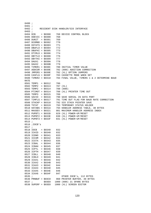0480 ; 0481 ; 0482 ; RESIDENT DISK HANDLER/SIO INTERFACE 0483 ; 0484 DCB = \$0300 768 DEVICE CONTROL BLOCK 0485 DDEVIC = \$0300 768 0486 DUNIT = \$0301 769 0487 DCOMND = \$0302 770 0488 DSTATS = \$0303 771 0489 DBUFLO = \$0304 772 0490 DBUFHI = \$0305 773 0491 DTIMLO = \$0306 774 0492 DBYTLO = \$0308 776 0493 DBYTHI = \$0309 777 0494 DAUX1 = \$030A 778 0495 DAUX2 = \$030B 779 0496 TIMER1 = \$030C 780 INITIAL TIMER VALUE<br>0497 ADDCOR = \$030E 782 (800) ADDITION CORRI 782 (800) ADDITION CORRECTION 0498 JMPERS = \$030E 782 (XL) OPTION JUMPERS 0499 CASFLG = \$030F 783 CASSETTE MODE WHEN SET 0500 TIMER2 = \$0310 784 FINAL VALUE, TIMERS 1 & 2 DETERMINE BAUD RATE 0501 TEMP1 = \$0312 786 0502 TEMP2 = \$0313 787 (XL) 0503 TEMP2 = \$0314 788 (800) 0504 PTIMOT = \$0314 788 (XL) PRINTER TIME OUT 0505 TEMP3 = \$0315 789 0506 SAVIO = \$0316 790 SAVE SERIAL IN DATA PORT 0507 TIMFLG = \$0317 791 TIME OUT FLAG FOR BAUD RATE CORRECTION<br>0508 STACKP = \$0318 792 SIO STACK POINTER SAVE 0508 STACKP = \$0318 792 SIO STACK POINTER SAVE<br>0509 TSTAT = \$0319 793 TEMPORARY STATUS HOLDEI 793 TEMPORARY STATUS HOLDER 0510 HATABS = \$031A 794 HANDLER ADDRESS TABLE, 38 BYTES 0511 MAXDEV = \$0321 801 MAXIMUM HANDLER ADDRESS INDEX 0512 PUPBT1 = \$033D 829 (XL) POWER−UP/RESET 0513 PUPBT2 = \$033E 830 (XL) POWER−UP/RESET 0514 PUPBT3 = \$033F 831 (XL) POWER−UP/RESET 0515 ; 0516 ;IOCB's 0517 ; 0518 IOCB = \$0340 832 0519 ICHID = \$0340 832 0520 ICDNO = \$0341 833 0521 ICCOM = \$0342 834 0522 ICSTA = \$0343 835 0523 ICBAL = \$0344 836 0524 ICBAH = \$0345 837 0525 ICPTL = \$0346 838 0526 ICPTH = \$0347 839 0527 ICBLL = \$0348 840 0528 ICBLH = \$0349 841 0529 ICAX1 = \$034A 842 0530 ICAX2 = \$034B 843 0531 ICAX3 = \$034C 844 0532 ICAX4 = \$034D 845 0533 ICAX5 = \$034E 846 0534 ICAX6 = \$034F 847 0535 ; OTHER IOCB's, 112 BYTES 0536 PRNBUF = \$03C0 960 PRINTER BUFFER, 40 BYTES 0537 ; \$03E8 1000 (800) 21 SPARE BYTES 0538 SUPERF = \$03E8 1000 (XL) SCREEN EDITOR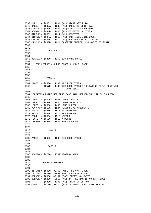0539 CKEY = \$03E9 1001 (XL) START KEY FLAG 0540 CASSBT = \$03EA 1002 (XL) CASSETTE BOOT FLAG 0541 CARTCK = \$03EB 1003 (XL) CARTRIDGE CHECKSUM 0542 ACMVAR = \$03ED 1005 (XL) RESERVED, 6 BYTES 0543 MINTLK = \$03F9 1017 (XL) RESERVED 0544 GINTLK = \$03FA 1018 (XL) CARTRIDGE INTERLOCK 0545 CHLINK = \$03FB 1019 (XL) HANDLER CHAIN, 2 BYTES 0546 CASBUF = \$03FD 1021 CASSETTE BUFFER, 131 BYTES TO \$047F 0547 ; 0548 ; 0549 ; PAGE 4 0550 ; 0551 ; 0552 USAREA = \$0480 1152 128 SPARE BYTES 0553 ; 0554 ; SEE APPENDIX C FOR PAGES 4 AND 5 USAGE 0555 ; 0556 ; 0557 ; 0558 ; 0559 ; PAGE 5 0560 ; 0561 PAGE5 = \$0500 1280 127 FREE BYTES 0562 ;  $\div$  \$057E 1406 129 FREE BYTES IF FLOATING POINT ROUTINES NOT USED 0563 ; 0564 ;FLOATING POINT NON−ZERO PAGE RAM, NEEDED ONLY IF FP IS USED 0565 ; 0566 LBPR1 = \$057E 1406 LBUFF PREFIX 1 0567 LBPR2 = \$05FE 1534 LBUFF PREFIX 2 0568 LBUFF = \$0580 1408 LINE BUFFER 0569 PLYARG = \$05E0 1504 POLYNOMIAL ARGUMENTS 0570 FPSCR = \$05E6 1510 PLYARG+FPREC 0571  $FPSCR1 = $05EC$  1516  $FPSCR+FPREC$ <br>0572  $FSCR = $05E6$  1510 = $FPSCR$  $0572$  FSCR = \$05E6 0573 FSCR1 = \$05EC 1516 =FPSCR1 0574 LBFEND = \$05FF 1535 END OF LBUFF 0575 ; 0576 ; 0577 ; PAGE 6 0578 ; 0579 ; 0580 PAGE6 = \$0600 1536 256 FREE BYTES 0581 ; 0582 ; 0583 ; PAGE 7 0584 ; 0585 ; 0586 BOOTRG = \$0700 1792 PROGRAM AREA 0587 ; 0588 ; 0589 ; UPPER ADDRESSES 0590 ; 0591 ; 0592 RITCAR = \$8000 32768 RAM IF NO CARTRIDGE 0593 LFTCAR = \$A000 40960 RAM IF NO CARTRIDGE 0594 C0PAGE = \$C000 49152 (800) EMPTY, 4K BYTES 0595 C0PAGE = \$C000 49152 (XL) 2K FREE RAM IF NO CARTRIDGE 0596 ; \$C800 51200 (XL) START OF OS ROM 0597 CHORG2 = \$CC00 52224 (XL) INTERNATIONAL CHARACTER SET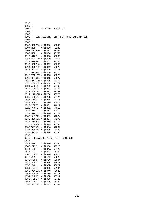| 0598     | i.                             |     |                    |       |  |                                        |
|----------|--------------------------------|-----|--------------------|-------|--|----------------------------------------|
| 0599     | $\cdot$                        |     |                    |       |  |                                        |
| 0600     | $\ddot{i}$                     |     | HARDWARE REGISTERS |       |  |                                        |
| 0601     | $\cdot$                        |     |                    |       |  |                                        |
| 0602     | $\cdot$                        |     |                    |       |  |                                        |
| 0603     | $\cdot$                        |     |                    |       |  | SEE REGISTER LIST FOR MORE INFORMATION |
| $0604$ ; |                                |     |                    |       |  |                                        |
| 0605     | $\cdot$                        |     |                    |       |  |                                        |
|          | $0606$ HPOSP $0 = $D000$       |     |                    | 53248 |  |                                        |
|          | 0607 MOPF                      | $=$ | \$D000             | 53248 |  |                                        |
|          | 0608 SIZEPO                    | $=$ | \$D008             | 53256 |  |                                        |
|          | 0609 MOPL                      | $=$ | \$D008             | 53256 |  |                                        |
|          | 0610 SIZEM                     | $=$ | \$D00C             | 53260 |  |                                        |
|          | 0611 GRAFP0                    | $=$ | \$D00D             | 53261 |  |                                        |
|          | 0612 GRAFM                     | $=$ | \$D011             | 53265 |  |                                        |
|          | 0613 COLPM0                    | $=$ | \$D012             | 53266 |  |                                        |
|          | 0614 COLPF0                    | $=$ | \$D016             | 53270 |  |                                        |
|          | 0615 PRIOR                     | $=$ | \$D01B             | 53275 |  |                                        |
|          | 0616 GTIAR                     |     | \$D01B             | 53275 |  |                                        |
|          | $0617$ VDELAY =                | $=$ |                    |       |  |                                        |
|          |                                |     | \$D01C             | 53276 |  |                                        |
|          | $0618$ GRACTL =                |     | \$D01D             | 53277 |  |                                        |
|          | $0619$ HITCLR =                |     | \$D01E             | 53278 |  |                                        |
|          | $0620$ CONSOL =                |     | \$D01F             | 53279 |  |                                        |
|          | 0621 AUDF1                     | $=$ | \$D200             | 53760 |  |                                        |
|          | 0622 AUDC1                     | $=$ | \$D201             | 53761 |  |                                        |
|          | $0623$ AUDCTL =                |     | \$D208             | 53768 |  |                                        |
|          | $0624$ RANDOM =                |     | \$D20A             | 53770 |  |                                        |
|          | 0625 IRQEN                     | $=$ | \$D20E             | 53774 |  |                                        |
|          | 0626 SKCTL                     |     | $= $D20F$          | 53775 |  |                                        |
|          | 0627 PORTA                     | $=$ | \$D300             | 54016 |  |                                        |
|          | 0628 PORTB                     | $=$ | \$D301             | 54017 |  |                                        |
|          | 0629 PACTL                     | $=$ | \$D302             | 54018 |  |                                        |
|          | 0630 PBCTL                     | $=$ | \$D303             | 54019 |  |                                        |
|          | $0631$ DMACLT =                |     | \$D400             | 54272 |  |                                        |
|          | $0632$ DLISTL =                |     | \$D402             | 54274 |  |                                        |
|          | $0633$ HSCROL =                |     | \$D404             | 54276 |  |                                        |
|          | $0634$ VSCROL =                |     | \$D405             | 54277 |  |                                        |
|          | 0635 CHBASE                    | $=$ | \$D409             | 54281 |  |                                        |
|          | 0636 WSYNC                     | $=$ | \$D40A             | 54282 |  |                                        |
|          | 0637 VCOUNT                    | $=$ | \$D40B             | 54283 |  |                                        |
|          | 0638 NMIEN                     | $=$ | \$D40E             | 54286 |  |                                        |
| 0639 ;   |                                |     |                    |       |  |                                        |
| 0640     | ; FLOATING POINT MATH ROUTINES |     |                    |       |  |                                        |
| 0641     | $\ddot{i}$                     |     |                    |       |  |                                        |
| 0642 AFP |                                | $=$ | \$D800             | 55296 |  |                                        |
| 0643     | FASC                           | $=$ | \$D8E6             | 55526 |  |                                        |
| 0644     | IFP                            | $=$ | \$D9AA             | 55722 |  |                                        |
| 0645     | FPI                            | $=$ | \$D9D2             | 55762 |  |                                        |
| 0646     | ZFR0                           | $=$ | \$DA44             | 55876 |  |                                        |
| 0647 ZF1 |                                | $=$ | \$DA46             | 55878 |  |                                        |
| 0648     | FSUB                           | $=$ | \$DA60             | 55904 |  |                                        |
| 0649     | FADD                           | $=$ | \$DA66             | 55910 |  |                                        |
| 0650     | FMUL                           | $=$ | \$DADB             | 56027 |  |                                        |
|          | 0651 FDIV                      | $=$ | \$DB28             | 56104 |  |                                        |
|          | 0652 PLYEVL                    | $=$ | \$DD40             | 56640 |  |                                        |
|          | 0653 FLD0R                     | $=$ | \$DD89             | 56713 |  |                                        |
|          |                                |     |                    |       |  |                                        |
|          | 0654 FLD0P                     | $=$ | \$DD8D             | 56717 |  |                                        |
|          | 0655 FLD1R                     | $=$ | \$DD98             | 56728 |  |                                        |
|          | 0656 FLD1P                     | $=$ | \$DD9C             | 56732 |  |                                        |
|          | 0657 FSTOR                     | $=$ | \$DDA7             | 56743 |  |                                        |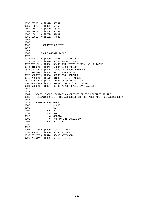```
 0658 FSTOP = $DDAB 56747
 0659 FMOVE = $DDB6 56758
 0660 EXP = $DDC0 56768
 0661 EXP10 = $DDCC 56780
 0662 LOG = $DECD 57037
 0663 LOG10 = $DED1 57041
 0664 ;
 0665 ;
0666 ; OPERATING SYSTEM
 0667 ;
 0668 ;
0669 ; MODULE ORIGIN TABLE
 0670 ;
 0671 CHORG = $E000 57344 CHARACTER SET, 1K
 0672 VECTBL = $E400 58368 VECTOR TABLE
 0673 VCTABL = $E480 58496 RAM VECTOR INITIAL VALUE TABLE
 0674 CIOORG = $E4A6 58534 CIO HANDLER
 0675 INTORG = $E6D5 59093 INTERRUPT HANDLER
 0676 SIOORG = $E944 59716 SIO DRIVER
 0677 DSKORT = $EDEA 60906 DISK HANDLER
 0678 PRNORG = $EE78 61048 PRINTER HANDLER
 0679 CASORG = $EE78 61048 CASSETTE HANDLER
 0680 MONORG = $F0E3 61667 MONITOR/POWER UP MODULE
 0681 KBDORG = $F3E4 62436 KEYBOARD/DISPLAY HANDLER
 0682 ;
 0683 ;
 0684 ; VECTOR TABLE, CONTAINS ADDRESSES OF CIO ROUTINES IN THE
 0685 ; FOLLOWING ORDER. THE ADDRESSES IN THE TABLE ARE TRUE ADDRESSES−1
 0686 ;
0687 ; ADDRESS + 0 OPEN<br>0688 ; + 2 CLOS
         + 2 CLOSE
 0689 ; + 4 GET
0690 ;    + 6 PUT
 0691 ; + 8 STATUS
0692 ; + A SPECIAL<br>0693 ; + C JMP TO
                0693 ; + C JMP TO INITIALIZATION
0694 ;    + F NOT USED
 0695 ;
 0696 ;
 0697 EDITRV = $E400 58368 EDITOR
 0698 SCRENV = $E410 58384 SCREEN
 0699 KEYBDV = $E420 58400 KEYBOARD
 0700 PRINTV = $E430 58416 PRINTER
```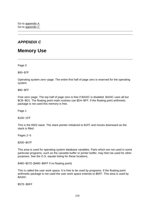# **APPENDIX C**

# **Memory Use**

Page 0

\$00−\$7F

Operating system zero−page. The entire first half of page zero is reserved for the operating system.

\$80−\$FF

Free zero−page. The top half of page zero is free if BASIC is disabled. BASIC uses all but \$CB−\$D1. The floating point math routines use \$D4−\$FF. If the floating point arithmetic package is not used this memory is free.

Page 1

\$100−1FF

This is the 6502 stack. The stack pointer initialized to \$1FF and moves downward as the stack is filled.

Pages 2−5

\$200−\$47F

This area is used for operating system database variables. Parts which are not used in some particular programs, such as the cassette buffer or printer buffer, may then be used for other purposes. See the O.S. equate listing for these locations.

\$480−\$57D (\$480−\$6FF if no floating point)

This is called the user work space. It is free to be used by programs. If the floating point arithmetic package is not used the user work space extends to \$6FF. This area is used by BASIC.

\$57E−\$5FF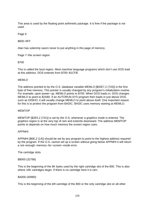This area is used by the floating point arithmetic package. It is free if the package is not used.

Page 6

\$600−6FF

Atari has solemnly sworn never to put anything in this page of memory.

Page 7−the screen region

#### \$700

This is called the boot region. Most machine language programs which don't use DOS load at this address. DOS extends from \$700−\$1CFB.

#### MEMLO

The address pointed to by the O.S. database variable MEMLO [\$02E7,2 (743)] is the first byte of free memory. This pointer is usually changed by any program's initialization routine. For example, upon power−up, MEMLO points to \$700. When DOS loads in, DOS changes MEMLO to point to \$2A80. If an AUTORUN.SYS program then loads in just above DOS, such as DISKIO, it will usually change MEMLO to point above itself. One important reason for this is to protect the program from BASIC. BASIC uses memory starting at MEMLO.

#### MEMTOP

MEMTOP [\$2E5,2 (741)] is set by the O.S. whenever a graphics mode is entered. The graphics region is at the very top of ram and extends downward. The address MEMTOP points to depends on how much memory the screen region uses.

#### APPMHI

APPMHI [\$0E,2 (14)] should be set by any program to point to the highest address required by the program. If the O.S. cannot set up a screen without going below APPMHI it will return a not−enough−memory−for−screen−mode error.

The cartridge slots

#### \$8000 (32768)

This is the beginning of the 8K bytes used by the right cartridge slot of the 800. This is also where 16K cartridges begin. If there is no cartridge here it is ram.

#### \$A000 (40960)

This is the beginning of the left cartridge of the 800 or the only cartridge slot on all other